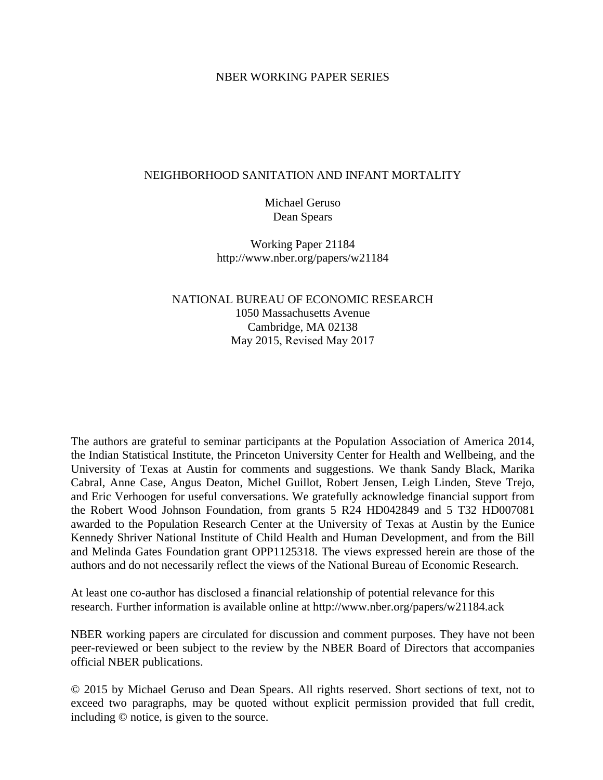### NBER WORKING PAPER SERIES

## NEIGHBORHOOD SANITATION AND INFANT MORTALITY

Michael Geruso Dean Spears

Working Paper 21184 http://www.nber.org/papers/w21184

NATIONAL BUREAU OF ECONOMIC RESEARCH 1050 Massachusetts Avenue Cambridge, MA 02138 May 2015, Revised May 2017

The authors are grateful to seminar participants at the Population Association of America 2014, the Indian Statistical Institute, the Princeton University Center for Health and Wellbeing, and the University of Texas at Austin for comments and suggestions. We thank Sandy Black, Marika Cabral, Anne Case, Angus Deaton, Michel Guillot, Robert Jensen, Leigh Linden, Steve Trejo, and Eric Verhoogen for useful conversations. We gratefully acknowledge financial support from the Robert Wood Johnson Foundation, from grants 5 R24 HD042849 and 5 T32 HD007081 awarded to the Population Research Center at the University of Texas at Austin by the Eunice Kennedy Shriver National Institute of Child Health and Human Development, and from the Bill and Melinda Gates Foundation grant OPP1125318. The views expressed herein are those of the authors and do not necessarily reflect the views of the National Bureau of Economic Research.

At least one co-author has disclosed a financial relationship of potential relevance for this research. Further information is available online at http://www.nber.org/papers/w21184.ack

NBER working papers are circulated for discussion and comment purposes. They have not been peer-reviewed or been subject to the review by the NBER Board of Directors that accompanies official NBER publications.

© 2015 by Michael Geruso and Dean Spears. All rights reserved. Short sections of text, not to exceed two paragraphs, may be quoted without explicit permission provided that full credit, including © notice, is given to the source.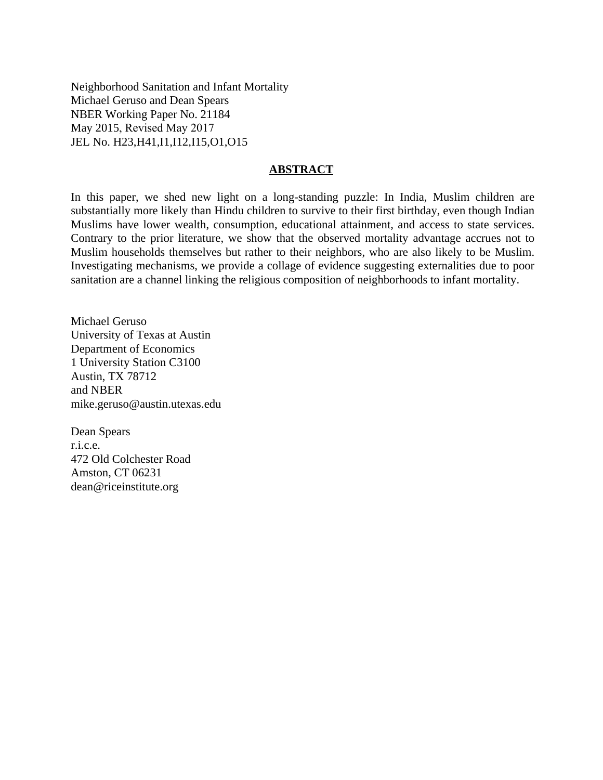Neighborhood Sanitation and Infant Mortality Michael Geruso and Dean Spears NBER Working Paper No. 21184 May 2015, Revised May 2017 JEL No. H23,H41,I1,I12,I15,O1,O15

### **ABSTRACT**

In this paper, we shed new light on a long-standing puzzle: In India, Muslim children are substantially more likely than Hindu children to survive to their first birthday, even though Indian Muslims have lower wealth, consumption, educational attainment, and access to state services. Contrary to the prior literature, we show that the observed mortality advantage accrues not to Muslim households themselves but rather to their neighbors, who are also likely to be Muslim. Investigating mechanisms, we provide a collage of evidence suggesting externalities due to poor sanitation are a channel linking the religious composition of neighborhoods to infant mortality.

Michael Geruso University of Texas at Austin Department of Economics 1 University Station C3100 Austin, TX 78712 and NBER mike.geruso@austin.utexas.edu

Dean Spears r.i.c.e. 472 Old Colchester Road Amston, CT 06231 dean@riceinstitute.org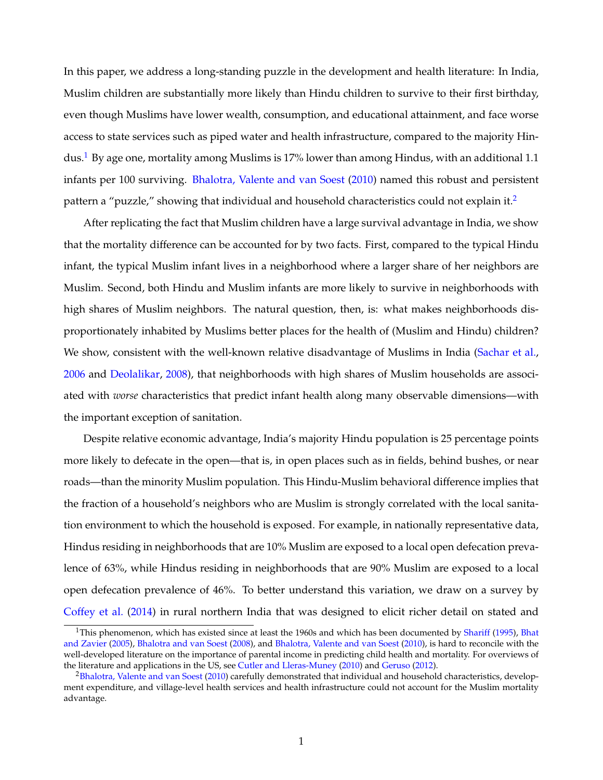In this paper, we address a long-standing puzzle in the development and health literature: In India, Muslim children are substantially more likely than Hindu children to survive to their first birthday, even though Muslims have lower wealth, consumption, and educational attainment, and face worse access to state services such as piped water and health infrastructure, compared to the majority Hin-dus.<sup>1</sup> By age one, mortality among Muslims is 17% lower than among Hindus, with an additional 1[.1](#page-2-0) infants per 100 surviving. [Bhalotra, Valente and van Soest](#page-34-0) [\(2010\)](#page-34-0) named this robust and persistent pattern a "puzzle," showing that individual and household characteristics could not explain it.<sup>[2](#page-2-1)</sup>

After replicating the fact that Muslim children have a large survival advantage in India, we show that the mortality difference can be accounted for by two facts. First, compared to the typical Hindu infant, the typical Muslim infant lives in a neighborhood where a larger share of her neighbors are Muslim. Second, both Hindu and Muslim infants are more likely to survive in neighborhoods with high shares of Muslim neighbors. The natural question, then, is: what makes neighborhoods disproportionately inhabited by Muslims better places for the health of (Muslim and Hindu) children? We show, consistent with the well-known relative disadvantage of Muslims in India [\(Sachar et al.,](#page-36-0) [2006](#page-36-0) and [Deolalikar,](#page-35-0) [2008\)](#page-35-0), that neighborhoods with high shares of Muslim households are associated with *worse* characteristics that predict infant health along many observable dimensions—with the important exception of sanitation.

Despite relative economic advantage, India's majority Hindu population is 25 percentage points more likely to defecate in the open—that is, in open places such as in fields, behind bushes, or near roads—than the minority Muslim population. This Hindu-Muslim behavioral difference implies that the fraction of a household's neighbors who are Muslim is strongly correlated with the local sanitation environment to which the household is exposed. For example, in nationally representative data, Hindus residing in neighborhoods that are 10% Muslim are exposed to a local open defecation prevalence of 63%, while Hindus residing in neighborhoods that are 90% Muslim are exposed to a local open defecation prevalence of 46%. To better understand this variation, we draw on a survey by [Coffey et al.](#page-34-1) [\(2014\)](#page-34-1) in rural northern India that was designed to elicit richer detail on stated and

<span id="page-2-0"></span> $1$ This phenomenon, which has existed since at least the 1960s and which has been documented by [Shariff](#page-37-0) [\(1995\)](#page-37-0), [Bhat](#page-34-2) [and Zavier](#page-34-2) [\(2005\)](#page-34-2), [Bhalotra and van Soest](#page-34-3) [\(2008\)](#page-34-3), and [Bhalotra, Valente and van Soest](#page-34-0) [\(2010\)](#page-34-0), is hard to reconcile with the well-developed literature on the importance of parental income in predicting child health and mortality. For overviews of the literature and applications in the US, see [Cutler and Lleras-Muney](#page-34-4) [\(2010\)](#page-34-4) and [Geruso](#page-35-1) [\(2012\)](#page-35-1).

<span id="page-2-1"></span><sup>&</sup>lt;sup>2</sup>Bhalotra, Valente and van Soest [\(2010\)](#page-34-0) carefully demonstrated that individual and household characteristics, development expenditure, and village-level health services and health infrastructure could not account for the Muslim mortality advantage.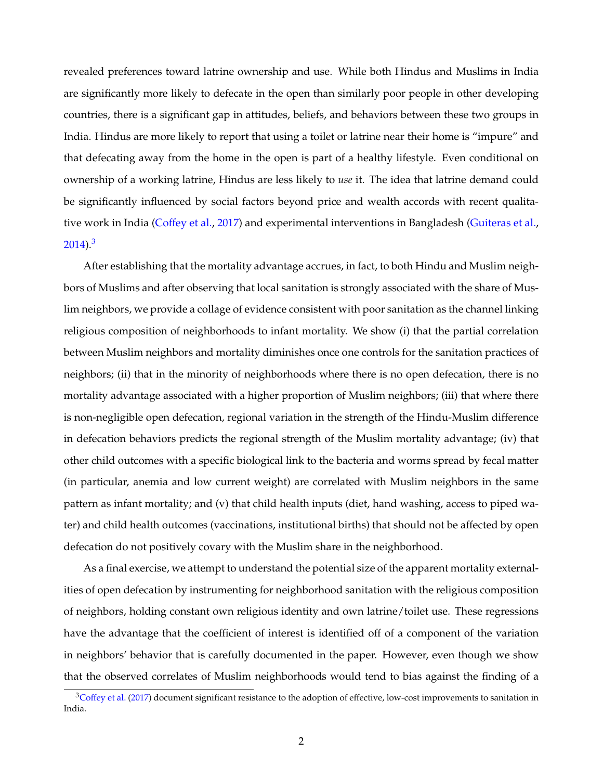revealed preferences toward latrine ownership and use. While both Hindus and Muslims in India are significantly more likely to defecate in the open than similarly poor people in other developing countries, there is a significant gap in attitudes, beliefs, and behaviors between these two groups in India. Hindus are more likely to report that using a toilet or latrine near their home is "impure" and that defecating away from the home in the open is part of a healthy lifestyle. Even conditional on ownership of a working latrine, Hindus are less likely to *use* it. The idea that latrine demand could be significantly influenced by social factors beyond price and wealth accords with recent qualitative work in India [\(Coffey et al.,](#page-34-5) [2017\)](#page-34-5) and experimental interventions in Bangladesh [\(Guiteras et al.,](#page-35-2)  $2014$ )<sup>3</sup>

After establishing that the mortality advantage accrues, in fact, to both Hindu and Muslim neighbors of Muslims and after observing that local sanitation is strongly associated with the share of Muslim neighbors, we provide a collage of evidence consistent with poor sanitation as the channel linking religious composition of neighborhoods to infant mortality. We show (i) that the partial correlation between Muslim neighbors and mortality diminishes once one controls for the sanitation practices of neighbors; (ii) that in the minority of neighborhoods where there is no open defecation, there is no mortality advantage associated with a higher proportion of Muslim neighbors; (iii) that where there is non-negligible open defecation, regional variation in the strength of the Hindu-Muslim difference in defecation behaviors predicts the regional strength of the Muslim mortality advantage; (iv) that other child outcomes with a specific biological link to the bacteria and worms spread by fecal matter (in particular, anemia and low current weight) are correlated with Muslim neighbors in the same pattern as infant mortality; and (v) that child health inputs (diet, hand washing, access to piped water) and child health outcomes (vaccinations, institutional births) that should not be affected by open defecation do not positively covary with the Muslim share in the neighborhood.

As a final exercise, we attempt to understand the potential size of the apparent mortality externalities of open defecation by instrumenting for neighborhood sanitation with the religious composition of neighbors, holding constant own religious identity and own latrine/toilet use. These regressions have the advantage that the coefficient of interest is identified off of a component of the variation in neighbors' behavior that is carefully documented in the paper. However, even though we show that the observed correlates of Muslim neighborhoods would tend to bias against the finding of a

<span id="page-3-0"></span><sup>&</sup>lt;sup>3</sup>Coffey et al. [\(2017\)](#page-34-5) document significant resistance to the adoption of effective, low-cost improvements to sanitation in India.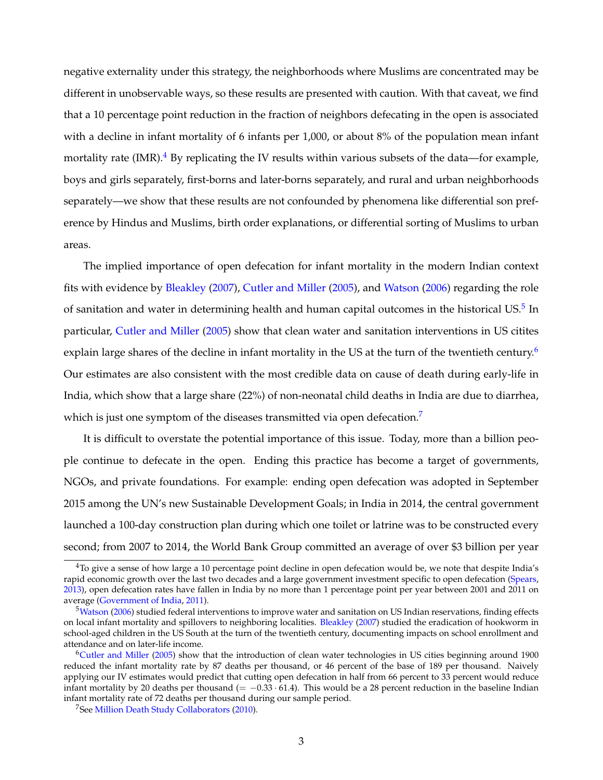negative externality under this strategy, the neighborhoods where Muslims are concentrated may be different in unobservable ways, so these results are presented with caution. With that caveat, we find that a 10 percentage point reduction in the fraction of neighbors defecating in the open is associated with a decline in infant mortality of 6 infants per 1,000, or about 8% of the population mean infant mortality rate (IMR).<sup>[4](#page-4-0)</sup> By replicating the IV results within various subsets of the data—for example, boys and girls separately, first-borns and later-borns separately, and rural and urban neighborhoods separately—we show that these results are not confounded by phenomena like differential son preference by Hindus and Muslims, birth order explanations, or differential sorting of Muslims to urban areas.

The implied importance of open defecation for infant mortality in the modern Indian context fits with evidence by [Bleakley](#page-34-6) [\(2007\)](#page-34-6), [Cutler and Miller](#page-34-7) [\(2005\)](#page-34-7), and [Watson](#page-37-1) [\(2006\)](#page-37-1) regarding the role of sanitation and water in determining health and human capital outcomes in the historical US. $^5$  In particular, [Cutler and Miller](#page-34-7) [\(2005\)](#page-34-7) show that clean water and sanitation interventions in US citites explain large shares of the decline in infant mortality in the US at the turn of the twentieth century.<sup>6</sup> Our estimates are also consistent with the most credible data on cause of death during early-life in India, which show that a large share (22%) of non-neonatal child deaths in India are due to diarrhea, which is just one symptom of the diseases transmitted via open defecation.<sup>7</sup>

It is difficult to overstate the potential importance of this issue. Today, more than a billion people continue to defecate in the open. Ending this practice has become a target of governments, NGOs, and private foundations. For example: ending open defecation was adopted in September 2015 among the UN's new Sustainable Development Goals; in India in 2014, the central government launched a 100-day construction plan during which one toilet or latrine was to be constructed every second; from 2007 to 2014, the World Bank Group committed an average of over \$3 billion per year

<span id="page-4-0"></span> $4$ To give a sense of how large a 10 percentage point decline in open defecation would be, we note that despite India's rapid economic growth over the last two decades and a large government investment specific to open defecation [\(Spears,](#page-37-2) [2013\)](#page-37-2), open defecation rates have fallen in India by no more than 1 percentage point per year between 2001 and 2011 on average [\(Government of India,](#page-35-3) [2011\)](#page-35-3).

<span id="page-4-1"></span> $5$ Watson [\(2006\)](#page-37-1) studied federal interventions to improve water and sanitation on US Indian reservations, finding effects on local infant mortality and spillovers to neighboring localities. [Bleakley](#page-34-6) [\(2007\)](#page-34-6) studied the eradication of hookworm in school-aged children in the US South at the turn of the twentieth century, documenting impacts on school enrollment and attendance and on later-life income.

<span id="page-4-2"></span>[<sup>6</sup>Cutler and Miller](#page-34-7) [\(2005\)](#page-34-7) show that the introduction of clean water technologies in US cities beginning around 1900 reduced the infant mortality rate by 87 deaths per thousand, or 46 percent of the base of 189 per thousand. Naively applying our IV estimates would predict that cutting open defecation in half from 66 percent to 33 percent would reduce infant mortality by 20 deaths per thousand (= 0.33 *·* 61.4). This would be a 28 percent reduction in the baseline Indian infant mortality rate of 72 deaths per thousand during our sample period.

<span id="page-4-3"></span><sup>&</sup>lt;sup>7</sup>See [Million Death Study Collaborators](#page-36-1) [\(2010\)](#page-36-1).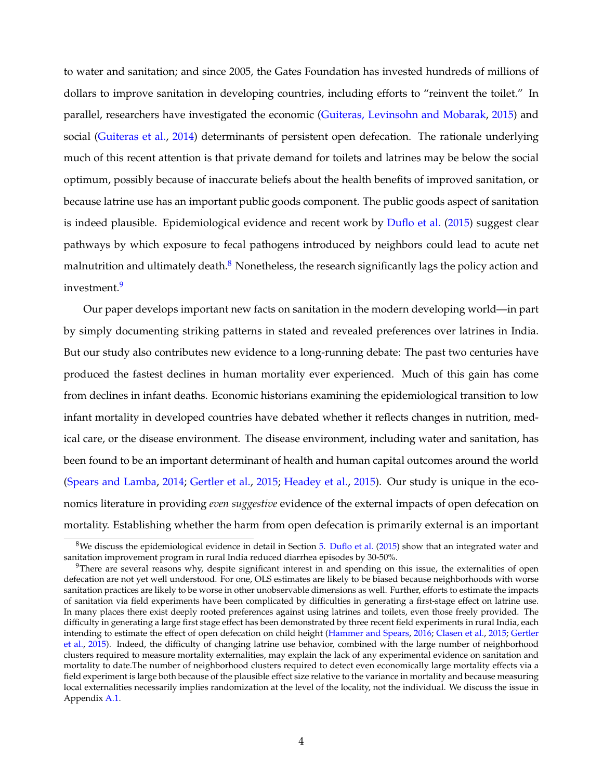to water and sanitation; and since 2005, the Gates Foundation has invested hundreds of millions of dollars to improve sanitation in developing countries, including efforts to "reinvent the toilet." In parallel, researchers have investigated the economic [\(Guiteras, Levinsohn and Mobarak,](#page-35-4) [2015\)](#page-35-4) and social [\(Guiteras et al.,](#page-35-2) [2014\)](#page-35-2) determinants of persistent open defecation. The rationale underlying much of this recent attention is that private demand for toilets and latrines may be below the social optimum, possibly because of inaccurate beliefs about the health benefits of improved sanitation, or because latrine use has an important public goods component. The public goods aspect of sanitation is indeed plausible. Epidemiological evidence and recent work by [Duflo et al.](#page-35-5) [\(2015\)](#page-35-5) suggest clear pathways by which exposure to fecal pathogens introduced by neighbors could lead to acute net malnutrition and ultimately death. $8$  Nonetheless, the research significantly lags the policy action and investment.<sup>9</sup>

Our paper develops important new facts on sanitation in the modern developing world—in part by simply documenting striking patterns in stated and revealed preferences over latrines in India. But our study also contributes new evidence to a long-running debate: The past two centuries have produced the fastest declines in human mortality ever experienced. Much of this gain has come from declines in infant deaths. Economic historians examining the epidemiological transition to low infant mortality in developed countries have debated whether it reflects changes in nutrition, medical care, or the disease environment. The disease environment, including water and sanitation, has been found to be an important determinant of health and human capital outcomes around the world [\(Spears and Lamba,](#page-37-3) [2014;](#page-37-3) [Gertler et al.,](#page-35-6) [2015;](#page-35-6) [Headey et al.,](#page-35-7) [2015\)](#page-35-7). Our study is unique in the economics literature in providing *even suggestive* evidence of the external impacts of open defecation on mortality. Establishing whether the harm from open defecation is primarily external is an important

<span id="page-5-0"></span> $8$ We discuss the epidemiological evidence in detail in Section [5.](#page-19-0) [Duflo et al.](#page-35-5) [\(2015\)](#page-35-5) show that an integrated water and sanitation improvement program in rural India reduced diarrhea episodes by 30-50%.

<span id="page-5-1"></span><sup>&</sup>lt;sup>9</sup>There are several reasons why, despite significant interest in and spending on this issue, the externalities of open defecation are not yet well understood. For one, OLS estimates are likely to be biased because neighborhoods with worse sanitation practices are likely to be worse in other unobservable dimensions as well. Further, efforts to estimate the impacts of sanitation via field experiments have been complicated by difficulties in generating a first-stage effect on latrine use. In many places there exist deeply rooted preferences against using latrines and toilets, even those freely provided. The difficulty in generating a large first stage effect has been demonstrated by three recent field experiments in rural India, each intending to estimate the effect of open defecation on child height [\(Hammer and Spears,](#page-35-8) [2016;](#page-35-8) [Clasen et al.,](#page-34-8) [2015;](#page-34-8) [Gertler](#page-35-6) [et al.,](#page-35-6) [2015\)](#page-35-6). Indeed, the difficulty of changing latrine use behavior, combined with the large number of neighborhood clusters required to measure mortality externalities, may explain the lack of any experimental evidence on sanitation and mortality to date.The number of neighborhood clusters required to detect even economically large mortality effects via a field experiment is large both because of the plausible effect size relative to the variance in mortality and because measuring local externalities necessarily implies randomization at the level of the locality, not the individual. We discuss the issue in Appendix [A.1.](#page-53-0)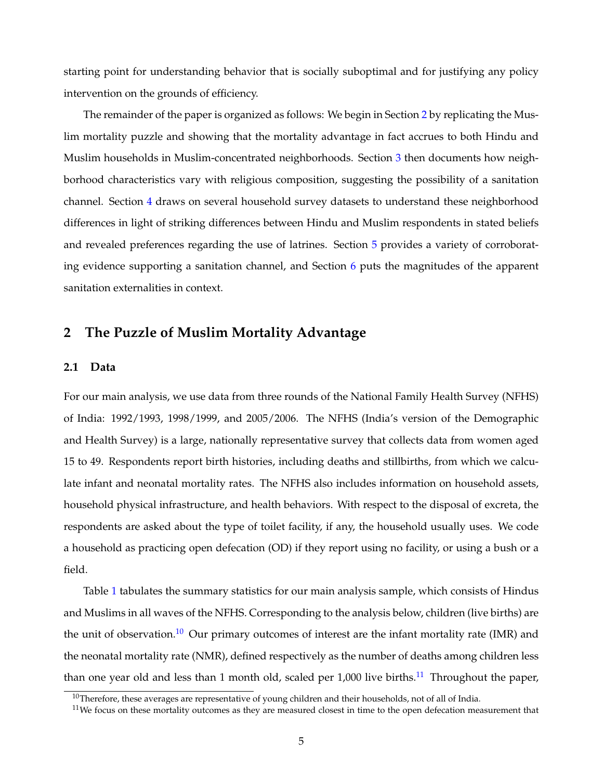starting point for understanding behavior that is socially suboptimal and for justifying any policy intervention on the grounds of efficiency.

The remainder of the paper is organized as follows: We begin in Section [2](#page-6-0) by replicating the Muslim mortality puzzle and showing that the mortality advantage in fact accrues to both Hindu and Muslim households in Muslim-concentrated neighborhoods. Section [3](#page-10-0) then documents how neighborhood characteristics vary with religious composition, suggesting the possibility of a sanitation channel. Section [4](#page-16-0) draws on several household survey datasets to understand these neighborhood differences in light of striking differences between Hindu and Muslim respondents in stated beliefs and revealed preferences regarding the use of latrines. Section [5](#page-19-0) provides a variety of corroborating evidence supporting a sanitation channel, and Section [6](#page-27-0) puts the magnitudes of the apparent sanitation externalities in context.

## <span id="page-6-0"></span>**2 The Puzzle of Muslim Mortality Advantage**

## **2.1 Data**

For our main analysis, we use data from three rounds of the National Family Health Survey (NFHS) of India: 1992/1993, 1998/1999, and 2005/2006. The NFHS (India's version of the Demographic and Health Survey) is a large, nationally representative survey that collects data from women aged 15 to 49. Respondents report birth histories, including deaths and stillbirths, from which we calculate infant and neonatal mortality rates. The NFHS also includes information on household assets, household physical infrastructure, and health behaviors. With respect to the disposal of excreta, the respondents are asked about the type of toilet facility, if any, the household usually uses. We code a household as practicing open defecation (OD) if they report using no facility, or using a bush or a field.

Table [1](#page-44-0) tabulates the summary statistics for our main analysis sample, which consists of Hindus and Muslims in all waves of the NFHS. Corresponding to the analysis below, children (live births) are the unit of observation.<sup>10</sup> Our primary outcomes of interest are the infant mortality rate (IMR) and the neonatal mortality rate (NMR), defined respectively as the number of deaths among children less than one year old and less than 1 month old, scaled per  $1,000$  live births.<sup>[11](#page-6-2)</sup> Throughout the paper,

<span id="page-6-1"></span> $10$ Therefore, these averages are representative of young children and their households, not of all of India.

<span id="page-6-2"></span> $11$ We focus on these mortality outcomes as they are measured closest in time to the open defecation measurement that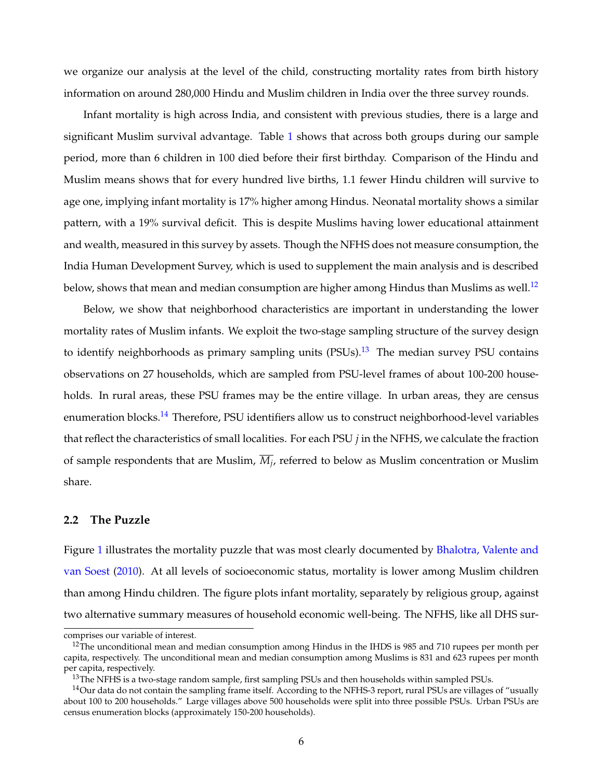we organize our analysis at the level of the child, constructing mortality rates from birth history information on around 280,000 Hindu and Muslim children in India over the three survey rounds.

Infant mortality is high across India, and consistent with previous studies, there is a large and significant Muslim survival advantage. Table [1](#page-44-0) shows that across both groups during our sample period, more than 6 children in 100 died before their first birthday. Comparison of the Hindu and Muslim means shows that for every hundred live births, 1.1 fewer Hindu children will survive to age one, implying infant mortality is 17% higher among Hindus. Neonatal mortality shows a similar pattern, with a 19% survival deficit. This is despite Muslims having lower educational attainment and wealth, measured in this survey by assets. Though the NFHS does not measure consumption, the India Human Development Survey, which is used to supplement the main analysis and is described below, shows that mean and median consumption are higher among Hindus than Muslims as well.<sup>12</sup>

Below, we show that neighborhood characteristics are important in understanding the lower mortality rates of Muslim infants. We exploit the two-stage sampling structure of the survey design to identify neighborhoods as primary sampling units  $(PSUs).<sup>13</sup>$  The median survey PSU contains observations on 27 households, which are sampled from PSU-level frames of about 100-200 households. In rural areas, these PSU frames may be the entire village. In urban areas, they are census enumeration blocks.<sup>14</sup> Therefore, PSU identifiers allow us to construct neighborhood-level variables that reflect the characteristics of small localities. For each PSU *j* in the NFHS, we calculate the fraction of sample respondents that are Muslim,  $\overline{M}_{i}$ , referred to below as Muslim concentration or Muslim share.

## **2.2 The Puzzle**

Figure [1](#page-38-0) illustrates the mortality puzzle that was most clearly documented by [Bhalotra, Valente and](#page-34-0) [van Soest](#page-34-0) [\(2010\)](#page-34-0). At all levels of socioeconomic status, mortality is lower among Muslim children than among Hindu children. The figure plots infant mortality, separately by religious group, against two alternative summary measures of household economic well-being. The NFHS, like all DHS sur-

comprises our variable of interest.

<span id="page-7-0"></span> $12$ The unconditional mean and median consumption among Hindus in the IHDS is 985 and 710 rupees per month per capita, respectively. The unconditional mean and median consumption among Muslims is 831 and 623 rupees per month per capita, respectively.

<span id="page-7-2"></span><span id="page-7-1"></span> $^{13}$ The NFHS is a two-stage random sample, first sampling PSUs and then households within sampled PSUs.

 $14$ Our data do not contain the sampling frame itself. According to the NFHS-3 report, rural PSUs are villages of "usually about 100 to 200 households." Large villages above 500 households were split into three possible PSUs. Urban PSUs are census enumeration blocks (approximately 150-200 households).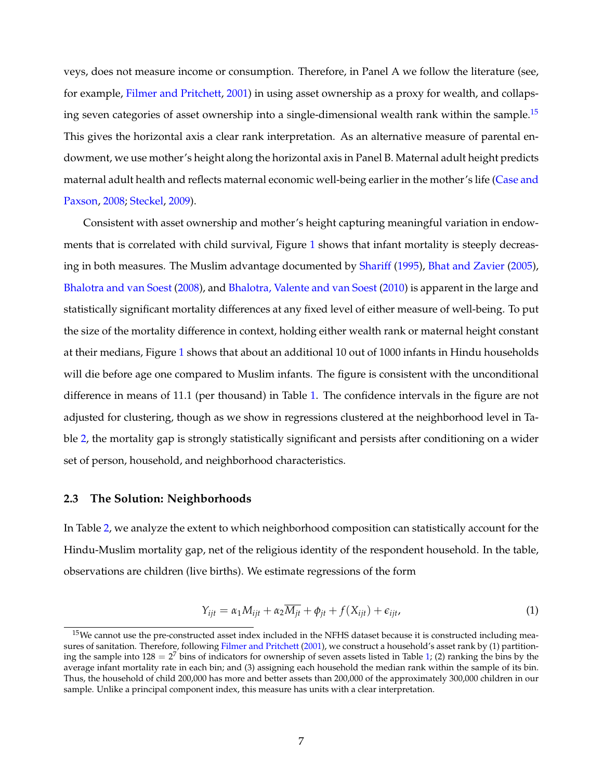veys, does not measure income or consumption. Therefore, in Panel A we follow the literature (see, for example, [Filmer and Pritchett,](#page-35-9) [2001\)](#page-35-9) in using asset ownership as a proxy for wealth, and collapsing seven categories of asset ownership into a single-dimensional wealth rank within the sample.<sup>15</sup> This gives the horizontal axis a clear rank interpretation. As an alternative measure of parental endowment, we use mother's height along the horizontal axis in Panel B. Maternal adult height predicts maternal adult health and reflects maternal economic well-being earlier in the mother's life [\(Case and](#page-34-9) [Paxson,](#page-34-9) [2008;](#page-34-9) [Steckel,](#page-37-4) [2009\)](#page-37-4).

Consistent with asset ownership and mother's height capturing meaningful variation in endowments that is correlated with child survival, Figure [1](#page-38-0) shows that infant mortality is steeply decreasing in both measures. The Muslim advantage documented by [Shariff](#page-37-0) [\(1995\)](#page-37-0), [Bhat and Zavier](#page-34-2) [\(2005\)](#page-34-2), [Bhalotra and van Soest](#page-34-3) [\(2008\)](#page-34-3), and [Bhalotra, Valente and van Soest](#page-34-0) [\(2010\)](#page-34-0) is apparent in the large and statistically significant mortality differences at any fixed level of either measure of well-being. To put the size of the mortality difference in context, holding either wealth rank or maternal height constant at their medians, Figure [1](#page-38-0) shows that about an additional 10 out of 1000 infants in Hindu households will die before age one compared to Muslim infants. The figure is consistent with the unconditional difference in means of 11.1 (per thousand) in Table [1.](#page-44-0) The confidence intervals in the figure are not adjusted for clustering, though as we show in regressions clustered at the neighborhood level in Table [2,](#page-45-0) the mortality gap is strongly statistically significant and persists after conditioning on a wider set of person, household, and neighborhood characteristics.

#### **2.3 The Solution: Neighborhoods**

In Table [2,](#page-45-0) we analyze the extent to which neighborhood composition can statistically account for the Hindu-Muslim mortality gap, net of the religious identity of the respondent household. In the table, observations are children (live births). We estimate regressions of the form

$$
Y_{ijt} = \alpha_1 M_{ijt} + \alpha_2 \overline{M_{jt}} + \phi_{jt} + f(X_{ijt}) + \epsilon_{ijt},
$$
\n(1)

<span id="page-8-0"></span> $15$ We cannot use the pre-constructed asset index included in the NFHS dataset because it is constructed including mea-sures of sanitation. Therefore, following [Filmer and Pritchett](#page-35-9) [\(2001\)](#page-35-9), we construct a household's asset rank by (1) partitioning the sample into  $128 = 2^7$  bins of indicators for ownership of seven assets listed in Table [1;](#page-44-0) (2) ranking the bins by the average infant mortality rate in each bin; and (3) assigning each household the median rank within the sample of its bin. Thus, the household of child 200,000 has more and better assets than 200,000 of the approximately 300,000 children in our sample. Unlike a principal component index, this measure has units with a clear interpretation.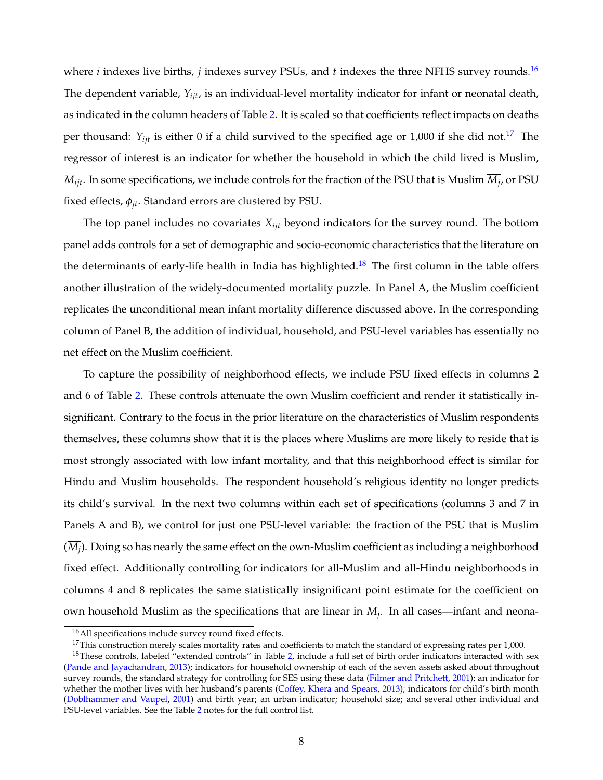where *i* indexes live births, *j* indexes survey PSUs, and *t* indexes the three NFHS survey rounds.<sup>16</sup> The dependent variable, *Yijt*, is an individual-level mortality indicator for infant or neonatal death, as indicated in the column headers of Table [2.](#page-45-0) It is scaled so that coefficients reflect impacts on deaths per thousand:  $Y_{ijt}$  is either 0 if a child survived to the specified age or 1,000 if she did not.<sup>17</sup> The regressor of interest is an indicator for whether the household in which the child lived is Muslim,  $M_{ijt}$ . In some specifications, we include controls for the fraction of the PSU that is Muslim  $\overline{M}_{j}$ , or PSU fixed effects,  $\phi_{it}$ . Standard errors are clustered by PSU.

The top panel includes no covariates *Xijt* beyond indicators for the survey round. The bottom panel adds controls for a set of demographic and socio-economic characteristics that the literature on the determinants of early-life health in India has highlighted.<sup>18</sup> The first column in the table offers another illustration of the widely-documented mortality puzzle. In Panel A, the Muslim coefficient replicates the unconditional mean infant mortality difference discussed above. In the corresponding column of Panel B, the addition of individual, household, and PSU-level variables has essentially no net effect on the Muslim coefficient.

To capture the possibility of neighborhood effects, we include PSU fixed effects in columns 2 and 6 of Table [2.](#page-45-0) These controls attenuate the own Muslim coefficient and render it statistically insignificant. Contrary to the focus in the prior literature on the characteristics of Muslim respondents themselves, these columns show that it is the places where Muslims are more likely to reside that is most strongly associated with low infant mortality, and that this neighborhood effect is similar for Hindu and Muslim households. The respondent household's religious identity no longer predicts its child's survival. In the next two columns within each set of specifications (columns 3 and 7 in Panels A and B), we control for just one PSU-level variable: the fraction of the PSU that is Muslim  $(\overline{M_i})$ . Doing so has nearly the same effect on the own-Muslim coefficient as including a neighborhood fixed effect. Additionally controlling for indicators for all-Muslim and all-Hindu neighborhoods in columns 4 and 8 replicates the same statistically insignificant point estimate for the coefficient on own household Muslim as the specifications that are linear in  $\overline{M}_i$ . In all cases—infant and neona-

<span id="page-9-0"></span><sup>16</sup>All specifications include survey round fixed effects.

<span id="page-9-2"></span><span id="page-9-1"></span> $17$ This construction merely scales mortality rates and coefficients to match the standard of expressing rates per 1,000.

<sup>&</sup>lt;sup>18</sup>These controls, labeled "extended controls" in Table [2,](#page-45-0) include a full set of birth order indicators interacted with sex [\(Pande and Jayachandran,](#page-36-2) [2013\)](#page-36-2); indicators for household ownership of each of the seven assets asked about throughout survey rounds, the standard strategy for controlling for SES using these data [\(Filmer and Pritchett,](#page-35-9) [2001\)](#page-35-9); an indicator for whether the mother lives with her husband's parents [\(Coffey, Khera and Spears,](#page-34-10) [2013\)](#page-34-10); indicators for child's birth month [\(Doblhammer and Vaupel,](#page-35-10) [2001\)](#page-35-10) and birth year; an urban indicator; household size; and several other individual and PSU-level variables. See the Table [2](#page-45-0) notes for the full control list.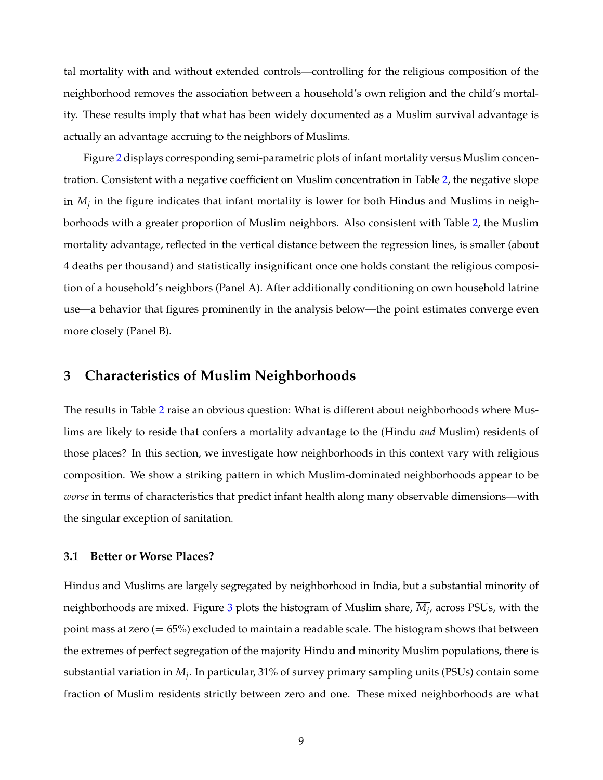tal mortality with and without extended controls—controlling for the religious composition of the neighborhood removes the association between a household's own religion and the child's mortality. These results imply that what has been widely documented as a Muslim survival advantage is actually an advantage accruing to the neighbors of Muslims.

Figure [2](#page-39-0) displays corresponding semi-parametric plots of infant mortality versus Muslim concentration. Consistent with a negative coefficient on Muslim concentration in Table [2,](#page-45-0) the negative slope in  $\overline{M_i}$  in the figure indicates that infant mortality is lower for both Hindus and Muslims in neighborhoods with a greater proportion of Muslim neighbors. Also consistent with Table [2,](#page-45-0) the Muslim mortality advantage, reflected in the vertical distance between the regression lines, is smaller (about 4 deaths per thousand) and statistically insignificant once one holds constant the religious composition of a household's neighbors (Panel A). After additionally conditioning on own household latrine use—a behavior that figures prominently in the analysis below—the point estimates converge even more closely (Panel B).

## <span id="page-10-0"></span>**3 Characteristics of Muslim Neighborhoods**

The results in Table [2](#page-45-0) raise an obvious question: What is different about neighborhoods where Muslims are likely to reside that confers a mortality advantage to the (Hindu *and* Muslim) residents of those places? In this section, we investigate how neighborhoods in this context vary with religious composition. We show a striking pattern in which Muslim-dominated neighborhoods appear to be *worse* in terms of characteristics that predict infant health along many observable dimensions—with the singular exception of sanitation.

#### **3.1 Better or Worse Places?**

Hindus and Muslims are largely segregated by neighborhood in India, but a substantial minority of neighborhoods are mixed. Figure [3](#page-40-0) plots the histogram of Muslim share,  $\overline{M}_i$ , across PSUs, with the point mass at zero  $(= 65%)$  excluded to maintain a readable scale. The histogram shows that between the extremes of perfect segregation of the majority Hindu and minority Muslim populations, there is substantial variation in  $\overline{M}_i$ . In particular, 31% of survey primary sampling units (PSUs) contain some fraction of Muslim residents strictly between zero and one. These mixed neighborhoods are what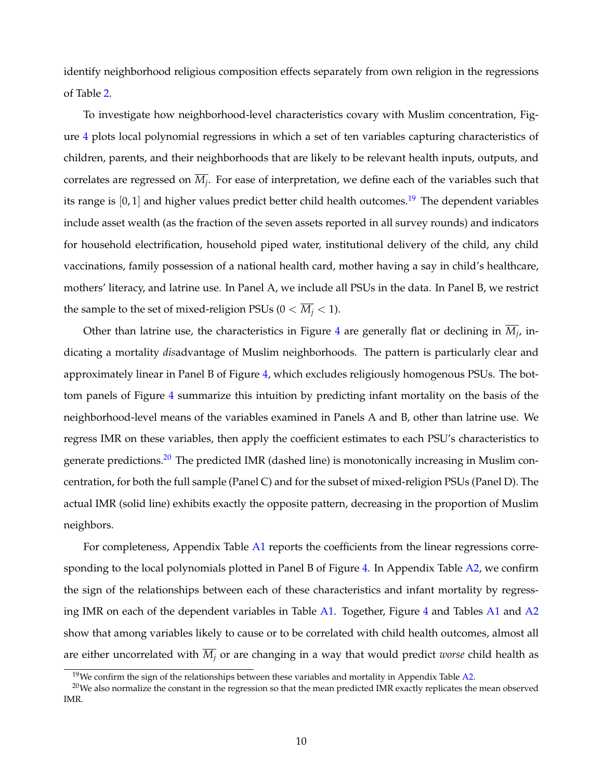identify neighborhood religious composition effects separately from own religion in the regressions of Table [2.](#page-45-0)

To investigate how neighborhood-level characteristics covary with Muslim concentration, Figure [4](#page-41-0) plots local polynomial regressions in which a set of ten variables capturing characteristics of children, parents, and their neighborhoods that are likely to be relevant health inputs, outputs, and correlates are regressed on  $\overline{M_i}$ . For ease of interpretation, we define each of the variables such that its range is  $[0, 1]$  and higher values predict better child health outcomes.<sup>[19](#page-11-0)</sup> The dependent variables include asset wealth (as the fraction of the seven assets reported in all survey rounds) and indicators for household electrification, household piped water, institutional delivery of the child, any child vaccinations, family possession of a national health card, mother having a say in child's healthcare, mothers' literacy, and latrine use. In Panel A, we include all PSUs in the data. In Panel B, we restrict the sample to the set of mixed-religion PSUs ( $0 < \overline{M_i} < 1$ ).

Other than latrine use, the characteristics in Figure [4](#page-41-0) are generally flat or declining in  $\overline{M}_i$ , indicating a mortality *dis*advantage of Muslim neighborhoods. The pattern is particularly clear and approximately linear in Panel B of Figure [4,](#page-41-0) which excludes religiously homogenous PSUs. The bottom panels of Figure [4](#page-41-0) summarize this intuition by predicting infant mortality on the basis of the neighborhood-level means of the variables examined in Panels A and B, other than latrine use. We regress IMR on these variables, then apply the coefficient estimates to each PSU's characteristics to generate predictions.<sup>20</sup> The predicted IMR (dashed line) is monotonically increasing in Muslim concentration, for both the full sample (Panel C) and for the subset of mixed-religion PSUs (Panel D). The actual IMR (solid line) exhibits exactly the opposite pattern, decreasing in the proportion of Muslim neighbors.

For completeness, Appendix Table [A1](#page-63-0) reports the coefficients from the linear regressions corresponding to the local polynomials plotted in Panel B of Figure  $4$ . In Appendix Table  $A2$ , we confirm the sign of the relationships between each of these characteristics and infant mortality by regress-ing IMR on each of the dependent variables in Table [A1.](#page-63-0) Together, Figure [4](#page-41-0) and Tables [A1](#page-63-0) and [A2](#page-64-0) show that among variables likely to cause or to be correlated with child health outcomes, almost all are either uncorrelated with  $\overline{M_i}$  or are changing in a way that would predict *worse* child health as

<span id="page-11-1"></span><span id="page-11-0"></span> $19$ We confirm the sign of the relationships between these variables and mortality in Appendix Table [A2.](#page-64-0)

 $20$ We also normalize the constant in the regression so that the mean predicted IMR exactly replicates the mean observed IMR.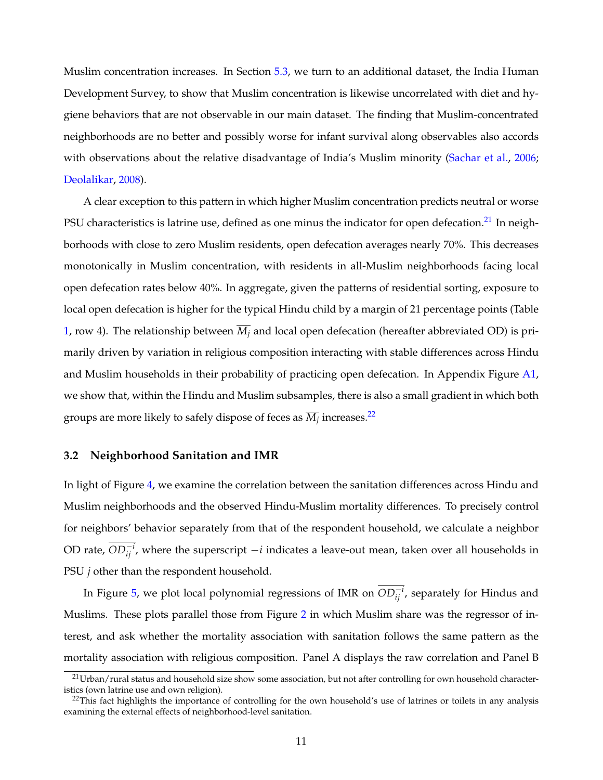Muslim concentration increases. In Section [5.3,](#page-24-0) we turn to an additional dataset, the India Human Development Survey, to show that Muslim concentration is likewise uncorrelated with diet and hygiene behaviors that are not observable in our main dataset. The finding that Muslim-concentrated neighborhoods are no better and possibly worse for infant survival along observables also accords with observations about the relative disadvantage of India's Muslim minority [\(Sachar et al.,](#page-36-0) [2006;](#page-36-0) [Deolalikar,](#page-35-0) [2008\)](#page-35-0).

A clear exception to this pattern in which higher Muslim concentration predicts neutral or worse PSU characteristics is latrine use, defined as one minus the indicator for open defecation.<sup>21</sup> In neighborhoods with close to zero Muslim residents, open defecation averages nearly 70%. This decreases monotonically in Muslim concentration, with residents in all-Muslim neighborhoods facing local open defecation rates below 40%. In aggregate, given the patterns of residential sorting, exposure to local open defecation is higher for the typical Hindu child by a margin of 21 percentage points (Table [1,](#page-44-0) row 4). The relationship between  $\overline{M}_i$  and local open defecation (hereafter abbreviated OD) is primarily driven by variation in religious composition interacting with stable differences across Hindu and Muslim households in their probability of practicing open defecation. In Appendix Figure [A1,](#page-57-0) we show that, within the Hindu and Muslim subsamples, there is also a small gradient in which both groups are more likely to safely dispose of feces as  $\overline{M}_i$  increases.<sup>22</sup>

### **3.2 Neighborhood Sanitation and IMR**

In light of Figure [4,](#page-41-0) we examine the correlation between the sanitation differences across Hindu and Muslim neighborhoods and the observed Hindu-Muslim mortality differences. To precisely control for neighbors' behavior separately from that of the respondent household, we calculate a neighbor OD rate,  $OD_{ij}^{-i}$ , where the superscript  $-i$  indicates a leave-out mean, taken over all households in PSU *j* other than the respondent household.

In Figure [5,](#page-42-0) we plot local polynomial regressions of IMR on  $OD_{ij}^{-i}$ , separately for Hindus and Muslims. These plots parallel those from Figure [2](#page-39-0) in which Muslim share was the regressor of interest, and ask whether the mortality association with sanitation follows the same pattern as the mortality association with religious composition. Panel A displays the raw correlation and Panel B

<span id="page-12-0"></span><sup>&</sup>lt;sup>21</sup>Urban/rural status and household size show some association, but not after controlling for own household characteristics (own latrine use and own religion).

<span id="page-12-1"></span><sup>&</sup>lt;sup>22</sup>This fact highlights the importance of controlling for the own household's use of latrines or toilets in any analysis examining the external effects of neighborhood-level sanitation.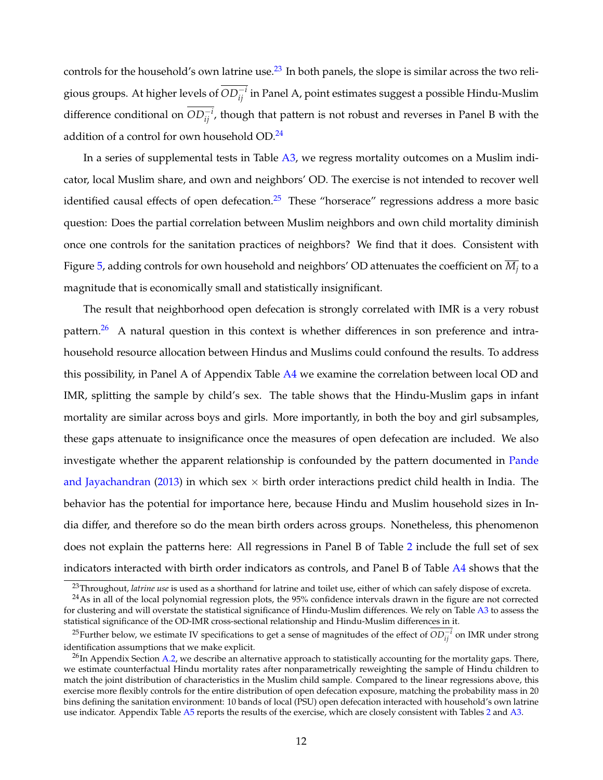controls for the household's own latrine use.<sup>23</sup> In both panels, the slope is similar across the two religious groups. At higher levels of  $OD_{ij}^{-i}$  in Panel A, point estimates suggest a possible Hindu-Muslim difference conditional on  $OD_{ij}^{-i}$ , though that pattern is not robust and reverses in Panel B with the addition of a control for own household OD.<sup>24</sup>

In a series of supplemental tests in Table  $A3$ , we regress mortality outcomes on a Muslim indicator, local Muslim share, and own and neighbors' OD. The exercise is not intended to recover well identified causal effects of open defecation. $25$  These "horserace" regressions address a more basic question: Does the partial correlation between Muslim neighbors and own child mortality diminish once one controls for the sanitation practices of neighbors? We find that it does. Consistent with Figure [5,](#page-42-0) adding controls for own household and neighbors' OD attenuates the coefficient on  $\overline{M}_i$  to a magnitude that is economically small and statistically insignificant.

The result that neighborhood open defecation is strongly correlated with IMR is a very robust pattern.<sup>[26](#page-13-3)</sup> A natural question in this context is whether differences in son preference and intrahousehold resource allocation between Hindus and Muslims could confound the results. To address this possibility, in Panel A of Appendix Table  $A4$  we examine the correlation between local OD and IMR, splitting the sample by child's sex. The table shows that the Hindu-Muslim gaps in infant mortality are similar across boys and girls. More importantly, in both the boy and girl subsamples, these gaps attenuate to insignificance once the measures of open defecation are included. We also investigate whether the apparent relationship is confounded by the pattern documented in [Pande](#page-36-2) [and Jayachandran](#page-36-2) [\(2013\)](#page-36-2) in which sex  $\times$  birth order interactions predict child health in India. The behavior has the potential for importance here, because Hindu and Muslim household sizes in India differ, and therefore so do the mean birth orders across groups. Nonetheless, this phenomenon does not explain the patterns here: All regressions in Panel B of Table [2](#page-45-0) include the full set of sex indicators interacted with birth order indicators as controls, and Panel B of Table [A4](#page-66-0) shows that the

<span id="page-13-1"></span><span id="page-13-0"></span><sup>23</sup>Throughout, *latrine use* is used as a shorthand for latrine and toilet use, either of which can safely dispose of excreta.

<sup>&</sup>lt;sup>24</sup>As in all of the local polynomial regression plots, the 95% confidence intervals drawn in the figure are not corrected for clustering and will overstate the statistical significance of Hindu-Muslim differences. We rely on Table [A3](#page-65-0) to assess the statistical significance of the OD-IMR cross-sectional relationship and Hindu-Muslim differences in it.

<span id="page-13-2"></span><sup>&</sup>lt;sup>25</sup>Further below, we estimate IV specifications to get a sense of magnitudes of the effect of  $OD_{ij}^{-i}$  on IMR under strong identification assumptions that we make explicit.

<span id="page-13-3"></span> $^{26}$ In Appendix Section [A.2,](#page-54-0) we describe an alternative approach to statistically accounting for the mortality gaps. There, we estimate counterfactual Hindu mortality rates after nonparametrically reweighting the sample of Hindu children to match the joint distribution of characteristics in the Muslim child sample. Compared to the linear regressions above, this exercise more flexibly controls for the entire distribution of open defecation exposure, matching the probability mass in 20 bins defining the sanitation environment: 10 bands of local (PSU) open defecation interacted with household's own latrine use indicator. Appendix Table [A5](#page-67-0) reports the results of the exercise, which are closely consistent with Tables [2](#page-45-0) and [A3.](#page-65-0)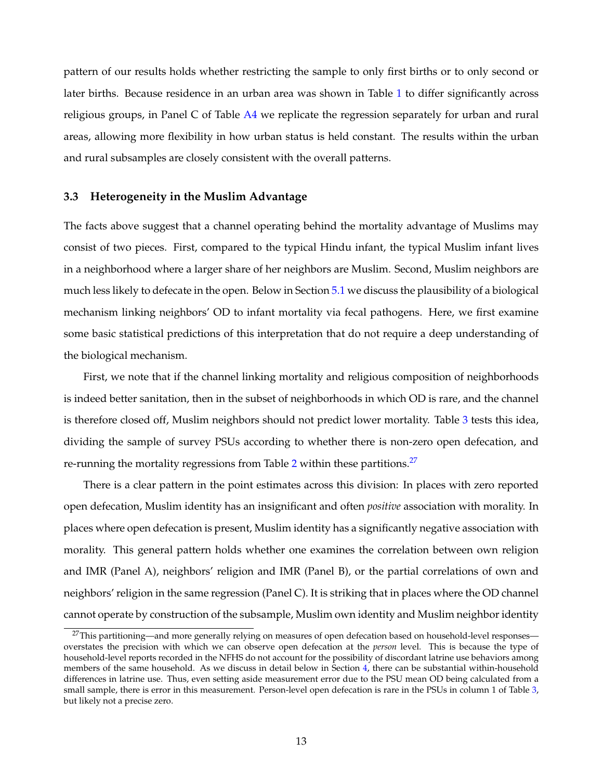pattern of our results holds whether restricting the sample to only first births or to only second or later births. Because residence in an urban area was shown in Table [1](#page-44-0) to differ significantly across religious groups, in Panel C of Table  $A4$  we replicate the regression separately for urban and rural areas, allowing more flexibility in how urban status is held constant. The results within the urban and rural subsamples are closely consistent with the overall patterns.

#### **3.3 Heterogeneity in the Muslim Advantage**

The facts above suggest that a channel operating behind the mortality advantage of Muslims may consist of two pieces. First, compared to the typical Hindu infant, the typical Muslim infant lives in a neighborhood where a larger share of her neighbors are Muslim. Second, Muslim neighbors are much less likely to defecate in the open. Below in Section [5.1](#page-20-0) we discuss the plausibility of a biological mechanism linking neighbors' OD to infant mortality via fecal pathogens. Here, we first examine some basic statistical predictions of this interpretation that do not require a deep understanding of the biological mechanism.

First, we note that if the channel linking mortality and religious composition of neighborhoods is indeed better sanitation, then in the subset of neighborhoods in which OD is rare, and the channel is therefore closed off, Muslim neighbors should not predict lower mortality. Table [3](#page-46-0) tests this idea, dividing the sample of survey PSUs according to whether there is non-zero open defecation, and re-running the mortality regressions from Table [2](#page-45-0) within these partitions.<sup>27</sup>

There is a clear pattern in the point estimates across this division: In places with zero reported open defecation, Muslim identity has an insignificant and often *positive* association with morality. In places where open defecation is present, Muslim identity has a significantly negative association with morality. This general pattern holds whether one examines the correlation between own religion and IMR (Panel A), neighbors' religion and IMR (Panel B), or the partial correlations of own and neighbors' religion in the same regression (Panel C). It is striking that in places where the OD channel cannot operate by construction of the subsample, Muslim own identity and Muslim neighbor identity

<span id="page-14-0"></span> $^{27}$ This partitioning—and more generally relying on measures of open defecation based on household-level responses overstates the precision with which we can observe open defecation at the *person* level. This is because the type of household-level reports recorded in the NFHS do not account for the possibility of discordant latrine use behaviors among members of the same household. As we discuss in detail below in Section [4,](#page-16-0) there can be substantial within-household differences in latrine use. Thus, even setting aside measurement error due to the PSU mean OD being calculated from a small sample, there is error in this measurement. Person-level open defecation is rare in the PSUs in column 1 of Table [3,](#page-46-0) but likely not a precise zero.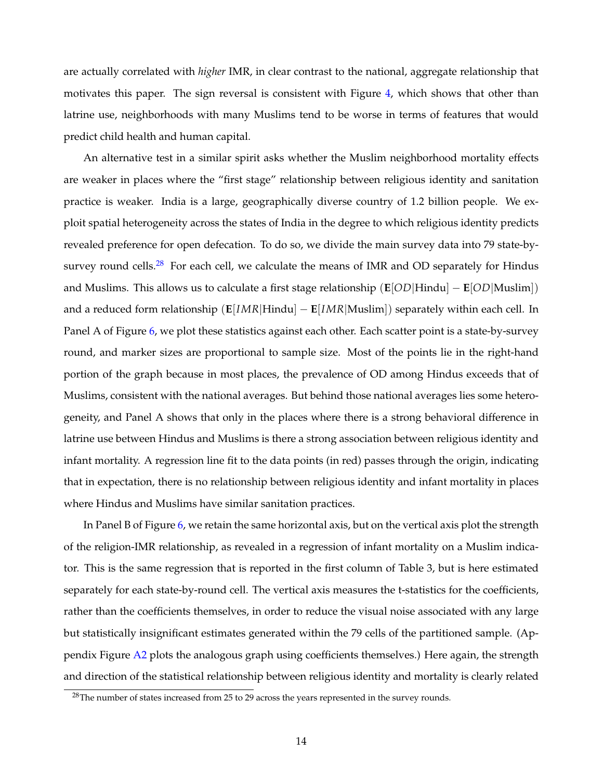are actually correlated with *higher* IMR, in clear contrast to the national, aggregate relationship that motivates this paper. The sign reversal is consistent with Figure [4,](#page-41-0) which shows that other than latrine use, neighborhoods with many Muslims tend to be worse in terms of features that would predict child health and human capital.

An alternative test in a similar spirit asks whether the Muslim neighborhood mortality effects are weaker in places where the "first stage" relationship between religious identity and sanitation practice is weaker. India is a large, geographically diverse country of 1.2 billion people. We exploit spatial heterogeneity across the states of India in the degree to which religious identity predicts revealed preference for open defecation. To do so, we divide the main survey data into 79 state-by-survey round cells.<sup>[28](#page-15-0)</sup> For each cell, we calculate the means of IMR and OD separately for Hindus and Muslims. This allows us to calculate a first stage relationship (**E**[*OD|*Hindu] **E**[*OD|*Muslim]) and a reduced form relationship (**E**[*IMR|*Hindu] **E**[*IMR|*Muslim]) separately within each cell. In Panel A of Figure [6,](#page-43-0) we plot these statistics against each other. Each scatter point is a state-by-survey round, and marker sizes are proportional to sample size. Most of the points lie in the right-hand portion of the graph because in most places, the prevalence of OD among Hindus exceeds that of Muslims, consistent with the national averages. But behind those national averages lies some heterogeneity, and Panel A shows that only in the places where there is a strong behavioral difference in latrine use between Hindus and Muslims is there a strong association between religious identity and infant mortality. A regression line fit to the data points (in red) passes through the origin, indicating that in expectation, there is no relationship between religious identity and infant mortality in places where Hindus and Muslims have similar sanitation practices.

In Panel B of Figure [6,](#page-43-0) we retain the same horizontal axis, but on the vertical axis plot the strength of the religion-IMR relationship, as revealed in a regression of infant mortality on a Muslim indicator. This is the same regression that is reported in the first column of Table 3, but is here estimated separately for each state-by-round cell. The vertical axis measures the t-statistics for the coefficients, rather than the coefficients themselves, in order to reduce the visual noise associated with any large but statistically insignificant estimates generated within the 79 cells of the partitioned sample. (Ap-pendix Figure [A2](#page-58-0) plots the analogous graph using coefficients themselves.) Here again, the strength and direction of the statistical relationship between religious identity and mortality is clearly related

<span id="page-15-0"></span> $28$ The number of states increased from 25 to 29 across the years represented in the survey rounds.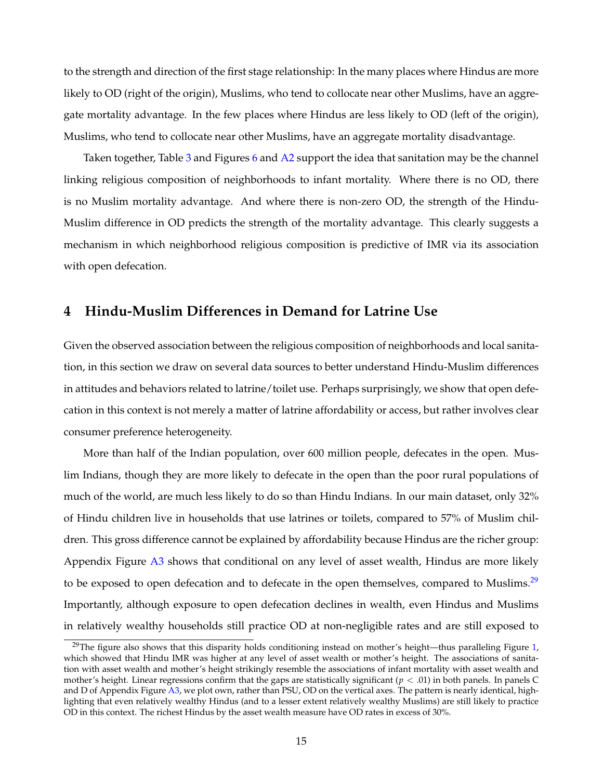to the strength and direction of the first stage relationship: In the many places where Hindus are more likely to OD (right of the origin), Muslims, who tend to collocate near other Muslims, have an aggregate mortality advantage. In the few places where Hindus are less likely to OD (left of the origin), Muslims, who tend to collocate near other Muslims, have an aggregate mortality disadvantage.

Taken together, Table [3](#page-46-0) and Figures [6](#page-43-0) and [A2](#page-58-0) support the idea that sanitation may be the channel linking religious composition of neighborhoods to infant mortality. Where there is no OD, there is no Muslim mortality advantage. And where there is non-zero OD, the strength of the Hindu-Muslim difference in OD predicts the strength of the mortality advantage. This clearly suggests a mechanism in which neighborhood religious composition is predictive of IMR via its association with open defecation.

## <span id="page-16-0"></span>**4 Hindu-Muslim Differences in Demand for Latrine Use**

Given the observed association between the religious composition of neighborhoods and local sanitation, in this section we draw on several data sources to better understand Hindu-Muslim differences in attitudes and behaviors related to latrine/toilet use. Perhaps surprisingly, we show that open defecation in this context is not merely a matter of latrine affordability or access, but rather involves clear consumer preference heterogeneity.

More than half of the Indian population, over 600 million people, defecates in the open. Muslim Indians, though they are more likely to defecate in the open than the poor rural populations of much of the world, are much less likely to do so than Hindu Indians. In our main dataset, only 32% of Hindu children live in households that use latrines or toilets, compared to 57% of Muslim children. This gross difference cannot be explained by affordability because Hindus are the richer group: Appendix Figure [A3](#page-59-0) shows that conditional on any level of asset wealth, Hindus are more likely to be exposed to open defecation and to defecate in the open themselves, compared to Muslims. $29$ Importantly, although exposure to open defecation declines in wealth, even Hindus and Muslims in relatively wealthy households still practice OD at non-negligible rates and are still exposed to

<span id="page-16-1"></span><sup>&</sup>lt;sup>29</sup>The figure also shows that this disparity holds conditioning instead on mother's height—thus paralleling Figure [1,](#page-38-0) which showed that Hindu IMR was higher at any level of asset wealth or mother's height. The associations of sanitation with asset wealth and mother's height strikingly resemble the associations of infant mortality with asset wealth and mother's height. Linear regressions confirm that the gaps are statistically significant (*p <* .01) in both panels. In panels C and D of Appendix Figure [A3,](#page-59-0) we plot own, rather than PSU, OD on the vertical axes. The pattern is nearly identical, highlighting that even relatively wealthy Hindus (and to a lesser extent relatively wealthy Muslims) are still likely to practice OD in this context. The richest Hindus by the asset wealth measure have OD rates in excess of 30%.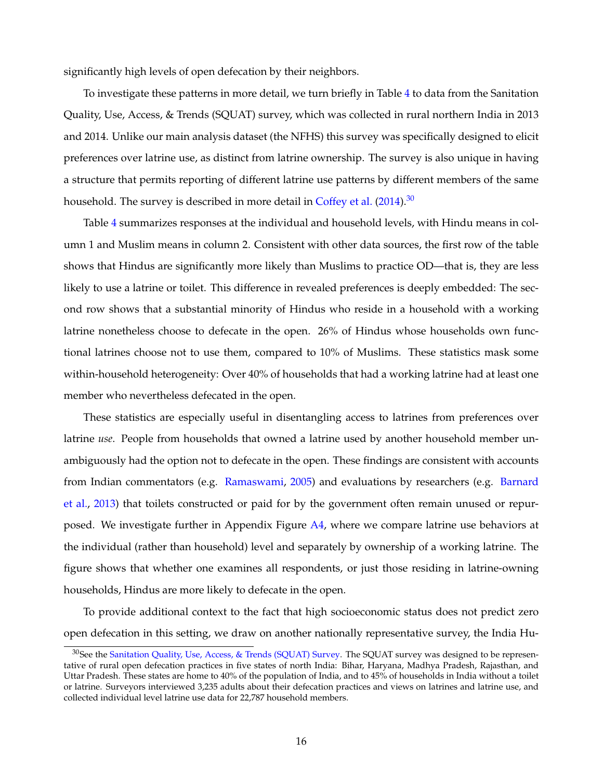significantly high levels of open defecation by their neighbors.

To investigate these patterns in more detail, we turn briefly in Table [4](#page-47-0) to data from the Sanitation Quality, Use, Access, & Trends (SQUAT) survey, which was collected in rural northern India in 2013 and 2014. Unlike our main analysis dataset (the NFHS) this survey was specifically designed to elicit preferences over latrine use, as distinct from latrine ownership. The survey is also unique in having a structure that permits reporting of different latrine use patterns by different members of the same household. The survey is described in more detail in [Coffey et al.](#page-34-1)  $(2014)$ .<sup>30</sup>

Table [4](#page-47-0) summarizes responses at the individual and household levels, with Hindu means in column 1 and Muslim means in column 2. Consistent with other data sources, the first row of the table shows that Hindus are significantly more likely than Muslims to practice OD—that is, they are less likely to use a latrine or toilet. This difference in revealed preferences is deeply embedded: The second row shows that a substantial minority of Hindus who reside in a household with a working latrine nonetheless choose to defecate in the open. 26% of Hindus whose households own functional latrines choose not to use them, compared to 10% of Muslims. These statistics mask some within-household heterogeneity: Over 40% of households that had a working latrine had at least one member who nevertheless defecated in the open.

These statistics are especially useful in disentangling access to latrines from preferences over latrine *use*. People from households that owned a latrine used by another household member unambiguously had the option not to defecate in the open. These findings are consistent with accounts from Indian commentators (e.g. [Ramaswami,](#page-36-3) [2005\)](#page-36-3) and evaluations by researchers (e.g. [Barnard](#page-34-11) [et al.,](#page-34-11) [2013\)](#page-34-11) that toilets constructed or paid for by the government often remain unused or repurposed. We investigate further in Appendix Figure [A4,](#page-60-0) where we compare latrine use behaviors at the individual (rather than household) level and separately by ownership of a working latrine. The figure shows that whether one examines all respondents, or just those residing in latrine-owning households, Hindus are more likely to defecate in the open.

To provide additional context to the fact that high socioeconomic status does not predict zero open defecation in this setting, we draw on another nationally representative survey, the India Hu-

<span id="page-17-0"></span><sup>30</sup>See the [Sanitation Quality, Use, Access, & Trends \(SQUAT\) Survey.](http://squatreport.in) The SQUAT survey was designed to be representative of rural open defecation practices in five states of north India: Bihar, Haryana, Madhya Pradesh, Rajasthan, and Uttar Pradesh. These states are home to 40% of the population of India, and to 45% of households in India without a toilet or latrine. Surveyors interviewed 3,235 adults about their defecation practices and views on latrines and latrine use, and collected individual level latrine use data for 22,787 household members.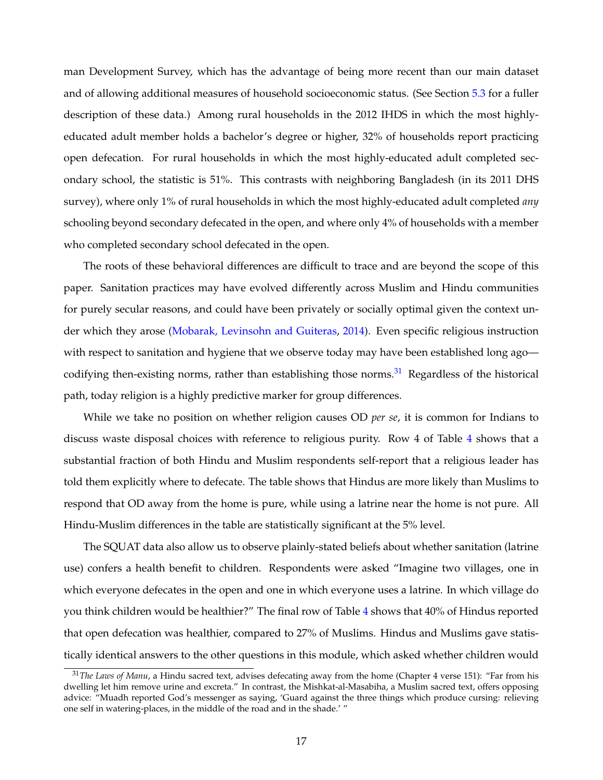man Development Survey, which has the advantage of being more recent than our main dataset and of allowing additional measures of household socioeconomic status. (See Section [5.3](#page-24-0) for a fuller description of these data.) Among rural households in the 2012 IHDS in which the most highlyeducated adult member holds a bachelor's degree or higher, 32% of households report practicing open defecation. For rural households in which the most highly-educated adult completed secondary school, the statistic is 51%. This contrasts with neighboring Bangladesh (in its 2011 DHS survey), where only 1% of rural households in which the most highly-educated adult completed *any* schooling beyond secondary defecated in the open, and where only 4% of households with a member who completed secondary school defecated in the open.

The roots of these behavioral differences are difficult to trace and are beyond the scope of this paper. Sanitation practices may have evolved differently across Muslim and Hindu communities for purely secular reasons, and could have been privately or socially optimal given the context under which they arose [\(Mobarak, Levinsohn and Guiteras,](#page-36-4) [2014\)](#page-36-4). Even specific religious instruction with respect to sanitation and hygiene that we observe today may have been established long ago codifying then-existing norms, rather than establishing those norms.<sup>31</sup> Regardless of the historical path, today religion is a highly predictive marker for group differences.

While we take no position on whether religion causes OD *per se*, it is common for Indians to discuss waste disposal choices with reference to religious purity. Row 4 of Table [4](#page-47-0) shows that a substantial fraction of both Hindu and Muslim respondents self-report that a religious leader has told them explicitly where to defecate. The table shows that Hindus are more likely than Muslims to respond that OD away from the home is pure, while using a latrine near the home is not pure. All Hindu-Muslim differences in the table are statistically significant at the 5% level.

The SQUAT data also allow us to observe plainly-stated beliefs about whether sanitation (latrine use) confers a health benefit to children. Respondents were asked "Imagine two villages, one in which everyone defecates in the open and one in which everyone uses a latrine. In which village do you think children would be healthier?" The final row of Table [4](#page-47-0) shows that 40% of Hindus reported that open defecation was healthier, compared to 27% of Muslims. Hindus and Muslims gave statistically identical answers to the other questions in this module, which asked whether children would

<span id="page-18-0"></span><sup>31</sup>*The Laws of Manu*, a Hindu sacred text, advises defecating away from the home (Chapter 4 verse 151): "Far from his dwelling let him remove urine and excreta." In contrast, the Mishkat-al-Masabiha, a Muslim sacred text, offers opposing advice: "Muadh reported God's messenger as saying, 'Guard against the three things which produce cursing: relieving one self in watering-places, in the middle of the road and in the shade.' "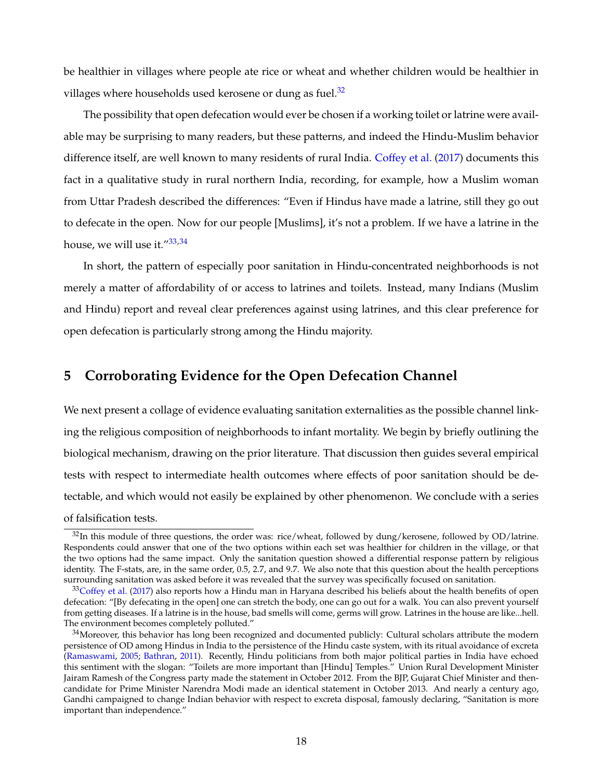be healthier in villages where people ate rice or wheat and whether children would be healthier in villages where households used kerosene or dung as fuel.<sup>32</sup>

The possibility that open defecation would ever be chosen if a working toilet or latrine were available may be surprising to many readers, but these patterns, and indeed the Hindu-Muslim behavior difference itself, are well known to many residents of rural India. [Coffey et al.](#page-34-5) [\(2017\)](#page-34-5) documents this fact in a qualitative study in rural northern India, recording, for example, how a Muslim woman from Uttar Pradesh described the differences: "Even if Hindus have made a latrine, still they go out to defecate in the open. Now for our people [Muslims], it's not a problem. If we have a latrine in the house, we will use it.["33,](#page-19-2)[34](#page-19-3)

In short, the pattern of especially poor sanitation in Hindu-concentrated neighborhoods is not merely a matter of affordability of or access to latrines and toilets. Instead, many Indians (Muslim and Hindu) report and reveal clear preferences against using latrines, and this clear preference for open defecation is particularly strong among the Hindu majority.

## <span id="page-19-0"></span>**5 Corroborating Evidence for the Open Defecation Channel**

We next present a collage of evidence evaluating sanitation externalities as the possible channel linking the religious composition of neighborhoods to infant mortality. We begin by briefly outlining the biological mechanism, drawing on the prior literature. That discussion then guides several empirical tests with respect to intermediate health outcomes where effects of poor sanitation should be detectable, and which would not easily be explained by other phenomenon. We conclude with a series of falsification tests.

<span id="page-19-1"></span> $32$ In this module of three questions, the order was: rice/wheat, followed by dung/kerosene, followed by OD/latrine. Respondents could answer that one of the two options within each set was healthier for children in the village, or that the two options had the same impact. Only the sanitation question showed a differential response pattern by religious identity. The F-stats, are, in the same order, 0.5, 2.7, and 9.7. We also note that this question about the health perceptions surrounding sanitation was asked before it was revealed that the survey was specifically focused on sanitation.

<span id="page-19-2"></span> $33C$  Offey et al. [\(2017\)](#page-34-5) also reports how a Hindu man in Haryana described his beliefs about the health benefits of open defecation: "[By defecating in the open] one can stretch the body, one can go out for a walk. You can also prevent yourself from getting diseases. If a latrine is in the house, bad smells will come, germs will grow. Latrines in the house are like...hell. The environment becomes completely polluted."

<span id="page-19-3"></span> $34$ Moreover, this behavior has long been recognized and documented publicly: Cultural scholars attribute the modern persistence of OD among Hindus in India to the persistence of the Hindu caste system, with its ritual avoidance of excreta [\(Ramaswami,](#page-36-3) [2005;](#page-36-3) [Bathran,](#page-34-12) [2011\)](#page-34-12). Recently, Hindu politicians from both major political parties in India have echoed this sentiment with the slogan: "Toilets are more important than [Hindu] Temples." Union Rural Development Minister Jairam Ramesh of the Congress party made the statement in October 2012. From the BJP, Gujarat Chief Minister and thencandidate for Prime Minister Narendra Modi made an identical statement in October 2013. And nearly a century ago, Gandhi campaigned to change Indian behavior with respect to excreta disposal, famously declaring, "Sanitation is more important than independence."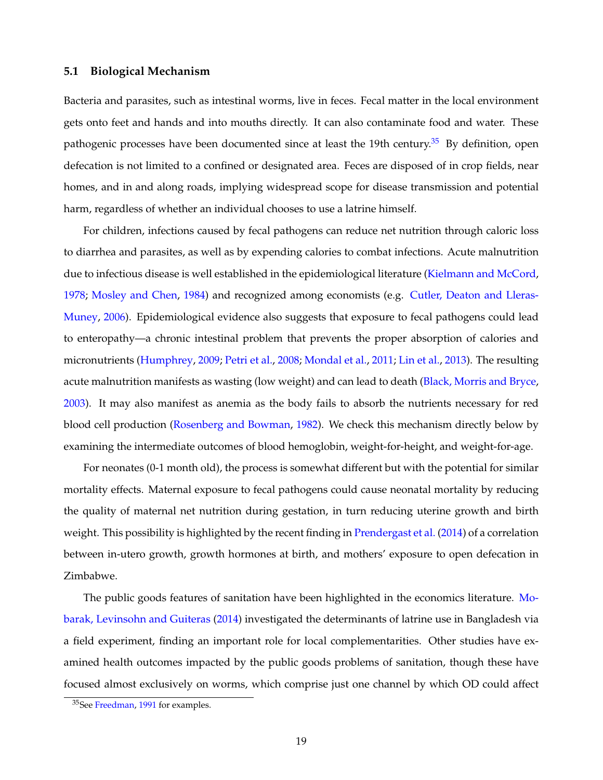#### <span id="page-20-0"></span>**5.1 Biological Mechanism**

Bacteria and parasites, such as intestinal worms, live in feces. Fecal matter in the local environment gets onto feet and hands and into mouths directly. It can also contaminate food and water. These pathogenic processes have been documented since at least the 19th century.<sup>35</sup> By definition, open defecation is not limited to a confined or designated area. Feces are disposed of in crop fields, near homes, and in and along roads, implying widespread scope for disease transmission and potential harm, regardless of whether an individual chooses to use a latrine himself.

For children, infections caused by fecal pathogens can reduce net nutrition through caloric loss to diarrhea and parasites, as well as by expending calories to combat infections. Acute malnutrition due to infectious disease is well established in the epidemiological literature [\(Kielmann and McCord,](#page-36-5) [1978;](#page-36-5) [Mosley and Chen,](#page-36-6) [1984\)](#page-36-6) and recognized among economists (e.g. [Cutler, Deaton and Lleras-](#page-34-13)[Muney,](#page-34-13) [2006\)](#page-34-13). Epidemiological evidence also suggests that exposure to fecal pathogens could lead to enteropathy—a chronic intestinal problem that prevents the proper absorption of calories and micronutrients [\(Humphrey,](#page-35-11) [2009;](#page-35-11) [Petri et al.,](#page-36-7) [2008;](#page-36-7) [Mondal et al.,](#page-36-8) [2011;](#page-36-8) [Lin et al.,](#page-36-9) [2013\)](#page-36-9). The resulting acute malnutrition manifests as wasting (low weight) and can lead to death [\(Black, Morris and Bryce,](#page-34-14) [2003\)](#page-34-14). It may also manifest as anemia as the body fails to absorb the nutrients necessary for red blood cell production [\(Rosenberg and Bowman,](#page-36-10) [1982\)](#page-36-10). We check this mechanism directly below by examining the intermediate outcomes of blood hemoglobin, weight-for-height, and weight-for-age.

For neonates (0-1 month old), the process is somewhat different but with the potential for similar mortality effects. Maternal exposure to fecal pathogens could cause neonatal mortality by reducing the quality of maternal net nutrition during gestation, in turn reducing uterine growth and birth weight. This possibility is highlighted by the recent finding in [Prendergast et al.](#page-36-11) [\(2014\)](#page-36-11) of a correlation between in-utero growth, growth hormones at birth, and mothers' exposure to open defecation in Zimbabwe.

The public goods features of sanitation have been highlighted in the economics literature. [Mo](#page-36-4)[barak, Levinsohn and Guiteras](#page-36-4) [\(2014\)](#page-36-4) investigated the determinants of latrine use in Bangladesh via a field experiment, finding an important role for local complementarities. Other studies have examined health outcomes impacted by the public goods problems of sanitation, though these have focused almost exclusively on worms, which comprise just one channel by which OD could affect

<span id="page-20-1"></span><sup>35</sup>See [Freedman,](#page-35-12) [1991](#page-35-12) for examples.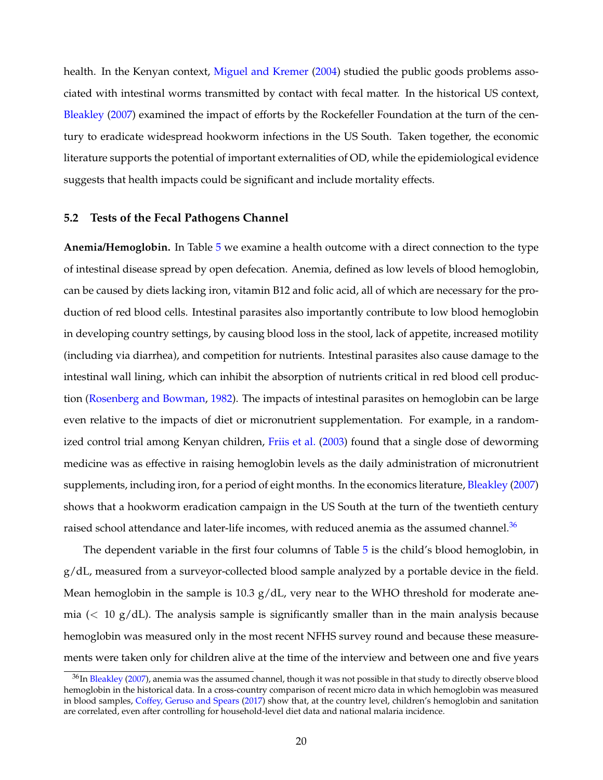health. In the Kenyan context, [Miguel and Kremer](#page-36-12) [\(2004\)](#page-36-12) studied the public goods problems associated with intestinal worms transmitted by contact with fecal matter. In the historical US context, [Bleakley](#page-34-6) [\(2007\)](#page-34-6) examined the impact of efforts by the Rockefeller Foundation at the turn of the century to eradicate widespread hookworm infections in the US South. Taken together, the economic literature supports the potential of important externalities of OD, while the epidemiological evidence suggests that health impacts could be significant and include mortality effects.

#### **5.2 Tests of the Fecal Pathogens Channel**

**Anemia/Hemoglobin.** In Table [5](#page-48-0) we examine a health outcome with a direct connection to the type of intestinal disease spread by open defecation. Anemia, defined as low levels of blood hemoglobin, can be caused by diets lacking iron, vitamin B12 and folic acid, all of which are necessary for the production of red blood cells. Intestinal parasites also importantly contribute to low blood hemoglobin in developing country settings, by causing blood loss in the stool, lack of appetite, increased motility (including via diarrhea), and competition for nutrients. Intestinal parasites also cause damage to the intestinal wall lining, which can inhibit the absorption of nutrients critical in red blood cell production [\(Rosenberg and Bowman,](#page-36-10) [1982\)](#page-36-10). The impacts of intestinal parasites on hemoglobin can be large even relative to the impacts of diet or micronutrient supplementation. For example, in a randomized control trial among Kenyan children, [Friis et al.](#page-35-13) [\(2003\)](#page-35-13) found that a single dose of deworming medicine was as effective in raising hemoglobin levels as the daily administration of micronutrient supplements, including iron, for a period of eight months. In the economics literature, [Bleakley](#page-34-6) [\(2007\)](#page-34-6) shows that a hookworm eradication campaign in the US South at the turn of the twentieth century raised school attendance and later-life incomes, with reduced anemia as the assumed channel.<sup>36</sup>

The dependent variable in the first four columns of Table [5](#page-48-0) is the child's blood hemoglobin, in  $g/dL$ , measured from a surveyor-collected blood sample analyzed by a portable device in the field. Mean hemoglobin in the sample is 10.3  $g/dL$ , very near to the WHO threshold for moderate anemia (*<* 10 g/dL). The analysis sample is significantly smaller than in the main analysis because hemoglobin was measured only in the most recent NFHS survey round and because these measurements were taken only for children alive at the time of the interview and between one and five years

<span id="page-21-0"></span><sup>&</sup>lt;sup>36</sup>In [Bleakley](#page-34-6) [\(2007\)](#page-34-6), anemia was the assumed channel, though it was not possible in that study to directly observe blood hemoglobin in the historical data. In a cross-country comparison of recent micro data in which hemoglobin was measured in blood samples, [Coffey, Geruso and Spears](#page-34-15) [\(2017\)](#page-34-15) show that, at the country level, children's hemoglobin and sanitation are correlated, even after controlling for household-level diet data and national malaria incidence.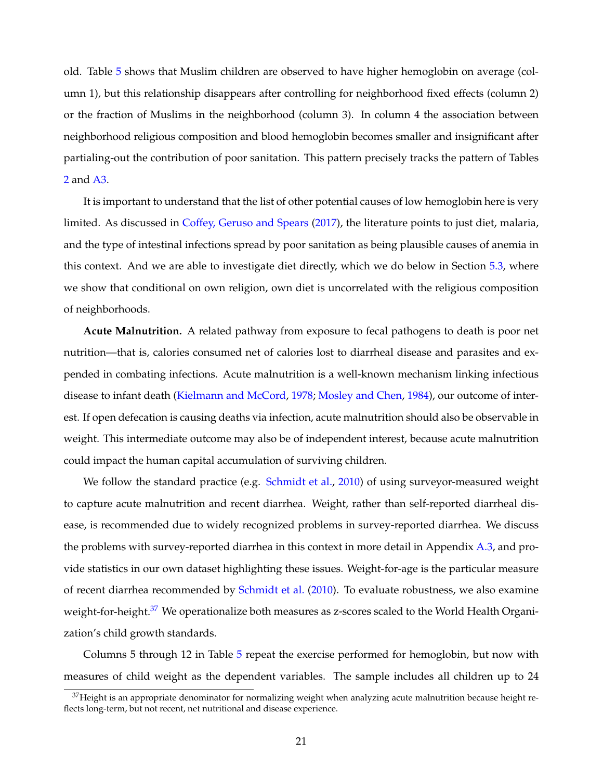old. Table [5](#page-48-0) shows that Muslim children are observed to have higher hemoglobin on average (column 1), but this relationship disappears after controlling for neighborhood fixed effects (column 2) or the fraction of Muslims in the neighborhood (column 3). In column 4 the association between neighborhood religious composition and blood hemoglobin becomes smaller and insignificant after partialing-out the contribution of poor sanitation. This pattern precisely tracks the pattern of Tables [2](#page-45-0) and [A3.](#page-65-0)

It is important to understand that the list of other potential causes of low hemoglobin here is very limited. As discussed in [Coffey, Geruso and Spears](#page-34-15) [\(2017\)](#page-34-15), the literature points to just diet, malaria, and the type of intestinal infections spread by poor sanitation as being plausible causes of anemia in this context. And we are able to investigate diet directly, which we do below in Section [5.3,](#page-24-0) where we show that conditional on own religion, own diet is uncorrelated with the religious composition of neighborhoods.

**Acute Malnutrition.** A related pathway from exposure to fecal pathogens to death is poor net nutrition—that is, calories consumed net of calories lost to diarrheal disease and parasites and expended in combating infections. Acute malnutrition is a well-known mechanism linking infectious disease to infant death [\(Kielmann and McCord,](#page-36-5) [1978;](#page-36-5) [Mosley and Chen,](#page-36-6) [1984\)](#page-36-6), our outcome of interest. If open defecation is causing deaths via infection, acute malnutrition should also be observable in weight. This intermediate outcome may also be of independent interest, because acute malnutrition could impact the human capital accumulation of surviving children.

We follow the standard practice (e.g. [Schmidt et al.,](#page-36-13) [2010\)](#page-36-13) of using surveyor-measured weight to capture acute malnutrition and recent diarrhea. Weight, rather than self-reported diarrheal disease, is recommended due to widely recognized problems in survey-reported diarrhea. We discuss the problems with survey-reported diarrhea in this context in more detail in Appendix [A.3,](#page-55-0) and provide statistics in our own dataset highlighting these issues. Weight-for-age is the particular measure of recent diarrhea recommended by [Schmidt et al.](#page-36-13) [\(2010\)](#page-36-13). To evaluate robustness, we also examine weight-for-height.<sup>37</sup> We operationalize both measures as z-scores scaled to the World Health Organization's child growth standards.

Columns 5 through 12 in Table [5](#page-48-0) repeat the exercise performed for hemoglobin, but now with measures of child weight as the dependent variables. The sample includes all children up to 24

<span id="page-22-0"></span> $37$ Height is an appropriate denominator for normalizing weight when analyzing acute malnutrition because height reflects long-term, but not recent, net nutritional and disease experience.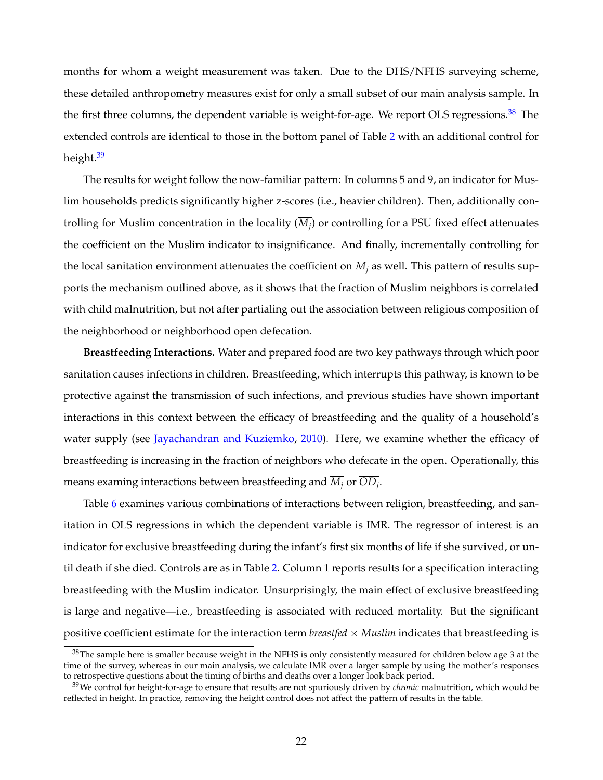months for whom a weight measurement was taken. Due to the DHS/NFHS surveying scheme, these detailed anthropometry measures exist for only a small subset of our main analysis sample. In the first three columns, the dependent variable is weight-for-age. We report OLS regressions.<sup>[38](#page-23-0)</sup> The extended controls are identical to those in the bottom panel of Table [2](#page-45-0) with an additional control for height.<sup>39</sup>

The results for weight follow the now-familiar pattern: In columns 5 and 9, an indicator for Muslim households predicts significantly higher z-scores (i.e., heavier children). Then, additionally controlling for Muslim concentration in the locality (*Mj*) or controlling for a PSU fixed effect attenuates the coefficient on the Muslim indicator to insignificance. And finally, incrementally controlling for the local sanitation environment attenuates the coefficient on  $\overline{M}_i$  as well. This pattern of results supports the mechanism outlined above, as it shows that the fraction of Muslim neighbors is correlated with child malnutrition, but not after partialing out the association between religious composition of the neighborhood or neighborhood open defecation.

**Breastfeeding Interactions.** Water and prepared food are two key pathways through which poor sanitation causes infections in children. Breastfeeding, which interrupts this pathway, is known to be protective against the transmission of such infections, and previous studies have shown important interactions in this context between the efficacy of breastfeeding and the quality of a household's water supply (see [Jayachandran and Kuziemko,](#page-35-14) [2010\)](#page-35-14). Here, we examine whether the efficacy of breastfeeding is increasing in the fraction of neighbors who defecate in the open. Operationally, this means examing interactions between breastfeeding and  $\overline{M_i}$  or  $\overline{OD_i}$ .

Table [6](#page-49-0) examines various combinations of interactions between religion, breastfeeding, and sanitation in OLS regressions in which the dependent variable is IMR. The regressor of interest is an indicator for exclusive breastfeeding during the infant's first six months of life if she survived, or until death if she died. Controls are as in Table [2.](#page-45-0) Column 1 reports results for a specification interacting breastfeeding with the Muslim indicator. Unsurprisingly, the main effect of exclusive breastfeeding is large and negative—i.e., breastfeeding is associated with reduced mortality. But the significant positive coefficient estimate for the interaction term *breastfed*  $\times$  *Muslim* indicates that breastfeeding is

<span id="page-23-0"></span> $38$ The sample here is smaller because weight in the NFHS is only consistently measured for children below age 3 at the time of the survey, whereas in our main analysis, we calculate IMR over a larger sample by using the mother's responses to retrospective questions about the timing of births and deaths over a longer look back period.

<span id="page-23-1"></span><sup>39</sup>We control for height-for-age to ensure that results are not spuriously driven by *chronic* malnutrition, which would be reflected in height. In practice, removing the height control does not affect the pattern of results in the table.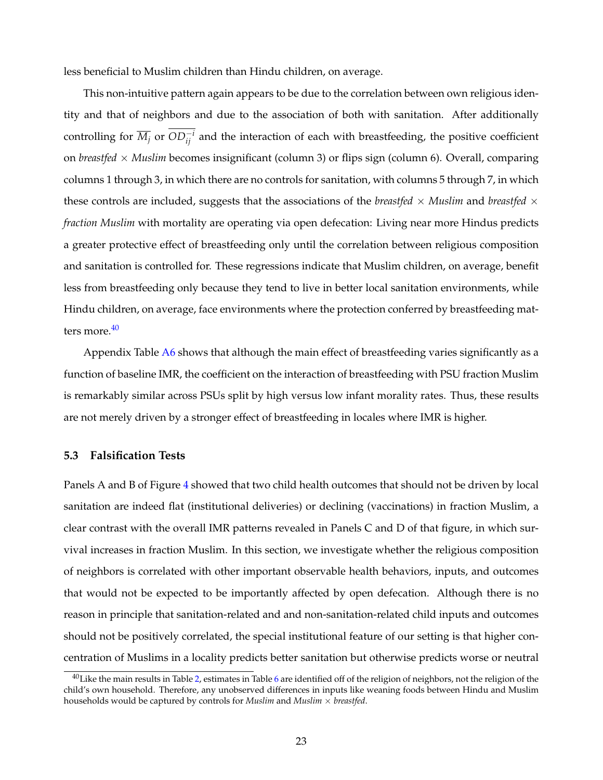less beneficial to Muslim children than Hindu children, on average.

This non-intuitive pattern again appears to be due to the correlation between own religious identity and that of neighbors and due to the association of both with sanitation. After additionally controlling for  $\overline{M_j}$  or  $OD_{ij}^{-i}$  and the interaction of each with breastfeeding, the positive coefficient on *breastfed* ⇥ *Muslim* becomes insignificant (column 3) or flips sign (column 6). Overall, comparing columns 1 through 3, in which there are no controls for sanitation, with columns 5 through 7, in which these controls are included, suggests that the associations of the *breastfed*  $\times$  *Muslim* and *breastfed*  $\times$ *fraction Muslim* with mortality are operating via open defecation: Living near more Hindus predicts a greater protective effect of breastfeeding only until the correlation between religious composition and sanitation is controlled for. These regressions indicate that Muslim children, on average, benefit less from breastfeeding only because they tend to live in better local sanitation environments, while Hindu children, on average, face environments where the protection conferred by breastfeeding matters more  $40$ 

Appendix Table [A6](#page-68-0) shows that although the main effect of breastfeeding varies significantly as a function of baseline IMR, the coefficient on the interaction of breastfeeding with PSU fraction Muslim is remarkably similar across PSUs split by high versus low infant morality rates. Thus, these results are not merely driven by a stronger effect of breastfeeding in locales where IMR is higher.

### <span id="page-24-0"></span>**5.3 Falsification Tests**

Panels A and B of Figure [4](#page-41-0) showed that two child health outcomes that should not be driven by local sanitation are indeed flat (institutional deliveries) or declining (vaccinations) in fraction Muslim, a clear contrast with the overall IMR patterns revealed in Panels C and D of that figure, in which survival increases in fraction Muslim. In this section, we investigate whether the religious composition of neighbors is correlated with other important observable health behaviors, inputs, and outcomes that would not be expected to be importantly affected by open defecation. Although there is no reason in principle that sanitation-related and and non-sanitation-related child inputs and outcomes should not be positively correlated, the special institutional feature of our setting is that higher concentration of Muslims in a locality predicts better sanitation but otherwise predicts worse or neutral

<span id="page-24-1"></span> $40$  Like the main results in Table [2,](#page-45-0) estimates in Table [6](#page-49-0) are identified off of the religion of neighbors, not the religion of the child's own household. Therefore, any unobserved differences in inputs like weaning foods between Hindu and Muslim households would be captured by controls for *Muslim* and *Muslim*  $\times$  *breastfed*.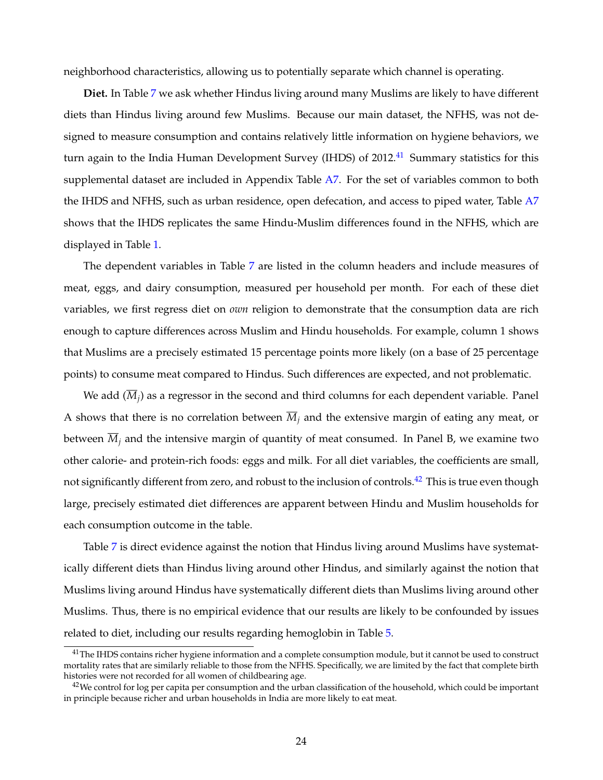neighborhood characteristics, allowing us to potentially separate which channel is operating.

**Diet.** In Table [7](#page-50-0) we ask whether Hindus living around many Muslims are likely to have different diets than Hindus living around few Muslims. Because our main dataset, the NFHS, was not designed to measure consumption and contains relatively little information on hygiene behaviors, we turn again to the India Human Development Survey (IHDS) of  $2012<sup>41</sup>$  Summary statistics for this supplemental dataset are included in Appendix Table [A7.](#page-69-0) For the set of variables common to both the IHDS and NFHS, such as urban residence, open defecation, and access to piped water, Table [A7](#page-69-0) shows that the IHDS replicates the same Hindu-Muslim differences found in the NFHS, which are displayed in Table [1.](#page-44-0)

The dependent variables in Table [7](#page-50-0) are listed in the column headers and include measures of meat, eggs, and dairy consumption, measured per household per month. For each of these diet variables, we first regress diet on *own* religion to demonstrate that the consumption data are rich enough to capture differences across Muslim and Hindu households. For example, column 1 shows that Muslims are a precisely estimated 15 percentage points more likely (on a base of 25 percentage points) to consume meat compared to Hindus. Such differences are expected, and not problematic.

We add  $(\overline{M}_i)$  as a regressor in the second and third columns for each dependent variable. Panel A shows that there is no correlation between  $\overline{M}_i$  and the extensive margin of eating any meat, or between  $M_i$  and the intensive margin of quantity of meat consumed. In Panel B, we examine two other calorie- and protein-rich foods: eggs and milk. For all diet variables, the coefficients are small, not significantly different from zero, and robust to the inclusion of controls.<sup>42</sup> This is true even though large, precisely estimated diet differences are apparent between Hindu and Muslim households for each consumption outcome in the table.

Table [7](#page-50-0) is direct evidence against the notion that Hindus living around Muslims have systematically different diets than Hindus living around other Hindus, and similarly against the notion that Muslims living around Hindus have systematically different diets than Muslims living around other Muslims. Thus, there is no empirical evidence that our results are likely to be confounded by issues related to diet, including our results regarding hemoglobin in Table [5.](#page-48-0)

<span id="page-25-0"></span><sup>&</sup>lt;sup>41</sup>The IHDS contains richer hygiene information and a complete consumption module, but it cannot be used to construct mortality rates that are similarly reliable to those from the NFHS. Specifically, we are limited by the fact that complete birth histories were not recorded for all women of childbearing age.

<span id="page-25-1"></span> $42$ We control for log per capita per consumption and the urban classification of the household, which could be important in principle because richer and urban households in India are more likely to eat meat.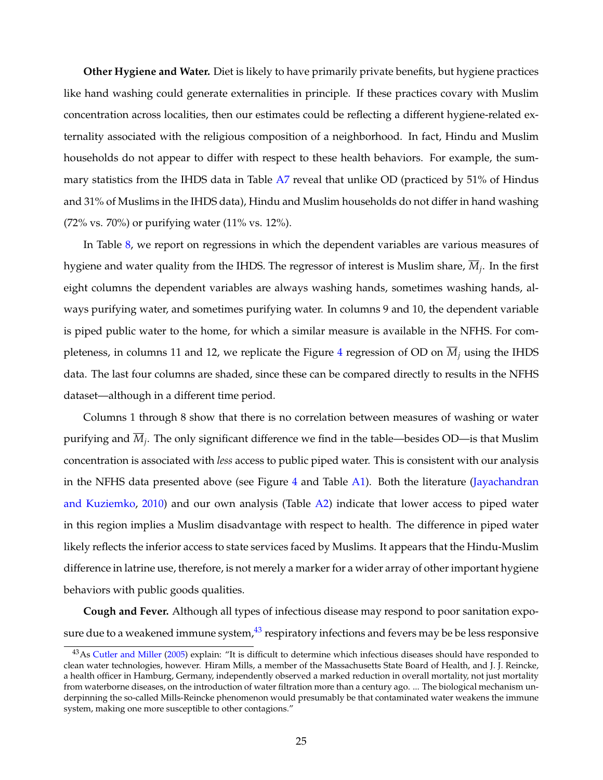**Other Hygiene and Water.** Diet is likely to have primarily private benefits, but hygiene practices like hand washing could generate externalities in principle. If these practices covary with Muslim concentration across localities, then our estimates could be reflecting a different hygiene-related externality associated with the religious composition of a neighborhood. In fact, Hindu and Muslim households do not appear to differ with respect to these health behaviors. For example, the summary statistics from the IHDS data in Table [A7](#page-69-0) reveal that unlike OD (practiced by 51% of Hindus and 31% of Muslims in the IHDS data), Hindu and Muslim households do not differ in hand washing (72% vs. 70%) or purifying water (11% vs. 12%).

In Table [8,](#page-51-0) we report on regressions in which the dependent variables are various measures of hygiene and water quality from the IHDS. The regressor of interest is Muslim share,  $\overline{M}_i$ . In the first eight columns the dependent variables are always washing hands, sometimes washing hands, always purifying water, and sometimes purifying water. In columns 9 and 10, the dependent variable is piped public water to the home, for which a similar measure is available in the NFHS. For com-pleteness, in columns 11 and 12, we replicate the Figure [4](#page-41-0) regression of OD on  $\overline{M}_i$  using the IHDS data. The last four columns are shaded, since these can be compared directly to results in the NFHS dataset—although in a different time period.

Columns 1 through 8 show that there is no correlation between measures of washing or water purifying and  $M_i$ . The only significant difference we find in the table—besides OD—is that Muslim concentration is associated with *less* access to public piped water. This is consistent with our analysis in the NFHS data presented above (see Figure [4](#page-41-0) and Table [A1\)](#page-63-0). Both the literature [\(Jayachandran](#page-35-14) [and Kuziemko,](#page-35-14) [2010\)](#page-35-14) and our own analysis (Table [A2\)](#page-64-0) indicate that lower access to piped water in this region implies a Muslim disadvantage with respect to health. The difference in piped water likely reflects the inferior access to state services faced by Muslims. It appears that the Hindu-Muslim difference in latrine use, therefore, is not merely a marker for a wider array of other important hygiene behaviors with public goods qualities.

**Cough and Fever.** Although all types of infectious disease may respond to poor sanitation exposure due to a weakened immune system, $43$  respiratory infections and fevers may be be less responsive

<span id="page-26-0"></span><sup>43</sup>As [Cutler and Miller](#page-34-7) [\(2005\)](#page-34-7) explain: "It is difficult to determine which infectious diseases should have responded to clean water technologies, however. Hiram Mills, a member of the Massachusetts State Board of Health, and J. J. Reincke, a health officer in Hamburg, Germany, independently observed a marked reduction in overall mortality, not just mortality from waterborne diseases, on the introduction of water filtration more than a century ago. ... The biological mechanism underpinning the so-called Mills-Reincke phenomenon would presumably be that contaminated water weakens the immune system, making one more susceptible to other contagions."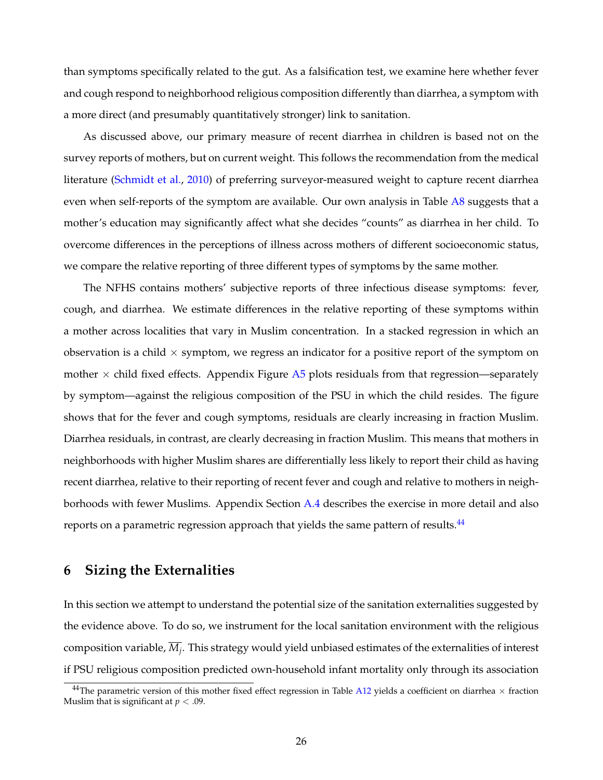than symptoms specifically related to the gut. As a falsification test, we examine here whether fever and cough respond to neighborhood religious composition differently than diarrhea, a symptom with a more direct (and presumably quantitatively stronger) link to sanitation.

As discussed above, our primary measure of recent diarrhea in children is based not on the survey reports of mothers, but on current weight. This follows the recommendation from the medical literature [\(Schmidt et al.,](#page-36-13) [2010\)](#page-36-13) of preferring surveyor-measured weight to capture recent diarrhea even when self-reports of the symptom are available. Our own analysis in Table [A8](#page-70-0) suggests that a mother's education may significantly affect what she decides "counts" as diarrhea in her child. To overcome differences in the perceptions of illness across mothers of different socioeconomic status, we compare the relative reporting of three different types of symptoms by the same mother.

The NFHS contains mothers' subjective reports of three infectious disease symptoms: fever, cough, and diarrhea. We estimate differences in the relative reporting of these symptoms within a mother across localities that vary in Muslim concentration. In a stacked regression in which an observation is a child  $\times$  symptom, we regress an indicator for a positive report of the symptom on mother  $\times$  child fixed effects. Appendix Figure [A5](#page-61-0) plots residuals from that regression—separately by symptom—against the religious composition of the PSU in which the child resides. The figure shows that for the fever and cough symptoms, residuals are clearly increasing in fraction Muslim. Diarrhea residuals, in contrast, are clearly decreasing in fraction Muslim. This means that mothers in neighborhoods with higher Muslim shares are differentially less likely to report their child as having recent diarrhea, relative to their reporting of recent fever and cough and relative to mothers in neighborhoods with fewer Muslims. Appendix Section [A.4](#page-55-1) describes the exercise in more detail and also reports on a parametric regression approach that yields the same pattern of results.<sup>44</sup>

## <span id="page-27-0"></span>**6 Sizing the Externalities**

In this section we attempt to understand the potential size of the sanitation externalities suggested by the evidence above. To do so, we instrument for the local sanitation environment with the religious composition variable, *Mj*. This strategy would yield unbiased estimates of the externalities of interest if PSU religious composition predicted own-household infant mortality only through its association

<span id="page-27-1"></span><sup>&</sup>lt;sup>44</sup>The parametric version of this mother fixed effect regression in Table [A12](#page-74-0) yields a coefficient on diarrhea  $\times$  fraction Muslim that is significant at  $p < .09$ .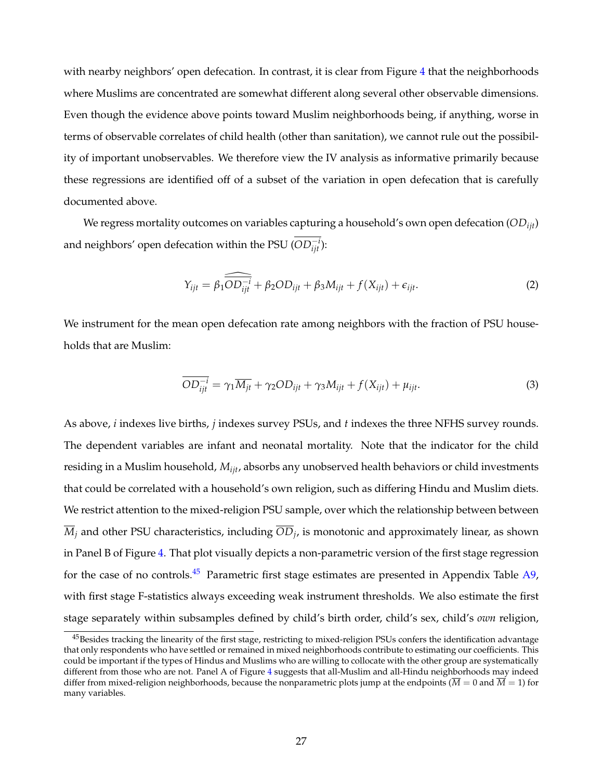with nearby neighbors' open defecation. In contrast, it is clear from Figure [4](#page-41-0) that the neighborhoods where Muslims are concentrated are somewhat different along several other observable dimensions. Even though the evidence above points toward Muslim neighborhoods being, if anything, worse in terms of observable correlates of child health (other than sanitation), we cannot rule out the possibility of important unobservables. We therefore view the IV analysis as informative primarily because these regressions are identified off of a subset of the variation in open defecation that is carefully documented above.

We regress mortality outcomes on variables capturing a household's own open defecation (*ODijt*) and neighbors' open defecation within the PSU  $(OD_{ijt}^{-i})$ :

$$
Y_{ijt} = \beta_1 \widehat{\overline{OD_{ijt}}^i} + \beta_2 OD_{ijt} + \beta_3 M_{ijt} + f(X_{ijt}) + \epsilon_{ijt}.
$$
 (2)

We instrument for the mean open defecation rate among neighbors with the fraction of PSU households that are Muslim:

$$
\overline{OD_{ijt}^{-i}} = \gamma_1 \overline{M_{jt}} + \gamma_2 OD_{ijt} + \gamma_3 M_{ijt} + f(X_{ijt}) + \mu_{ijt}.
$$
\n(3)

As above, *i* indexes live births, *j* indexes survey PSUs, and *t* indexes the three NFHS survey rounds. The dependent variables are infant and neonatal mortality. Note that the indicator for the child residing in a Muslim household, *Mijt*, absorbs any unobserved health behaviors or child investments that could be correlated with a household's own religion, such as differing Hindu and Muslim diets. We restrict attention to the mixed-religion PSU sample, over which the relationship between between  $\overline{M}_i$  and other PSU characteristics, including  $\overline{OD}_i$  is monotonic and approximately linear, as shown in Panel B of Figure [4.](#page-41-0) That plot visually depicts a non-parametric version of the first stage regression for the case of no controls.<sup>45</sup> Parametric first stage estimates are presented in Appendix Table  $A9$ , with first stage F-statistics always exceeding weak instrument thresholds. We also estimate the first stage separately within subsamples defined by child's birth order, child's sex, child's *own* religion,

<span id="page-28-0"></span><sup>&</sup>lt;sup>45</sup>Besides tracking the linearity of the first stage, restricting to mixed-religion PSUs confers the identification advantage that only respondents who have settled or remained in mixed neighborhoods contribute to estimating our coefficients. This could be important if the types of Hindus and Muslims who are willing to collocate with the other group are systematically different from those who are not. Panel A of Figure [4](#page-41-0) suggests that all-Muslim and all-Hindu neighborhoods may indeed differ from mixed-religion neighborhoods, because the nonparametric plots jump at the endpoints ( $\overline{M} = 0$  and  $\overline{M} = 1$ ) for many variables.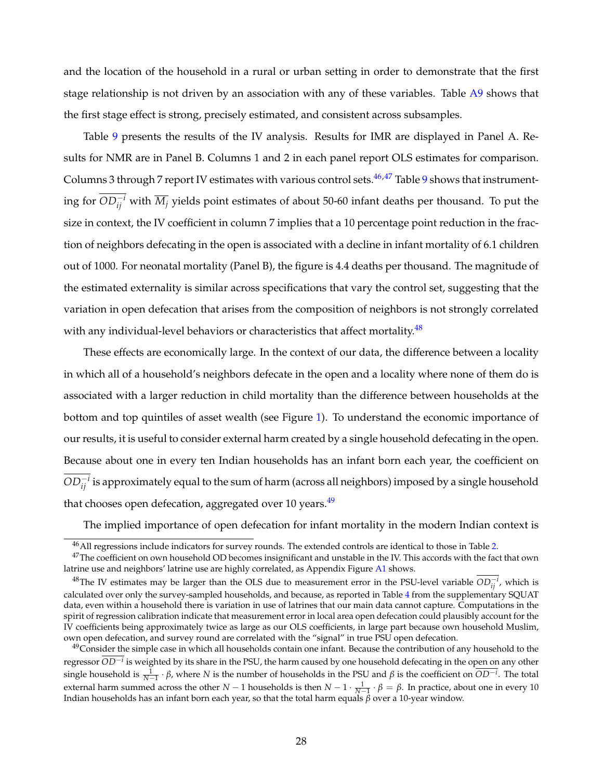and the location of the household in a rural or urban setting in order to demonstrate that the first stage relationship is not driven by an association with any of these variables. Table [A9](#page-71-0) shows that the first stage effect is strong, precisely estimated, and consistent across subsamples.

Table [9](#page-52-0) presents the results of the IV analysis. Results for IMR are displayed in Panel A. Results for NMR are in Panel B. Columns 1 and 2 in each panel report OLS estimates for comparison. Columns 3 through 7 report IV estimates with various control sets. $46,47$  $46,47$  Table [9](#page-52-0) shows that instrumenting for  $OD_{ij}^{-i}$  with  $\overline{M}_j$  yields point estimates of about 50-60 infant deaths per thousand. To put the size in context, the IV coefficient in column 7 implies that a 10 percentage point reduction in the fraction of neighbors defecating in the open is associated with a decline in infant mortality of 6.1 children out of 1000. For neonatal mortality (Panel B), the figure is 4.4 deaths per thousand. The magnitude of the estimated externality is similar across specifications that vary the control set, suggesting that the variation in open defecation that arises from the composition of neighbors is not strongly correlated with any individual-level behaviors or characteristics that affect mortality.<sup>48</sup>

These effects are economically large. In the context of our data, the difference between a locality in which all of a household's neighbors defecate in the open and a locality where none of them do is associated with a larger reduction in child mortality than the difference between households at the bottom and top quintiles of asset wealth (see Figure [1\)](#page-38-0). To understand the economic importance of our results, it is useful to consider external harm created by a single household defecating in the open. Because about one in every ten Indian households has an infant born each year, the coefficient on  $OD_{ij}^{-i}$  is approximately equal to the sum of harm (across all neighbors) imposed by a single household that chooses open defecation, aggregated over 10 years.<sup>49</sup>

The implied importance of open defecation for infant mortality in the modern Indian context is

<span id="page-29-1"></span><span id="page-29-0"></span> $46$ All regressions include indicators for survey rounds. The extended controls are identical to those in Table [2.](#page-45-0)

 $47$ The coefficient on own household OD becomes insignificant and unstable in the IV. This accords with the fact that own latrine use and neighbors' latrine use are highly correlated, as Appendix Figure [A1](#page-57-0) shows.

<span id="page-29-2"></span> $^{48}$ The IV estimates may be larger than the OLS due to measurement error in the PSU-level variable  $OD_{ij}^{-i}$ , which is calculated over only the survey-sampled households, and because, as reported in Table [4](#page-47-0) from the supplementary SQUAT data, even within a household there is variation in use of latrines that our main data cannot capture. Computations in the spirit of regression calibration indicate that measurement error in local area open defecation could plausibly account for the IV coefficients being approximately twice as large as our OLS coefficients, in large part because own household Muslim, own open defecation, and survey round are correlated with the "signal" in true PSU open defecation.

<span id="page-29-3"></span><sup>&</sup>lt;sup>49</sup>Consider the simple case in which all households contain one infant. Because the contribution of any household to the regressor  $\overline{OD^{-i}}$  is weighted by its share in the PSU, the harm caused by one household defecating in the open on any other single household is  $\frac{1}{N-1} \cdot \beta$ , where *N* is the number of households in the PSU and  $\beta$  is the coefficient on  $\overline{OD^{-i}}$ . The total external harm summed across the other  $N-1$  households is then  $N-1 \cdot \frac{1}{N-1} \cdot \beta = \beta$ . In practice, about one in every 10 Indian households has an infant born each year, so that the total harm equals  $\beta$  over a 10-year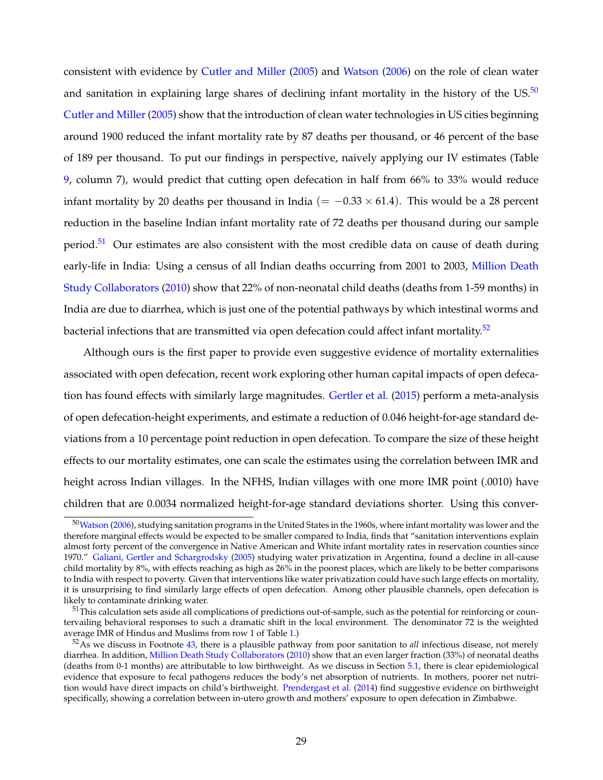consistent with evidence by [Cutler and Miller](#page-34-7) [\(2005\)](#page-34-7) and [Watson](#page-37-1) [\(2006\)](#page-37-1) on the role of clean water and sanitation in explaining large shares of declining infant mortality in the history of the US.<sup>50</sup> [Cutler and Miller](#page-34-7) [\(2005\)](#page-34-7) show that the introduction of clean water technologies in US cities beginning around 1900 reduced the infant mortality rate by 87 deaths per thousand, or 46 percent of the base of 189 per thousand. To put our findings in perspective, naively applying our IV estimates (Table [9,](#page-52-0) column 7), would predict that cutting open defecation in half from 66% to 33% would reduce infant mortality by 20 deaths per thousand in India ( $= -0.33 \times 61.4$ ). This would be a 28 percent reduction in the baseline Indian infant mortality rate of 72 deaths per thousand during our sample period.<sup>[51](#page-30-1)</sup> Our estimates are also consistent with the most credible data on cause of death during early-life in India: Using a census of all Indian deaths occurring from 2001 to 2003, [Million Death](#page-36-1) [Study Collaborators](#page-36-1) [\(2010\)](#page-36-1) show that 22% of non-neonatal child deaths (deaths from 1-59 months) in India are due to diarrhea, which is just one of the potential pathways by which intestinal worms and bacterial infections that are transmitted via open defecation could affect infant mortality.<sup>[52](#page-30-2)</sup>

Although ours is the first paper to provide even suggestive evidence of mortality externalities associated with open defecation, recent work exploring other human capital impacts of open defecation has found effects with similarly large magnitudes. [Gertler et al.](#page-35-6) [\(2015\)](#page-35-6) perform a meta-analysis of open defecation-height experiments, and estimate a reduction of 0.046 height-for-age standard deviations from a 10 percentage point reduction in open defecation. To compare the size of these height effects to our mortality estimates, one can scale the estimates using the correlation between IMR and height across Indian villages. In the NFHS, Indian villages with one more IMR point (.0010) have children that are 0.0034 normalized height-for-age standard deviations shorter. Using this conver-

<span id="page-30-0"></span><sup>5</sup>[0Watson](#page-37-1) [\(2006\)](#page-37-1), studying sanitation programs in the United States in the 1960s, where infant mortality was lower and the therefore marginal effects would be expected to be smaller compared to India, finds that "sanitation interventions explain almost forty percent of the convergence in Native American and White infant mortality rates in reservation counties since 1970." [Galiani, Gertler and Schargrodsky](#page-35-15) [\(2005\)](#page-35-15) studying water privatization in Argentina, found a decline in all-cause child mortality by 8%, with effects reaching as high as 26% in the poorest places, which are likely to be better comparisons to India with respect to poverty. Given that interventions like water privatization could have such large effects on mortality, it is unsurprising to find similarly large effects of open defecation. Among other plausible channels, open defecation is likely to contaminate drinking water.

<span id="page-30-1"></span><sup>&</sup>lt;sup>51</sup>This calculation sets aside all complications of predictions out-of-sample, such as the potential for reinforcing or countervailing behavioral responses to such a dramatic shift in the local environment. The denominator 72 is the weighted average IMR of Hindus and Muslims from row 1 of Table [1.](#page-44-0))

<span id="page-30-2"></span><sup>52</sup>As we discuss in Footnote [43,](#page-26-0) there is a plausible pathway from poor sanitation to *all* infectious disease, not merely diarrhea. In addition, [Million Death Study Collaborators](#page-36-1) [\(2010\)](#page-36-1) show that an even larger fraction (33%) of neonatal deaths (deaths from 0-1 months) are attributable to low birthweight. As we discuss in Section [5.1,](#page-20-0) there is clear epidemiological evidence that exposure to fecal pathogens reduces the body's net absorption of nutrients. In mothers, poorer net nutrition would have direct impacts on child's birthweight. [Prendergast et al.](#page-36-11) [\(2014\)](#page-36-11) find suggestive evidence on birthweight specifically, showing a correlation between in-utero growth and mothers' exposure to open defecation in Zimbabwe.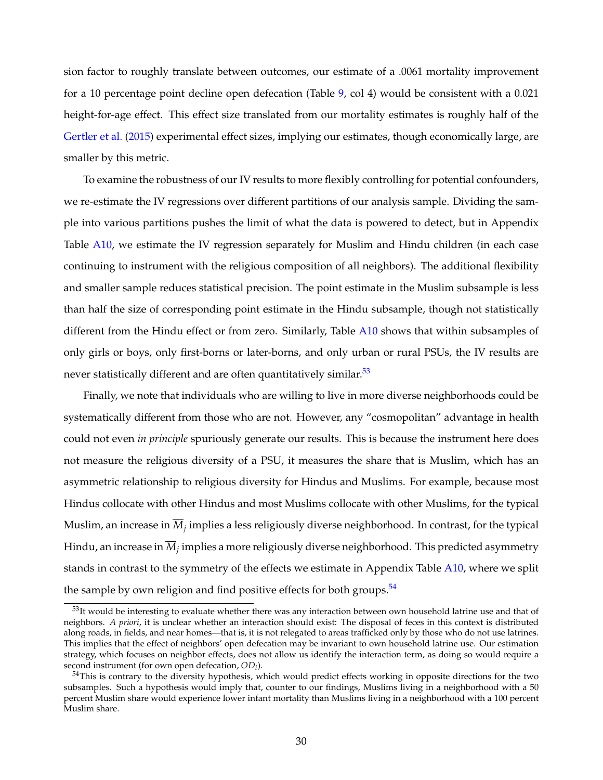sion factor to roughly translate between outcomes, our estimate of a .0061 mortality improvement for a 10 percentage point decline open defecation (Table [9,](#page-52-0) col 4) would be consistent with a 0.021 height-for-age effect. This effect size translated from our mortality estimates is roughly half of the [Gertler et al.](#page-35-6) [\(2015\)](#page-35-6) experimental effect sizes, implying our estimates, though economically large, are smaller by this metric.

To examine the robustness of our IV results to more flexibly controlling for potential confounders, we re-estimate the IV regressions over different partitions of our analysis sample. Dividing the sample into various partitions pushes the limit of what the data is powered to detect, but in Appendix Table [A10,](#page-72-0) we estimate the IV regression separately for Muslim and Hindu children (in each case continuing to instrument with the religious composition of all neighbors). The additional flexibility and smaller sample reduces statistical precision. The point estimate in the Muslim subsample is less than half the size of corresponding point estimate in the Hindu subsample, though not statistically different from the Hindu effect or from zero. Similarly, Table [A10](#page-72-0) shows that within subsamples of only girls or boys, only first-borns or later-borns, and only urban or rural PSUs, the IV results are never statistically different and are often quantitatively similar.<sup>53</sup>

Finally, we note that individuals who are willing to live in more diverse neighborhoods could be systematically different from those who are not. However, any "cosmopolitan" advantage in health could not even *in principle* spuriously generate our results. This is because the instrument here does not measure the religious diversity of a PSU, it measures the share that is Muslim, which has an asymmetric relationship to religious diversity for Hindus and Muslims. For example, because most Hindus collocate with other Hindus and most Muslims collocate with other Muslims, for the typical Muslim, an increase in *Mj* implies a less religiously diverse neighborhood. In contrast, for the typical Hindu, an increase in  $\overline{M}_i$  implies a more religiously diverse neighborhood. This predicted asymmetry stands in contrast to the symmetry of the effects we estimate in Appendix Table [A10,](#page-72-0) where we split the sample by own religion and find positive effects for both groups.<sup>54</sup>

<span id="page-31-0"></span> $53$ It would be interesting to evaluate whether there was any interaction between own household latrine use and that of neighbors. *A priori*, it is unclear whether an interaction should exist: The disposal of feces in this context is distributed along roads, in fields, and near homes—that is, it is not relegated to areas trafficked only by those who do not use latrines. This implies that the effect of neighbors' open defecation may be invariant to own household latrine use. Our estimation strategy, which focuses on neighbor effects, does not allow us identify the interaction term, as doing so would require a second instrument (for own open defecation, *ODi*).

<span id="page-31-1"></span><sup>&</sup>lt;sup>54</sup>This is contrary to the diversity hypothesis, which would predict effects working in opposite directions for the two subsamples. Such a hypothesis would imply that, counter to our findings, Muslims living in a neighborhood with a 50 percent Muslim share would experience lower infant mortality than Muslims living in a neighborhood with a 100 percent Muslim share.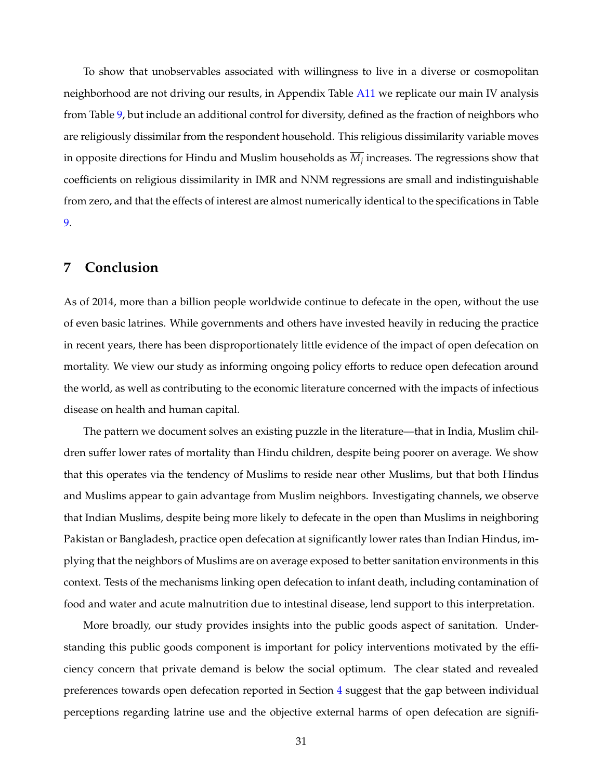To show that unobservables associated with willingness to live in a diverse or cosmopolitan neighborhood are not driving our results, in Appendix Table [A11](#page-73-0) we replicate our main IV analysis from Table [9,](#page-52-0) but include an additional control for diversity, defined as the fraction of neighbors who are religiously dissimilar from the respondent household. This religious dissimilarity variable moves in opposite directions for Hindu and Muslim households as  $M_i$  increases. The regressions show that coefficients on religious dissimilarity in IMR and NNM regressions are small and indistinguishable from zero, and that the effects of interest are almost numerically identical to the specifications in Table [9.](#page-52-0)

## **7 Conclusion**

As of 2014, more than a billion people worldwide continue to defecate in the open, without the use of even basic latrines. While governments and others have invested heavily in reducing the practice in recent years, there has been disproportionately little evidence of the impact of open defecation on mortality. We view our study as informing ongoing policy efforts to reduce open defecation around the world, as well as contributing to the economic literature concerned with the impacts of infectious disease on health and human capital.

The pattern we document solves an existing puzzle in the literature—that in India, Muslim children suffer lower rates of mortality than Hindu children, despite being poorer on average. We show that this operates via the tendency of Muslims to reside near other Muslims, but that both Hindus and Muslims appear to gain advantage from Muslim neighbors. Investigating channels, we observe that Indian Muslims, despite being more likely to defecate in the open than Muslims in neighboring Pakistan or Bangladesh, practice open defecation at significantly lower rates than Indian Hindus, implying that the neighbors of Muslims are on average exposed to better sanitation environments in this context. Tests of the mechanisms linking open defecation to infant death, including contamination of food and water and acute malnutrition due to intestinal disease, lend support to this interpretation.

More broadly, our study provides insights into the public goods aspect of sanitation. Understanding this public goods component is important for policy interventions motivated by the efficiency concern that private demand is below the social optimum. The clear stated and revealed preferences towards open defecation reported in Section [4](#page-16-0) suggest that the gap between individual perceptions regarding latrine use and the objective external harms of open defecation are signifi-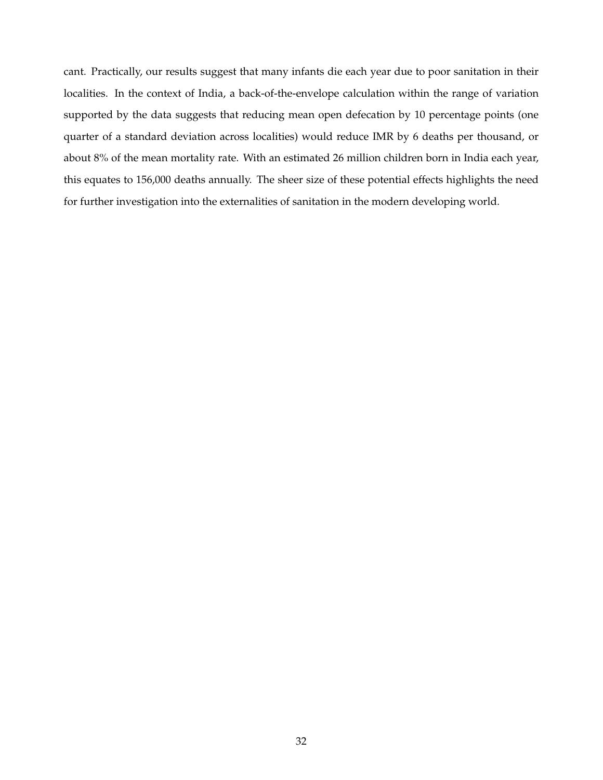cant. Practically, our results suggest that many infants die each year due to poor sanitation in their localities. In the context of India, a back-of-the-envelope calculation within the range of variation supported by the data suggests that reducing mean open defecation by 10 percentage points (one quarter of a standard deviation across localities) would reduce IMR by 6 deaths per thousand, or about 8% of the mean mortality rate. With an estimated 26 million children born in India each year, this equates to 156,000 deaths annually. The sheer size of these potential effects highlights the need for further investigation into the externalities of sanitation in the modern developing world.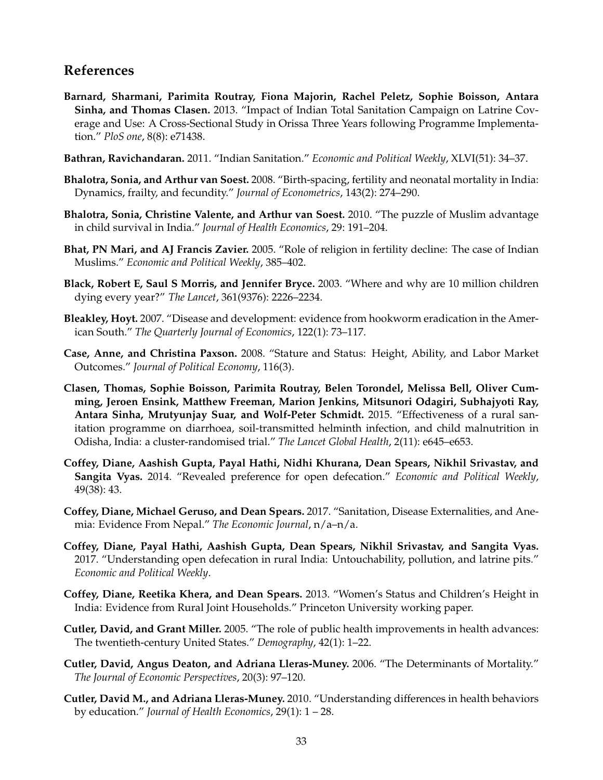# **References**

- <span id="page-34-11"></span>**Barnard, Sharmani, Parimita Routray, Fiona Majorin, Rachel Peletz, Sophie Boisson, Antara Sinha, and Thomas Clasen.** 2013. "Impact of Indian Total Sanitation Campaign on Latrine Coverage and Use: A Cross-Sectional Study in Orissa Three Years following Programme Implementation." *PloS one*, 8(8): e71438.
- <span id="page-34-12"></span>**Bathran, Ravichandaran.** 2011. "Indian Sanitation." *Economic and Political Weekly*, XLVI(51): 34–37.
- <span id="page-34-3"></span>**Bhalotra, Sonia, and Arthur van Soest.** 2008. "Birth-spacing, fertility and neonatal mortality in India: Dynamics, frailty, and fecundity." *Journal of Econometrics*, 143(2): 274–290.
- <span id="page-34-0"></span>**Bhalotra, Sonia, Christine Valente, and Arthur van Soest.** 2010. "The puzzle of Muslim advantage in child survival in India." *Journal of Health Economics*, 29: 191–204.
- <span id="page-34-2"></span>**Bhat, PN Mari, and AJ Francis Zavier.** 2005. "Role of religion in fertility decline: The case of Indian Muslims." *Economic and Political Weekly*, 385–402.
- <span id="page-34-14"></span>**Black, Robert E, Saul S Morris, and Jennifer Bryce.** 2003. "Where and why are 10 million children dying every year?" *The Lancet*, 361(9376): 2226–2234.
- <span id="page-34-6"></span>**Bleakley, Hoyt.** 2007. "Disease and development: evidence from hookworm eradication in the American South." *The Quarterly Journal of Economics*, 122(1): 73–117.
- <span id="page-34-9"></span>**Case, Anne, and Christina Paxson.** 2008. "Stature and Status: Height, Ability, and Labor Market Outcomes." *Journal of Political Economy*, 116(3).
- <span id="page-34-8"></span>**Clasen, Thomas, Sophie Boisson, Parimita Routray, Belen Torondel, Melissa Bell, Oliver Cumming, Jeroen Ensink, Matthew Freeman, Marion Jenkins, Mitsunori Odagiri, Subhajyoti Ray, Antara Sinha, Mrutyunjay Suar, and Wolf-Peter Schmidt.** 2015. "Effectiveness of a rural sanitation programme on diarrhoea, soil-transmitted helminth infection, and child malnutrition in Odisha, India: a cluster-randomised trial." *The Lancet Global Health*, 2(11): e645–e653.
- <span id="page-34-1"></span>**Coffey, Diane, Aashish Gupta, Payal Hathi, Nidhi Khurana, Dean Spears, Nikhil Srivastav, and Sangita Vyas.** 2014. "Revealed preference for open defecation." *Economic and Political Weekly*, 49(38): 43.
- <span id="page-34-15"></span>**Coffey, Diane, Michael Geruso, and Dean Spears.** 2017. "Sanitation, Disease Externalities, and Anemia: Evidence From Nepal." *The Economic Journal*, n/a–n/a.
- <span id="page-34-5"></span>**Coffey, Diane, Payal Hathi, Aashish Gupta, Dean Spears, Nikhil Srivastav, and Sangita Vyas.** 2017. "Understanding open defecation in rural India: Untouchability, pollution, and latrine pits." *Economic and Political Weekly*.
- <span id="page-34-10"></span>**Coffey, Diane, Reetika Khera, and Dean Spears.** 2013. "Women's Status and Children's Height in India: Evidence from Rural Joint Households." Princeton University working paper.
- <span id="page-34-7"></span>**Cutler, David, and Grant Miller.** 2005. "The role of public health improvements in health advances: The twentieth-century United States." *Demography*, 42(1): 1–22.
- <span id="page-34-13"></span>**Cutler, David, Angus Deaton, and Adriana Lleras-Muney.** 2006. "The Determinants of Mortality." *The Journal of Economic Perspectives*, 20(3): 97–120.
- <span id="page-34-4"></span>**Cutler, David M., and Adriana Lleras-Muney.** 2010. "Understanding differences in health behaviors by education." *Journal of Health Economics*, 29(1): 1 – 28.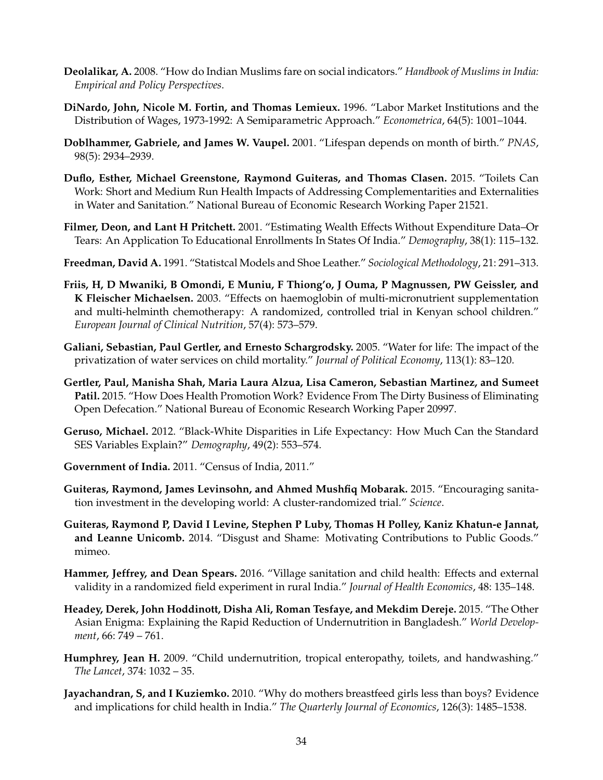- <span id="page-35-0"></span>**Deolalikar, A.** 2008. "How do Indian Muslims fare on social indicators." *Handbook of Muslims in India: Empirical and Policy Perspectives*.
- **DiNardo, John, Nicole M. Fortin, and Thomas Lemieux.** 1996. "Labor Market Institutions and the Distribution of Wages, 1973-1992: A Semiparametric Approach." *Econometrica*, 64(5): 1001–1044.
- <span id="page-35-10"></span>**Doblhammer, Gabriele, and James W. Vaupel.** 2001. "Lifespan depends on month of birth." *PNAS*, 98(5): 2934–2939.
- <span id="page-35-5"></span>**Duflo, Esther, Michael Greenstone, Raymond Guiteras, and Thomas Clasen.** 2015. "Toilets Can Work: Short and Medium Run Health Impacts of Addressing Complementarities and Externalities in Water and Sanitation." National Bureau of Economic Research Working Paper 21521.
- <span id="page-35-9"></span>**Filmer, Deon, and Lant H Pritchett.** 2001. "Estimating Wealth Effects Without Expenditure Data–Or Tears: An Application To Educational Enrollments In States Of India." *Demography*, 38(1): 115–132.
- <span id="page-35-12"></span>**Freedman, David A.** 1991. "Statistcal Models and Shoe Leather." *Sociological Methodology*, 21: 291–313.
- <span id="page-35-13"></span>**Friis, H, D Mwaniki, B Omondi, E Muniu, F Thiong'o, J Ouma, P Magnussen, PW Geissler, and K Fleischer Michaelsen.** 2003. "Effects on haemoglobin of multi-micronutrient supplementation and multi-helminth chemotherapy: A randomized, controlled trial in Kenyan school children." *European Journal of Clinical Nutrition*, 57(4): 573–579.
- <span id="page-35-15"></span>**Galiani, Sebastian, Paul Gertler, and Ernesto Schargrodsky.** 2005. "Water for life: The impact of the privatization of water services on child mortality." *Journal of Political Economy*, 113(1): 83–120.
- <span id="page-35-6"></span>**Gertler, Paul, Manisha Shah, Maria Laura Alzua, Lisa Cameron, Sebastian Martinez, and Sumeet Patil.** 2015. "How Does Health Promotion Work? Evidence From The Dirty Business of Eliminating Open Defecation." National Bureau of Economic Research Working Paper 20997.
- <span id="page-35-1"></span>**Geruso, Michael.** 2012. "Black-White Disparities in Life Expectancy: How Much Can the Standard SES Variables Explain?" *Demography*, 49(2): 553–574.
- <span id="page-35-3"></span>**Government of India.** 2011. "Census of India, 2011."
- <span id="page-35-4"></span>**Guiteras, Raymond, James Levinsohn, and Ahmed Mushfiq Mobarak.** 2015. "Encouraging sanitation investment in the developing world: A cluster-randomized trial." *Science*.
- <span id="page-35-2"></span>**Guiteras, Raymond P, David I Levine, Stephen P Luby, Thomas H Polley, Kaniz Khatun-e Jannat, and Leanne Unicomb.** 2014. "Disgust and Shame: Motivating Contributions to Public Goods." mimeo.
- <span id="page-35-8"></span>**Hammer, Jeffrey, and Dean Spears.** 2016. "Village sanitation and child health: Effects and external validity in a randomized field experiment in rural India." *Journal of Health Economics*, 48: 135–148.
- <span id="page-35-7"></span>**Headey, Derek, John Hoddinott, Disha Ali, Roman Tesfaye, and Mekdim Dereje.** 2015. "The Other Asian Enigma: Explaining the Rapid Reduction of Undernutrition in Bangladesh." *World Development*, 66: 749 – 761.
- <span id="page-35-11"></span>**Humphrey, Jean H.** 2009. "Child undernutrition, tropical enteropathy, toilets, and handwashing." *The Lancet*, 374: 1032 – 35.
- <span id="page-35-14"></span>**Jayachandran, S, and I Kuziemko.** 2010. "Why do mothers breastfeed girls less than boys? Evidence and implications for child health in India." *The Quarterly Journal of Economics*, 126(3): 1485–1538.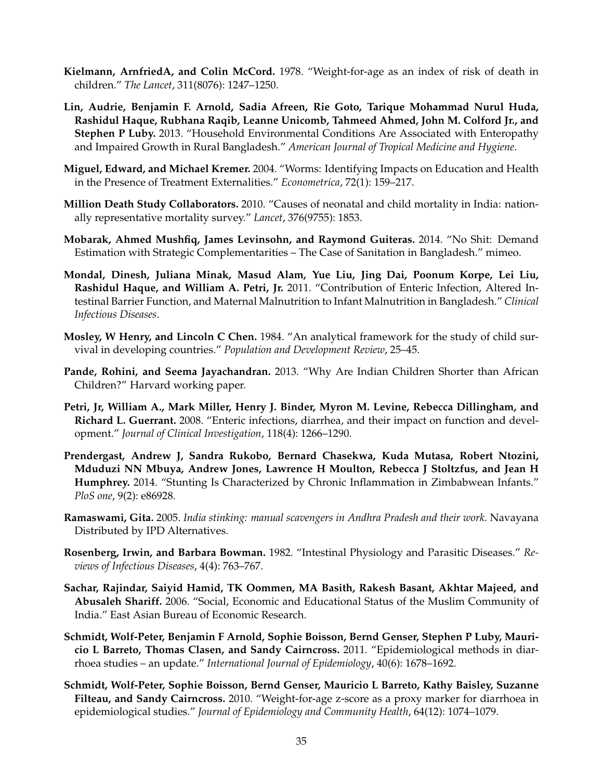- **Kielmann, ArnfriedA, and Colin McCord.** 1978. "Weight-for-age as an index of risk of death in children." *The Lancet*, 311(8076): 1247–1250.
- **Lin, Audrie, Benjamin F. Arnold, Sadia Afreen, Rie Goto, Tarique Mohammad Nurul Huda, Rashidul Haque, Rubhana Raqib, Leanne Unicomb, Tahmeed Ahmed, John M. Colford Jr., and Stephen P Luby.** 2013. "Household Environmental Conditions Are Associated with Enteropathy and Impaired Growth in Rural Bangladesh." *American Journal of Tropical Medicine and Hygiene*.
- **Miguel, Edward, and Michael Kremer.** 2004. "Worms: Identifying Impacts on Education and Health in the Presence of Treatment Externalities." *Econometrica*, 72(1): 159–217.
- <span id="page-36-0"></span>**Million Death Study Collaborators.** 2010. "Causes of neonatal and child mortality in India: nationally representative mortality survey." *Lancet*, 376(9755): 1853.
- **Mobarak, Ahmed Mushfiq, James Levinsohn, and Raymond Guiteras.** 2014. "No Shit: Demand Estimation with Strategic Complementarities – The Case of Sanitation in Bangladesh." mimeo.
- **Mondal, Dinesh, Juliana Minak, Masud Alam, Yue Liu, Jing Dai, Poonum Korpe, Lei Liu, Rashidul Haque, and William A. Petri, Jr.** 2011. "Contribution of Enteric Infection, Altered Intestinal Barrier Function, and Maternal Malnutrition to Infant Malnutrition in Bangladesh." *Clinical Infectious Diseases*.
- **Mosley, W Henry, and Lincoln C Chen.** 1984. "An analytical framework for the study of child survival in developing countries." *Population and Development Review*, 25–45.
- **Pande, Rohini, and Seema Jayachandran.** 2013. "Why Are Indian Children Shorter than African Children?" Harvard working paper.
- **Petri, Jr, William A., Mark Miller, Henry J. Binder, Myron M. Levine, Rebecca Dillingham, and Richard L. Guerrant.** 2008. "Enteric infections, diarrhea, and their impact on function and development." *Journal of Clinical Investigation*, 118(4): 1266–1290.
- **Prendergast, Andrew J, Sandra Rukobo, Bernard Chasekwa, Kuda Mutasa, Robert Ntozini, Mduduzi NN Mbuya, Andrew Jones, Lawrence H Moulton, Rebecca J Stoltzfus, and Jean H Humphrey.** 2014. "Stunting Is Characterized by Chronic Inflammation in Zimbabwean Infants." *PloS one*, 9(2): e86928.
- **Ramaswami, Gita.** 2005. *India stinking: manual scavengers in Andhra Pradesh and their work.* Navayana Distributed by IPD Alternatives.
- **Rosenberg, Irwin, and Barbara Bowman.** 1982. "Intestinal Physiology and Parasitic Diseases." *Reviews of Infectious Diseases*, 4(4): 763–767.
- **Sachar, Rajindar, Saiyid Hamid, TK Oommen, MA Basith, Rakesh Basant, Akhtar Majeed, and Abusaleh Shariff.** 2006. "Social, Economic and Educational Status of the Muslim Community of India." East Asian Bureau of Economic Research.
- <span id="page-36-1"></span>**Schmidt, Wolf-Peter, Benjamin F Arnold, Sophie Boisson, Bernd Genser, Stephen P Luby, Mauricio L Barreto, Thomas Clasen, and Sandy Cairncross.** 2011. "Epidemiological methods in diarrhoea studies – an update." *International Journal of Epidemiology*, 40(6): 1678–1692.
- **Schmidt, Wolf-Peter, Sophie Boisson, Bernd Genser, Mauricio L Barreto, Kathy Baisley, Suzanne Filteau, and Sandy Cairncross.** 2010. "Weight-for-age z-score as a proxy marker for diarrhoea in epidemiological studies." *Journal of Epidemiology and Community Health*, 64(12): 1074–1079.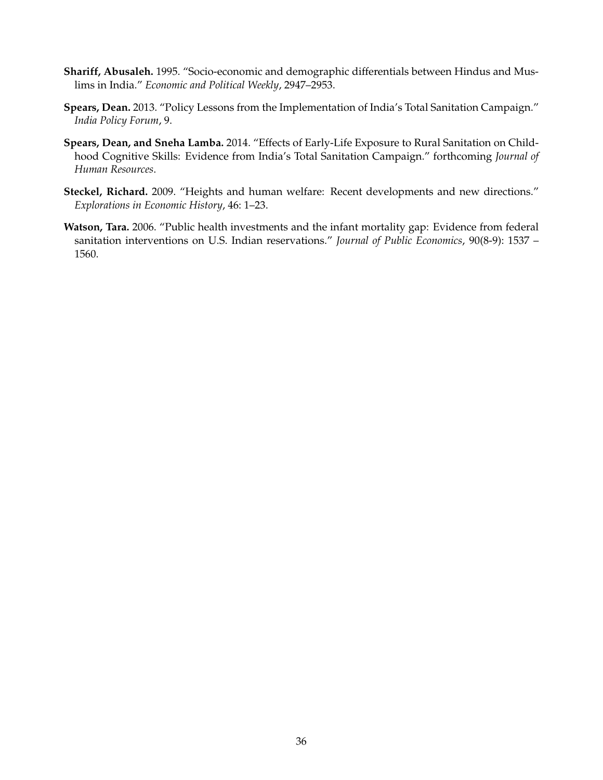- **Shariff, Abusaleh.** 1995. "Socio-economic and demographic differentials between Hindus and Muslims in India." *Economic and Political Weekly*, 2947–2953.
- **Spears, Dean.** 2013. "Policy Lessons from the Implementation of India's Total Sanitation Campaign." *India Policy Forum*, 9.
- **Spears, Dean, and Sneha Lamba.** 2014. "Effects of Early-Life Exposure to Rural Sanitation on Childhood Cognitive Skills: Evidence from India's Total Sanitation Campaign." forthcoming *Journal of Human Resources*.
- **Steckel, Richard.** 2009. "Heights and human welfare: Recent developments and new directions." *Explorations in Economic History*, 46: 1–23.
- **Watson, Tara.** 2006. "Public health investments and the infant mortality gap: Evidence from federal sanitation interventions on U.S. Indian reservations." *Journal of Public Economics*, 90(8-9): 1537 – 1560.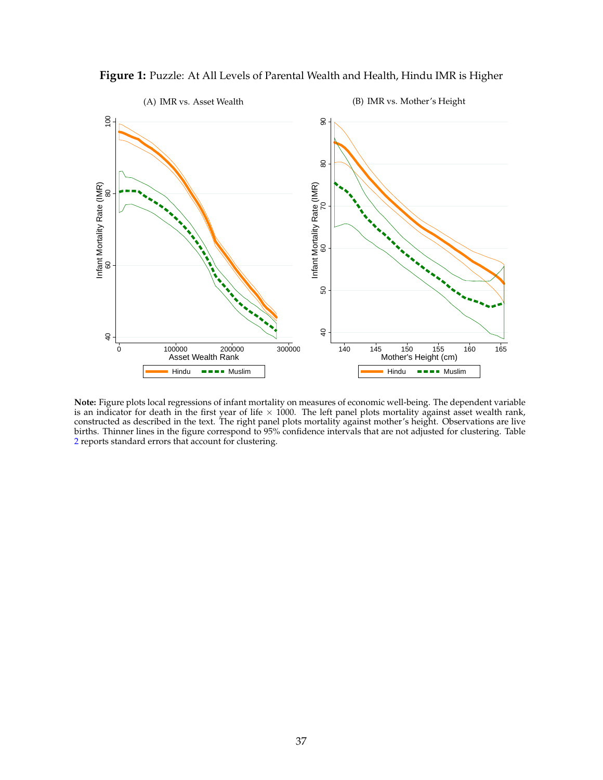

**Figure 1:** Puzzle: At All Levels of Parental Wealth and Health, Hindu IMR is Higher

**Note:** Figure plots local regressions of infant mortality on measures of economic well-being. The dependent variable is an indicator for death in the first year of life × 1000. The left panel plots mortality against asset wealth rank,<br>constructed as described in the text. The right panel plots mortality against mother's height. Observati births. Thinner lines in the figure correspond to 95% confidence intervals that are not adjusted for clustering. Table [2](#page-45-0) reports standard errors that account for clustering.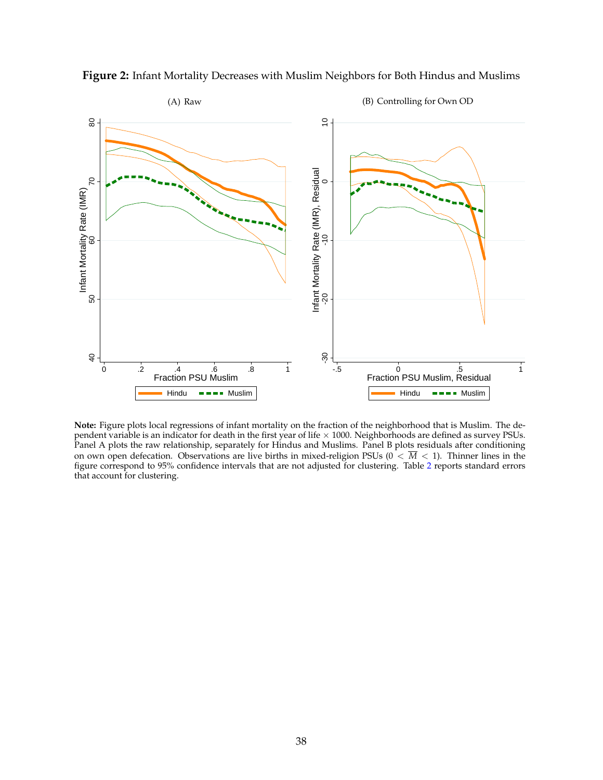

**Figure 2:** Infant Mortality Decreases with Muslim Neighbors for Both Hindus and Muslims

**Note:** Figure plots local regressions of infant mortality on the fraction of the neighborhood that is Muslim. The dependent variable is an indicator for death in the first year of life × 1000. Neighborhoods are defined as survey PSUs.<br>Panel A plots the raw relationship, separately for Hindus and Muslims. Panel B plots residuals after co on own open defecation. Observations are live births in mixed-religion PSUs ( $0 < \overline{M} < 1$ ). Thinner lines in the figure correspond to 95% confidence intervals that are not adjusted for clustering. Table [2](#page-45-0) reports standard errors that account for clustering.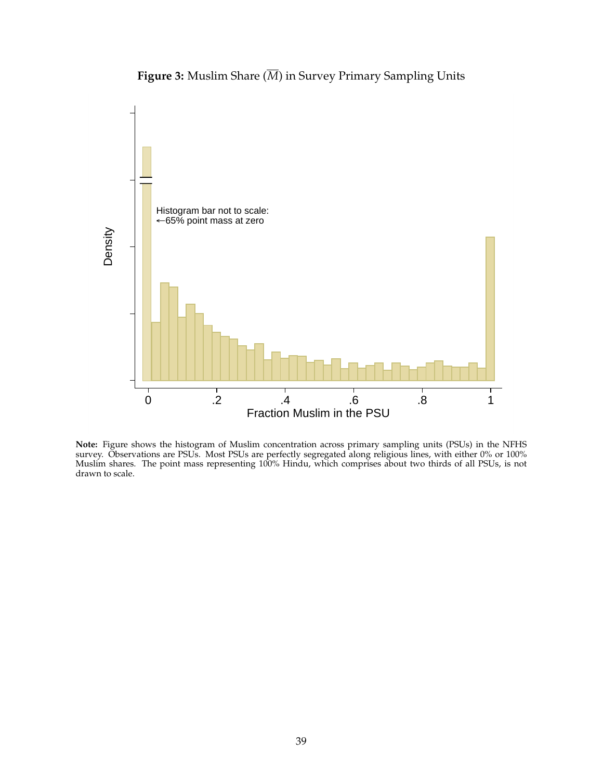

**Figure 3:** Muslim Share (*M*) in Survey Primary Sampling Units

**Note:** Figure shows the histogram of Muslim concentration across primary sampling units (PSUs) in the NFHS survey. Observations are PSUs. Most PSUs are perfectly segregated along religious lines, with either 0% or 100% Muslim shares. The point mass representing 100% Hindu, which comprises about two thirds of all PSUs, is not drawn to scale.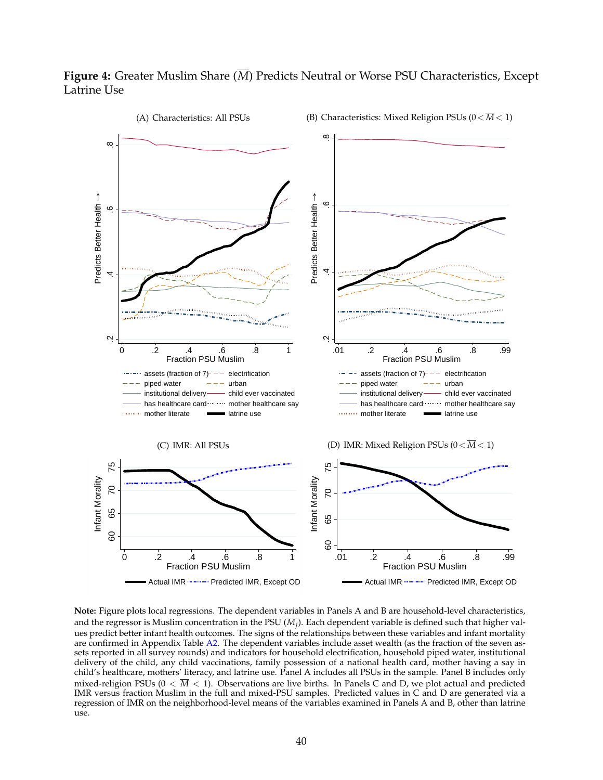# **Figure 4:** Greater Muslim Share (*M*) Predicts Neutral or Worse PSU Characteristics, Except Latrine Use



**Note:** Figure plots local regressions. The dependent variables in Panels A and B are household-level characteristics, and the regressor is Muslim concentration in the PSU  $(\overline{M_i})$ . Each dependent variable is defined such that higher values predict better infant health outcomes. The signs of the relationships between these variables and infant mortality are confirmed in Appendix Table [A2.](#page-64-0) The dependent variables include asset wealth (as the fraction of the seven assets reported in all survey rounds) and indicators for household electrification, household piped water, institutional delivery of the child, any child vaccinations, family possession of a national health card, mother having a say in child's healthcare, mothers' literacy, and latrine use. Panel A includes all PSUs in the sample. Panel B includes only mixed-religion PSUs ( $0 < \overline{M} < 1$ ). Observations are live births. In Panels C and D, we plot actual and predicted IMR versus fraction Muslim in the full and mixed-PSU samples. Predicted values in C and D are generated via a regression of IMR on the neighborhood-level means of the variables examined in Panels A and B, other than latrine use.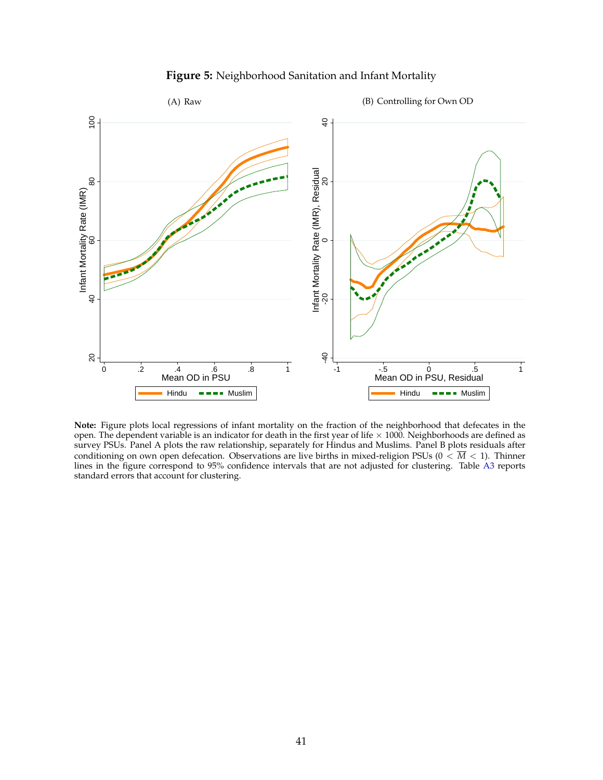

#### **Figure 5:** Neighborhood Sanitation and Infant Mortality

**Note:** Figure plots local regressions of infant mortality on the fraction of the neighborhood that defecates in the open. The dependent variable is an indicator for death in the first year of life  $\times$  1000. Neighborhoods are defined as survey PSUs. Panel A plots the raw relationship, separately for Hindus and Muslims. Panel B plots residuals after conditioning on own open defecation. Observations are live births in mixed-religion PSUs ( $0 < \overline{M} < 1$ ). Thinner lines in the figure correspond to 95% confidence intervals that are not adjusted for clustering. Table [A3](#page-65-0) reports standard errors that account for clustering.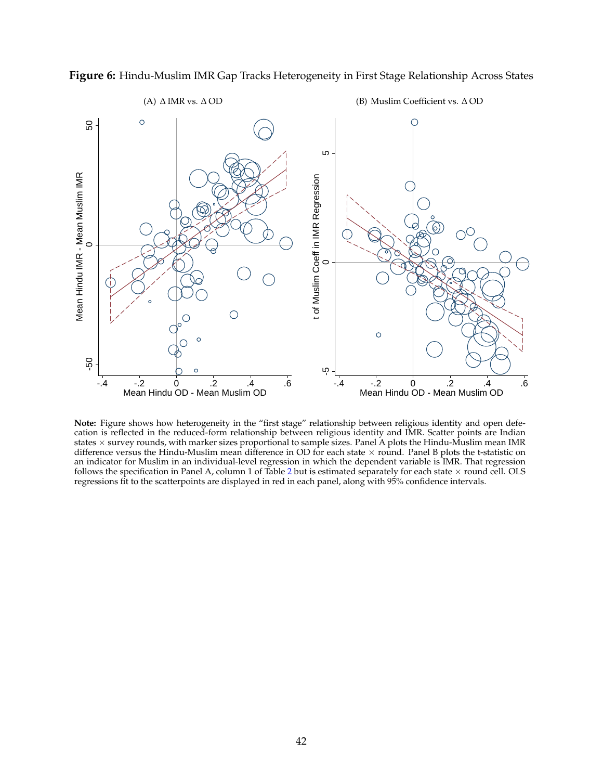

<span id="page-43-0"></span>**Figure 6:** Hindu-Muslim IMR Gap Tracks Heterogeneity in First Stage Relationship Across States

# (A)  $\triangle$  IMR vs.  $\triangle$  OD

(B) Muslim Coefficient vs.  $\Delta$  OD

**Note:** Figure shows how heterogeneity in the "first stage" relationship between religious identity and open defecation is reflected in the reduced-form relationship between religious identity and IMR. Scatter points are Indian states  $\times$  survey rounds, with marker sizes proportional to sample sizes. Panel A plots the Hindu-Muslim mean IMR difference versus the Hindu-Muslim mean difference in OD for each state  $\times$  round. Panel B plots the t-statistic on an indicator for Muslim in an individual-level regression in which the dependent variable is IMR. That regression follows the specification in Panel A, column 1 of Table [2](#page-45-0) but is estimated separately for each state  $\times$  round cell. OLS regressions fit to the scatterpoints are displayed in red in each panel, along with 95% confidence intervals.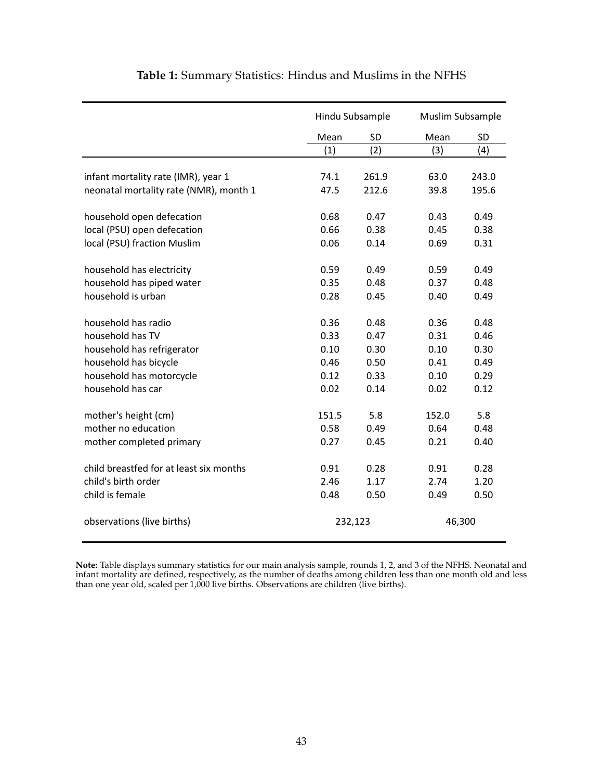|                                         |       | Hindu Subsample |        | Muslim Subsample |  |
|-----------------------------------------|-------|-----------------|--------|------------------|--|
|                                         | Mean  | SD              | Mean   | <b>SD</b>        |  |
|                                         | (1)   | (2)             | (3)    | (4)              |  |
| infant mortality rate (IMR), year 1     | 74.1  | 261.9           | 63.0   | 243.0            |  |
| neonatal mortality rate (NMR), month 1  | 47.5  | 212.6           | 39.8   | 195.6            |  |
|                                         |       |                 |        |                  |  |
| household open defecation               | 0.68  | 0.47            | 0.43   | 0.49             |  |
| local (PSU) open defecation             | 0.66  | 0.38            | 0.45   | 0.38             |  |
| local (PSU) fraction Muslim             | 0.06  | 0.14            | 0.69   | 0.31             |  |
| household has electricity               | 0.59  | 0.49            | 0.59   | 0.49             |  |
| household has piped water               | 0.35  | 0.48            | 0.37   | 0.48             |  |
| household is urban                      | 0.28  | 0.45            | 0.40   | 0.49             |  |
| household has radio                     | 0.36  | 0.48            | 0.36   | 0.48             |  |
| household has TV                        | 0.33  | 0.47            | 0.31   | 0.46             |  |
| household has refrigerator              | 0.10  | 0.30            | 0.10   | 0.30             |  |
| household has bicycle                   | 0.46  | 0.50            | 0.41   | 0.49             |  |
| household has motorcycle                | 0.12  | 0.33            | 0.10   | 0.29             |  |
| household has car                       | 0.02  | 0.14            | 0.02   | 0.12             |  |
| mother's height (cm)                    | 151.5 | 5.8             | 152.0  | 5.8              |  |
| mother no education                     | 0.58  | 0.49            | 0.64   | 0.48             |  |
| mother completed primary                | 0.27  | 0.45            | 0.21   | 0.40             |  |
| child breastfed for at least six months | 0.91  | 0.28            | 0.91   | 0.28             |  |
| child's birth order                     | 2.46  | 1.17            | 2.74   | 1.20             |  |
| child is female                         | 0.48  | 0.50            | 0.49   | 0.50             |  |
| observations (live births)              |       | 232,123         | 46,300 |                  |  |

### **Table 1:** Summary Statistics: Hindus and Muslims in the NFHS

**Note:** Table displays summary statistics for our main analysis sample, rounds 1, 2, and 3 of the NFHS. Neonatal and infant mortality are defined, respectively, as the number of deaths among children less than one month old and less than one year old, scaled per 1,000 live births. Observations are children (live births).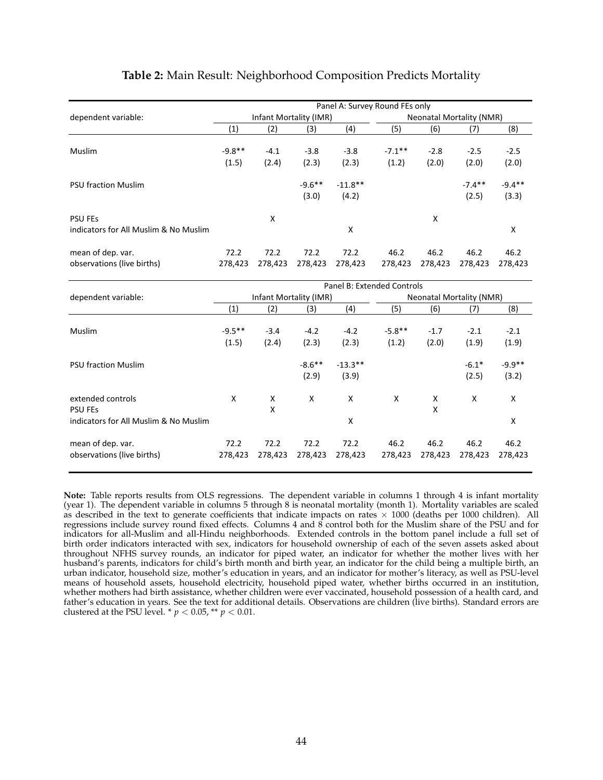<span id="page-45-0"></span>

|                                       | Panel A: Survey Round FEs only |                        |           |                            |           |         |                                 |          |  |  |
|---------------------------------------|--------------------------------|------------------------|-----------|----------------------------|-----------|---------|---------------------------------|----------|--|--|
| dependent variable:                   |                                | Infant Mortality (IMR) |           |                            |           |         | <b>Neonatal Mortality (NMR)</b> |          |  |  |
|                                       | (1)                            | (2)                    | (3)       | (4)                        | (5)       | (6)     | (7)                             | (8)      |  |  |
| Muslim                                | $-9.8**$                       | $-4.1$                 | $-3.8$    | $-3.8$                     | $-7.1***$ | $-2.8$  | $-2.5$                          | $-2.5$   |  |  |
|                                       | (1.5)                          | (2.4)                  | (2.3)     | (2.3)                      | (1.2)     | (2.0)   | (2.0)                           | (2.0)    |  |  |
| <b>PSU fraction Muslim</b>            |                                |                        | $-9.6***$ | $-11.8**$                  |           |         | $-7.4**$                        | $-9.4**$ |  |  |
|                                       |                                |                        | (3.0)     | (4.2)                      |           |         | (2.5)                           | (3.3)    |  |  |
| <b>PSU FES</b>                        |                                | X                      |           |                            |           | X       |                                 |          |  |  |
| indicators for All Muslim & No Muslim |                                |                        |           | X                          |           |         |                                 | X        |  |  |
| mean of dep. var.                     | 72.2                           | 72.2                   | 72.2      | 72.2                       | 46.2      | 46.2    | 46.2                            | 46.2     |  |  |
| observations (live births)            | 278,423                        | 278,423                | 278,423   | 278,423                    | 278,423   | 278,423 | 278,423                         | 278,423  |  |  |
|                                       |                                |                        |           |                            |           |         |                                 |          |  |  |
| dependent variable:                   |                                | Infant Mortality (IMR) |           | Panel B: Extended Controls |           |         | <b>Neonatal Mortality (NMR)</b> |          |  |  |
|                                       | (1)                            | (2)                    | (3)       | (4)                        | (5)       | (6)     | (7)                             | (8)      |  |  |
|                                       |                                |                        |           |                            |           |         |                                 |          |  |  |
| Muslim                                | $-9.5**$                       | $-3.4$                 | $-4.2$    | $-4.2$                     | $-5.8**$  | $-1.7$  | $-2.1$                          | $-2.1$   |  |  |
|                                       | (1.5)                          | (2.4)                  | (2.3)     | (2.3)                      | (1.2)     | (2.0)   | (1.9)                           | (1.9)    |  |  |
| <b>PSU fraction Muslim</b>            |                                |                        | $-8.6***$ | $-13.3**$                  |           |         | $-6.1*$                         | $-9.9**$ |  |  |
|                                       |                                |                        | (2.9)     | (3.9)                      |           |         | (2.5)                           | (3.2)    |  |  |
|                                       |                                |                        |           |                            |           |         |                                 |          |  |  |
| extended controls                     | X                              | X                      | X         | X                          | X         | X       | X                               | X        |  |  |
| <b>PSU FES</b>                        |                                | X                      |           |                            |           | X       |                                 |          |  |  |
| indicators for All Muslim & No Muslim |                                |                        |           | X                          |           |         |                                 | X        |  |  |
| mean of dep. var.                     | 72.2                           | 72.2                   | 72.2      | 72.2                       | 46.2      | 46.2    | 46.2                            | 46.2     |  |  |
| observations (live births)            | 278,423                        | 278,423                | 278,423   | 278,423                    | 278,423   | 278,423 | 278,423                         | 278,423  |  |  |
|                                       |                                |                        |           |                            |           |         |                                 |          |  |  |

### <span id="page-45-1"></span>**Table 2:** Main Result: Neighborhood Composition Predicts Mortality

**Note:** Table reports results from OLS regressions. The dependent variable in columns 1 through 4 is infant mortality (year 1). The dependent variable in columns 5 through 8 is neonatal mortality (month 1). Mortality variables are scaled as described in the text to generate coefficients that indicate impacts on rates  $\times$  1000 (deaths per 1000 children). All regressions include survey round fixed effects. Columns 4 and 8 control both for the Muslim share of the PSU and for indicators for all-Muslim and all-Hindu neighborhoods. Extended controls in the bottom panel include a full set of birth order indicators interacted with sex, indicators for household ownership of each of the seven assets asked about throughout NFHS survey rounds, an indicator for piped water, an indicator for whether the mother lives with her husband's parents, indicators for child's birth month and birth year, an indicator for the child being a multiple birth, an urban indicator, household size, mother's education in years, and an indicator for mother's literacy, as well as PSU-level means of household assets, household electricity, household piped water, whether births occurred in an institution, whether mothers had birth assistance, whether children were ever vaccinated, household possession of a health card, and father's education in years. See the text for additional details. Observations are children (live births). Standard errors are clustered at the PSU level. \*  $p < 0.05$ , \*\*  $p < 0.01$ .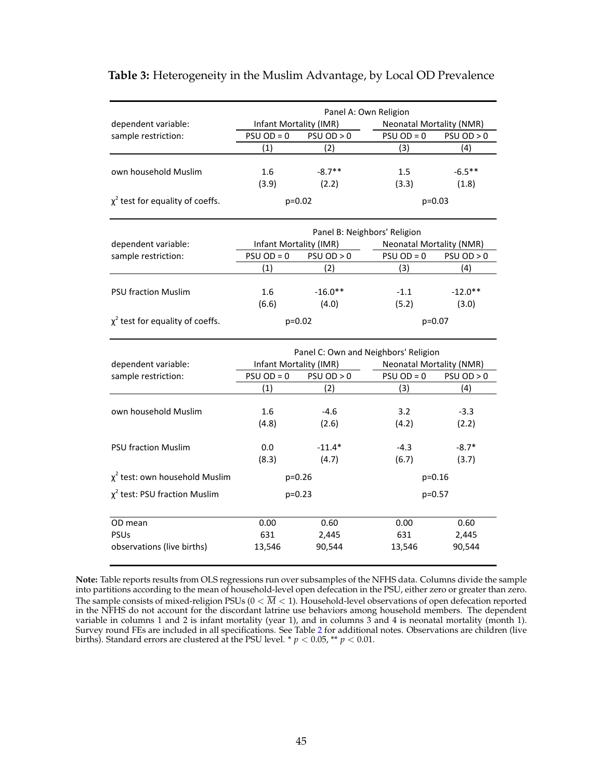|                                       | Panel A: Own Religion        |            |                          |                                 |  |  |  |  |  |
|---------------------------------------|------------------------------|------------|--------------------------|---------------------------------|--|--|--|--|--|
| dependent variable:                   | Infant Mortality (IMR)       |            | Neonatal Mortality (NMR) |                                 |  |  |  |  |  |
| sample restriction:                   | $PSU OD = 0$                 | PSU OD > 0 | $PSU$ OD = 0             | PSU OD > 0                      |  |  |  |  |  |
|                                       | (1)                          | (2)        | (3)                      | (4)                             |  |  |  |  |  |
|                                       |                              |            |                          |                                 |  |  |  |  |  |
| own household Muslim                  | $1.6\,$                      | $-8.7**$   | $1.5\,$                  | $-6.5***$                       |  |  |  |  |  |
|                                       | (3.9)                        | (2.2)      | (3.3)                    | (1.8)                           |  |  |  |  |  |
| $\chi^2$ test for equality of coeffs. |                              | $p=0.02$   |                          | $p=0.03$                        |  |  |  |  |  |
|                                       | Panel B: Neighbors' Religion |            |                          |                                 |  |  |  |  |  |
| dependent variable:                   | Infant Mortality (IMR)       |            |                          | <b>Neonatal Mortality (NMR)</b> |  |  |  |  |  |

### **Table 3:** Heterogeneity in the Muslim Advantage, by Local OD Prevalence

|                                       | Panel B: Neighbors' Religion |            |              |                          |  |  |  |  |  |
|---------------------------------------|------------------------------|------------|--------------|--------------------------|--|--|--|--|--|
| dependent variable:                   | Infant Mortality (IMR)       |            |              | Neonatal Mortality (NMR) |  |  |  |  |  |
| sample restriction:                   | $PSU OD = 0$                 | PSU OD > 0 | $PSU OD = 0$ | PSU OD > 0               |  |  |  |  |  |
|                                       | (1)                          | (2)        | (3)          | (4)                      |  |  |  |  |  |
|                                       |                              |            |              |                          |  |  |  |  |  |
| <b>PSU fraction Muslim</b>            | $1.6\,$                      | $-16.0**$  | $-1.1$       | $-12.0**$                |  |  |  |  |  |
|                                       | (6.6)                        | (4.0)      | (5.2)        | (3.0)                    |  |  |  |  |  |
| $\chi^2$ test for equality of coeffs. |                              | $p=0.02$   |              | $p=0.07$                 |  |  |  |  |  |

|                                     | Panel C: Own and Neighbors' Religion |            |                                 |            |  |  |  |  |  |
|-------------------------------------|--------------------------------------|------------|---------------------------------|------------|--|--|--|--|--|
| dependent variable:                 | Infant Mortality (IMR)               |            | <b>Neonatal Mortality (NMR)</b> |            |  |  |  |  |  |
| sample restriction:                 | $PSU OD = 0$                         | PSU OD > 0 | $PSU OD = 0$                    | PSU OD > 0 |  |  |  |  |  |
|                                     | (1)                                  | (2)        | (3)                             | (4)        |  |  |  |  |  |
|                                     |                                      |            |                                 |            |  |  |  |  |  |
| own household Muslim                | 1.6                                  | $-4.6$     | 3.2                             | $-3.3$     |  |  |  |  |  |
|                                     | (4.8)                                | (2.6)      | (4.2)                           | (2.2)      |  |  |  |  |  |
|                                     |                                      |            |                                 |            |  |  |  |  |  |
| <b>PSU fraction Muslim</b>          | 0.0                                  | $-11.4*$   | $-4.3$                          | $-8.7*$    |  |  |  |  |  |
|                                     | (8.3)                                | (4.7)      | (6.7)                           | (3.7)      |  |  |  |  |  |
| $\chi^2$ test: own household Muslim |                                      | $p=0.26$   | $p=0.16$                        |            |  |  |  |  |  |
| $\chi^2$ test: PSU fraction Muslim  |                                      | $p=0.23$   |                                 | $p=0.57$   |  |  |  |  |  |
|                                     |                                      |            |                                 |            |  |  |  |  |  |
| OD mean                             | 0.00                                 | 0.60       | 0.00                            | 0.60       |  |  |  |  |  |
| <b>PSUs</b>                         | 631                                  | 2,445      | 631                             | 2,445      |  |  |  |  |  |
| observations (live births)          | 13,546                               | 90,544     | 13,546                          | 90,544     |  |  |  |  |  |

**Note:** Table reports results from OLS regressions run over subsamples of the NFHS data. Columns divide the sample into partitions according to the mean of household-level open defecation in the PSU, either zero or greater than zero. The sample consists of mixed-religion PSUs ( $0 < \overline{M} < 1$ ). Household-level observations of open defecation reported in the NFHS do not account for the discordant latrine use behaviors among household members. The dependent variable in columns 1 and 2 is infant mortality (year 1), and in columns 3 and 4 is neonatal mortality (month 1). Survey round FEs are included in all specifications. See Table [2](#page-45-0) for additional notes. Observations are children (live births). Standard errors are clustered at the PSU level. \* *p <* 0.05, \*\* *p <* 0.01.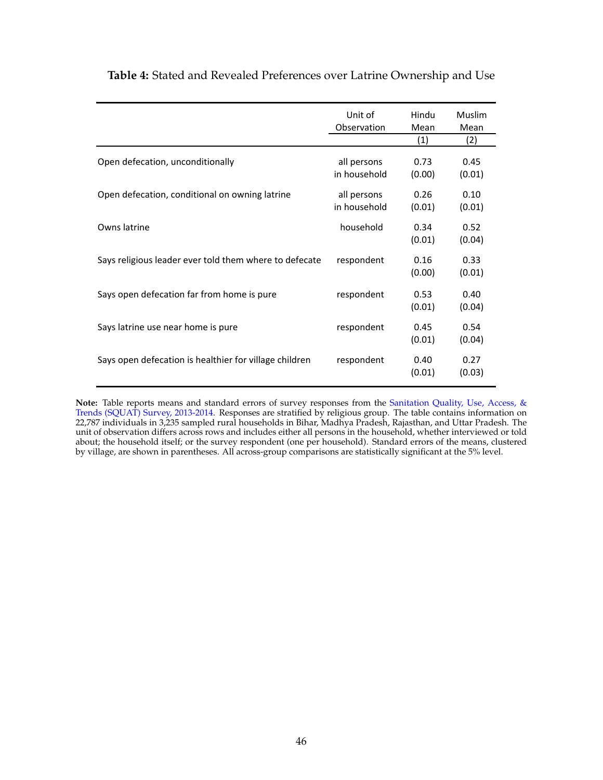|                                                        | Unit of<br>Observation      | Hindu<br>Mean<br>(1) | Muslim<br>Mean<br>(2) |
|--------------------------------------------------------|-----------------------------|----------------------|-----------------------|
| Open defecation, unconditionally                       | all persons<br>in household | 0.73<br>(0.00)       | 0.45<br>(0.01)        |
| Open defecation, conditional on owning latrine         | all persons<br>in household | 0.26<br>(0.01)       | 0.10<br>(0.01)        |
| Owns latrine                                           | household                   | 0.34<br>(0.01)       | 0.52<br>(0.04)        |
| Says religious leader ever told them where to defecate | respondent                  | 0.16<br>(0.00)       | 0.33<br>(0.01)        |
| Says open defecation far from home is pure             | respondent                  | 0.53<br>(0.01)       | 0.40<br>(0.04)        |
| Says latrine use near home is pure                     | respondent                  | 0.45<br>(0.01)       | 0.54<br>(0.04)        |
| Says open defecation is healthier for village children | respondent                  | 0.40<br>(0.01)       | 0.27<br>(0.03)        |

### <span id="page-47-0"></span>**Table 4:** Stated and Revealed Preferences over Latrine Ownership and Use

**Note:** Table reports means and standard errors of survey responses from the [Sanitation Quality, Use, Access, &](http://squatreport.in) [Trends \(SQUAT\) Survey, 2013-2014.](http://squatreport.in) Responses are stratified by religious group. The table contains information on 22,787 individuals in 3,235 sampled rural households in Bihar, Madhya Pradesh, Rajasthan, and Uttar Pradesh. The unit of observation differs across rows and includes either all persons in the household, whether interviewed or told about; the household itself; or the survey respondent (one per household). Standard errors of the means, clustered by village, are shown in parentheses. All across-group comparisons are statistically significant at the 5% level.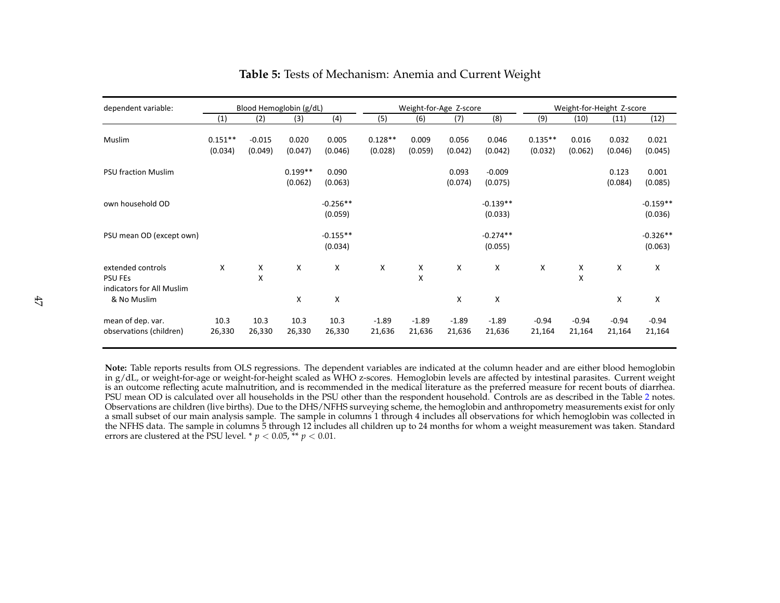| dependent variable:                                              |                      |                     | Blood Hemoglobin (g/dL) |                       |                      | Weight-for-Age Z-score |                   |                       |                      | Weight-for-Height Z-score |                   |                       |
|------------------------------------------------------------------|----------------------|---------------------|-------------------------|-----------------------|----------------------|------------------------|-------------------|-----------------------|----------------------|---------------------------|-------------------|-----------------------|
|                                                                  | (1)                  | (2)                 | (3)                     | (4)                   | (5)                  | (6)                    | (7)               | (8)                   | (9)                  | (10)                      | (11)              | (12)                  |
| Muslim                                                           | $0.151**$<br>(0.034) | $-0.015$<br>(0.049) | 0.020<br>(0.047)        | 0.005<br>(0.046)      | $0.128**$<br>(0.028) | 0.009<br>(0.059)       | 0.056<br>(0.042)  | 0.046<br>(0.042)      | $0.135**$<br>(0.032) | 0.016<br>(0.062)          | 0.032<br>(0.046)  | 0.021<br>(0.045)      |
| <b>PSU fraction Muslim</b>                                       |                      |                     | $0.199**$<br>(0.062)    | 0.090<br>(0.063)      |                      |                        | 0.093<br>(0.074)  | $-0.009$<br>(0.075)   |                      |                           | 0.123<br>(0.084)  | 0.001<br>(0.085)      |
| own household OD                                                 |                      |                     |                         | $-0.256**$<br>(0.059) |                      |                        |                   | $-0.139**$<br>(0.033) |                      |                           |                   | $-0.159**$<br>(0.036) |
| PSU mean OD (except own)                                         |                      |                     |                         | $-0.155**$<br>(0.034) |                      |                        |                   | $-0.274**$<br>(0.055) |                      |                           |                   | $-0.326**$<br>(0.063) |
| extended controls<br><b>PSU FES</b><br>indicators for All Muslim | X                    | X<br>X              | Χ                       | Х                     | х                    | Х<br>X                 | Χ                 | х                     | X                    | х<br>X                    | х                 | X                     |
| & No Muslim                                                      |                      |                     | X                       | X                     |                      |                        | X                 | X                     |                      |                           | X                 | X                     |
| mean of dep. var.<br>observations (children)                     | 10.3<br>26,330       | 10.3<br>26,330      | 10.3<br>26,330          | 10.3<br>26,330        | $-1.89$<br>21,636    | $-1.89$<br>21,636      | $-1.89$<br>21,636 | $-1.89$<br>21,636     | $-0.94$<br>21,164    | $-0.94$<br>21,164         | $-0.94$<br>21,164 | $-0.94$<br>21,164     |

### **Table 5:** Tests of Mechanism: Anemia and Current Weight

**Note:** Table reports results from OLS regressions. The dependent variables are indicated at the column header and are either blood hemoglobin in g/dL, or weight-for-age or weight-for-height scaled as WHO z-scores. Hemoglobin levels are affected by intestinal parasites. Current weight is an outcome reflecting acute malnutrition, and is recommended in the medical literature as the preferred measure for recent bouts of diarrhea. PSU mean OD is calculated over all households in the PSU other than the respondent household. Controls are as described in the Table [2](#page-45-1) notes. Observations are children (live births). Due to the DHS/NFHS surveying scheme, the hemoglobin and anthropometry measurements exist for only a small subset of our main analysis sample. The sample in columns 1 through 4 includes all observations for which hemoglobin was collected in the NFHS data. The sample in columns 5 through 12 includes all children up to 24 months for whom a weight measurement was taken. Standard errors are clustered at the PSU level. \*  $p < 0.05$ , \*\*  $p < 0.01$ .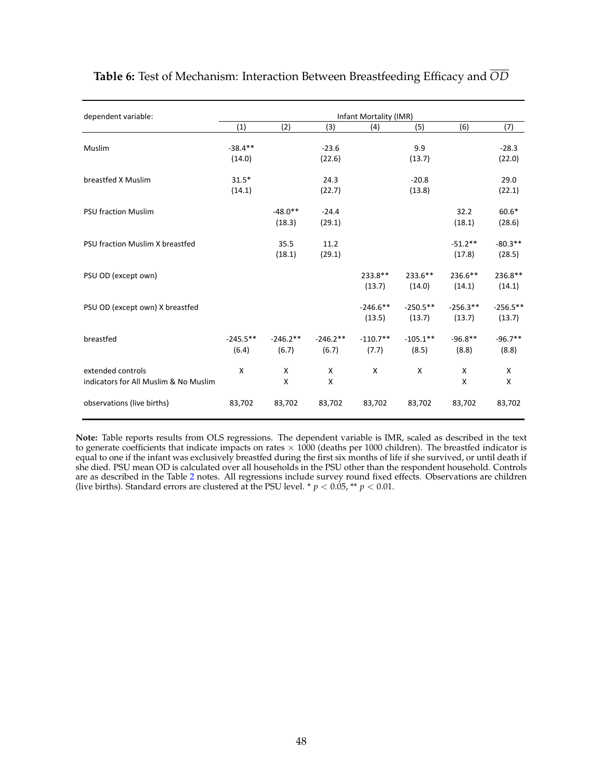| dependent variable:                   | Infant Mortality (IMR) |            |            |             |            |            |            |  |  |  |  |  |
|---------------------------------------|------------------------|------------|------------|-------------|------------|------------|------------|--|--|--|--|--|
|                                       | (1)                    | (2)        | (3)        | (4)         | (5)        | (6)        | (7)        |  |  |  |  |  |
| Muslim                                | $-38.4**$              |            | $-23.6$    |             | 9.9        |            | $-28.3$    |  |  |  |  |  |
|                                       | (14.0)                 |            | (22.6)     |             | (13.7)     |            | (22.0)     |  |  |  |  |  |
| breastfed X Muslim                    | $31.5*$                |            | 24.3       |             | $-20.8$    |            | 29.0       |  |  |  |  |  |
|                                       | (14.1)                 |            | (22.7)     |             | (13.8)     |            | (22.1)     |  |  |  |  |  |
| <b>PSU fraction Muslim</b>            |                        | $-48.0**$  | $-24.4$    |             |            | 32.2       | $60.6*$    |  |  |  |  |  |
|                                       |                        | (18.3)     | (29.1)     |             |            | (18.1)     | (28.6)     |  |  |  |  |  |
| PSU fraction Muslim X breastfed       |                        | 35.5       | 11.2       |             |            | $-51.2**$  | $-80.3**$  |  |  |  |  |  |
|                                       |                        | (18.1)     | (29.1)     |             |            | (17.8)     | (28.5)     |  |  |  |  |  |
| PSU OD (except own)                   |                        |            |            | $233.8**$   | $233.6**$  | 236.6**    | 236.8**    |  |  |  |  |  |
|                                       |                        |            |            | (13.7)      | (14.0)     | (14.1)     | (14.1)     |  |  |  |  |  |
| PSU OD (except own) X breastfed       |                        |            |            | $-246.6$ ** | $-250.5**$ | $-256.3**$ | $-256.5**$ |  |  |  |  |  |
|                                       |                        |            |            | (13.5)      | (13.7)     | (13.7)     | (13.7)     |  |  |  |  |  |
| breastfed                             | $-245.5***$            | $-246.2**$ | $-246.2**$ | $-110.7**$  | $-105.1**$ | $-96.8**$  | $-96.7**$  |  |  |  |  |  |
|                                       | (6.4)                  | (6.7)      | (6.7)      | (7.7)       | (8.5)      | (8.8)      | (8.8)      |  |  |  |  |  |
| extended controls                     | X                      | X          | X          | X           | X          | X          | X          |  |  |  |  |  |
| indicators for All Muslim & No Muslim |                        | X          | x          |             |            | X          | X          |  |  |  |  |  |
| observations (live births)            | 83,702                 | 83,702     | 83,702     | 83,702      | 83,702     | 83,702     | 83,702     |  |  |  |  |  |
|                                       |                        |            |            |             |            |            |            |  |  |  |  |  |

**Table 6:** Test of Mechanism: Interaction Between Breastfeeding Efficacy and *OD*

**Note:** Table reports results from OLS regressions. The dependent variable is IMR, scaled as described in the text to generate coefficients that indicate impacts on rates × 1000 (deaths per 1000 children). The breastfed indicator is<br>equal to one if the infant was exclusively breastfed during the first six months of life if she survived she died. PSU mean OD is calculated over all households in the PSU other than the respondent household. Controls are as described in the Table [2](#page-45-0) notes. All regressions include survey round fixed effects. Observations are children (live births). Standard errors are clustered at the PSU level. \*  $p < 0.05$ , \*\*  $p < 0.01$ .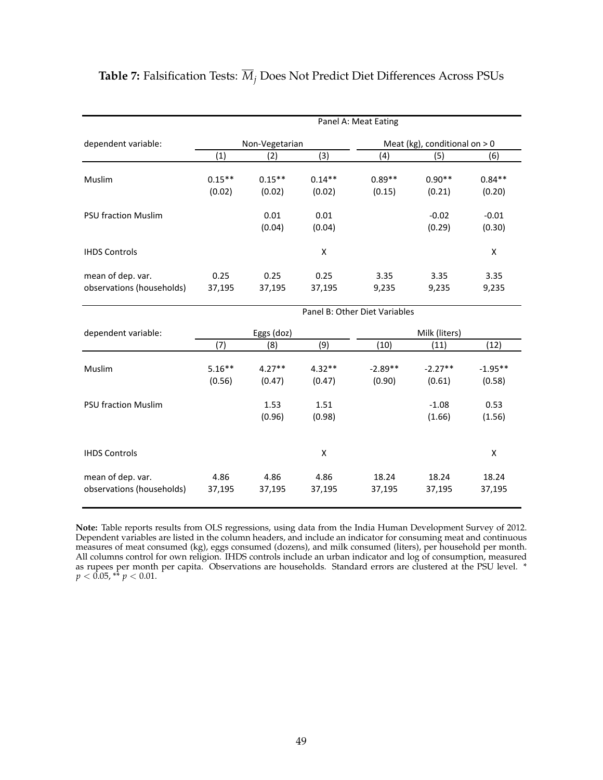|                            | Panel A: Meat Eating |                |          |                               |                                |           |  |  |  |  |
|----------------------------|----------------------|----------------|----------|-------------------------------|--------------------------------|-----------|--|--|--|--|
| dependent variable:        |                      | Non-Vegetarian |          |                               | Meat (kg), conditional on $>0$ |           |  |  |  |  |
|                            | (1)                  | (2)            | (3)      | (4)                           | (5)                            | (6)       |  |  |  |  |
| Muslim                     | $0.15***$            | $0.15***$      | $0.14**$ | $0.89**$                      | $0.90**$                       | $0.84**$  |  |  |  |  |
|                            | (0.02)               | (0.02)         | (0.02)   | (0.15)                        | (0.21)                         | (0.20)    |  |  |  |  |
| <b>PSU fraction Muslim</b> |                      | 0.01           | 0.01     |                               | $-0.02$                        | $-0.01$   |  |  |  |  |
|                            |                      | (0.04)         | (0.04)   |                               | (0.29)                         | (0.30)    |  |  |  |  |
| <b>IHDS Controls</b>       |                      |                | X        |                               |                                | X         |  |  |  |  |
| mean of dep. var.          | 0.25                 | 0.25           | 0.25     | 3.35                          | 3.35                           | 3.35      |  |  |  |  |
| observations (households)  | 37,195               | 37,195         | 37,195   | 9,235                         | 9,235                          | 9,235     |  |  |  |  |
|                            |                      |                |          | Panel B: Other Diet Variables |                                |           |  |  |  |  |
| dependent variable:        |                      | Eggs (doz)     |          |                               | Milk (liters)                  |           |  |  |  |  |
|                            | (7)                  | (8)            | (9)      | (10)                          | (11)                           | (12)      |  |  |  |  |
| Muslim                     | $5.16***$            | $4.27**$       | $4.32**$ | $-2.89**$                     | $-2.27**$                      | $-1.95**$ |  |  |  |  |
|                            | (0.56)               | (0.47)         | (0.47)   | (0.90)                        | (0.61)                         | (0.58)    |  |  |  |  |
| <b>PSU fraction Muslim</b> |                      | 1.53           | 1.51     |                               | $-1.08$                        | 0.53      |  |  |  |  |
|                            |                      | (0.96)         | (0.98)   |                               | (1.66)                         | (1.56)    |  |  |  |  |

## **Table 7:** Falsification Tests:  $\overline{M}_i$  Does Not Predict Diet Differences Across PSUs

**Note:** Table reports results from OLS regressions, using data from the India Human Development Survey of 2012. Dependent variables are listed in the column headers, and include an indicator for consuming meat and continuous measures of meat consumed (kg), eggs consumed (dozens), and milk consumed (liters), per household per month. All columns control for own religion. IHDS controls include an urban indicator and log of consumption, measured as rupees per month per capita. Observations are households. Standard errors are clustered at the PSU level. \* *p <* 0.05, \*\* *p <* 0.01.

IHDS&Controls X X

mean&of&dep.&var. 4.86 4.86 4.86 18.24 18.24 18.24 observations&(households) 37,195 37,195 37,195 37,195 37,195 37,195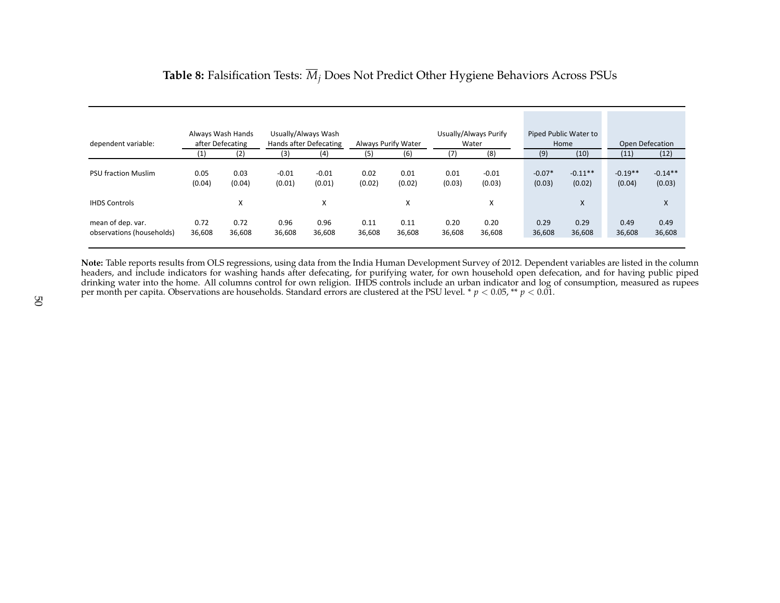| dependent variable:                            | Always Wash Hands<br>after Defecating |                | Usually/Always Wash<br>Hands after Defecating |                   |                |                | Always Purify Water |                   |                    | Usually/Always Purify<br>Water |                     | Piped Public Water to<br>Home | <b>Open Defecation</b> |  |
|------------------------------------------------|---------------------------------------|----------------|-----------------------------------------------|-------------------|----------------|----------------|---------------------|-------------------|--------------------|--------------------------------|---------------------|-------------------------------|------------------------|--|
|                                                | (1)                                   | (2)            | (3)                                           | (4)               | (5)            | (6)            | (7)                 | (8)               | (9)                | (10)                           | (11)                | (12)                          |                        |  |
| <b>PSU fraction Muslim</b>                     | 0.05<br>(0.04)                        | 0.03<br>(0.04) | $-0.01$<br>(0.01)                             | $-0.01$<br>(0.01) | 0.02<br>(0.02) | 0.01<br>(0.02) | 0.01<br>(0.03)      | $-0.01$<br>(0.03) | $-0.07*$<br>(0.03) | $-0.11**$<br>(0.02)            | $-0.19**$<br>(0.04) | $-0.14**$<br>(0.03)           |                        |  |
| <b>IHDS Controls</b>                           |                                       | X              |                                               | X                 |                | X              |                     | X                 |                    | X                              |                     | X                             |                        |  |
| mean of dep. var.<br>observations (households) | 0.72<br>36,608                        | 0.72<br>36,608 | 0.96<br>36,608                                | 0.96<br>36,608    | 0.11<br>36,608 | 0.11<br>36,608 | 0.20<br>36,608      | 0.20<br>36,608    | 0.29<br>36,608     | 0.29<br>36,608                 | 0.49<br>36,608      | 0.49<br>36,608                |                        |  |

## **Table 8:** Falsification Tests:  $\overline{M}_i$  Does Not Predict Other Hygiene Behaviors Across PSUs

**Note:** Table reports results from OLS regressions, using data from the India Human Development Survey of 2012. Dependent variables are listed in the column headers, and include indicators for washing hands after defecating, for purifying water, for own household open defecation, and for having public piped drinking water into the home. All columns control for own religion. IHDS controls include an urban indicator and log of consumption, measured as rupees per month per capita. Observations are households. Standard errors are clustered at the PSU level. \* *p <* 0.05, \*\* *p <* 0.01.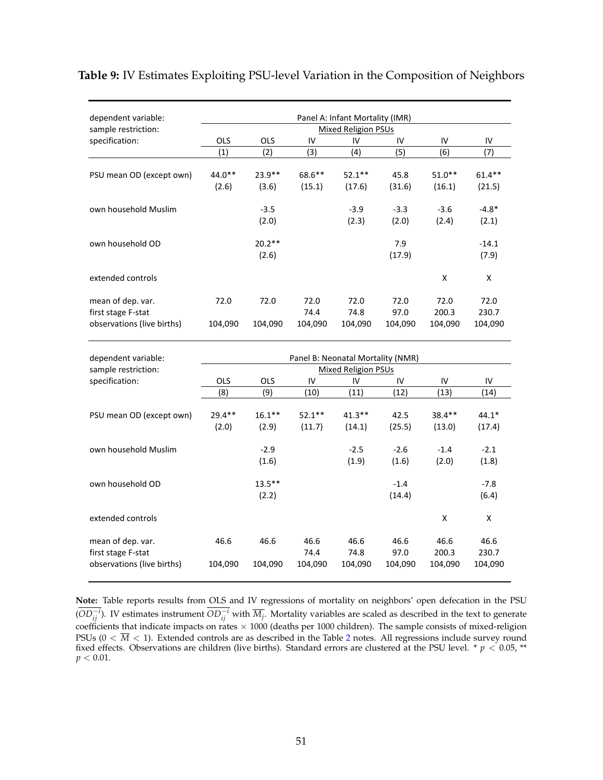| dependent variable:        |            |            |           | Panel A: Infant Mortality (IMR) |         |          |           |
|----------------------------|------------|------------|-----------|---------------------------------|---------|----------|-----------|
| sample restriction:        |            |            |           | <b>Mixed Religion PSUs</b>      |         |          |           |
| specification:             | <b>OLS</b> | <b>OLS</b> | IV        | IV                              | IV      | IV       | IV        |
|                            | (1)        | (2)        | (3)       | (4)                             | (5)     | (6)      | (7)       |
|                            |            |            |           |                                 |         |          |           |
| PSU mean OD (except own)   | $44.0**$   | $23.9**$   | $68.6***$ | $52.1***$                       | 45.8    | $51.0**$ | $61.4***$ |
|                            | (2.6)      | (3.6)      | (15.1)    | (17.6)                          | (31.6)  | (16.1)   | (21.5)    |
| own household Muslim       |            | $-3.5$     |           | $-3.9$                          | $-3.3$  | $-3.6$   | $-4.8*$   |
|                            |            | (2.0)      |           | (2.3)                           | (2.0)   | (2.4)    | (2.1)     |
| own household OD           |            | $20.2**$   |           |                                 | 7.9     |          | $-14.1$   |
|                            |            | (2.6)      |           |                                 | (17.9)  |          | (7.9)     |
| extended controls          |            |            |           |                                 |         | X        | X         |
| mean of dep. var.          | 72.0       | 72.0       | 72.0      | 72.0                            | 72.0    | 72.0     | 72.0      |
| first stage F-stat         |            |            | 74.4      | 74.8                            | 97.0    | 200.3    | 230.7     |
| observations (live births) | 104,090    | 104,090    | 104,090   | 104,090                         | 104,090 | 104,090  | 104,090   |

### **Table 9:** IV Estimates Exploiting PSU-level Variation in the Composition of Neighbors

| dependent variable:                                                   |                   |                    |                         | Panel B: Neonatal Mortality (NMR) |                         |                          |                          |
|-----------------------------------------------------------------------|-------------------|--------------------|-------------------------|-----------------------------------|-------------------------|--------------------------|--------------------------|
| sample restriction:                                                   |                   |                    |                         | Mixed Religion PSUs               |                         |                          |                          |
| specification:                                                        | <b>OLS</b>        | <b>OLS</b>         | IV                      | IV                                | IV                      | IV                       | IV                       |
|                                                                       | (8)               | (9)                | (10)                    | (11)                              | (12)                    | (13)                     | (14)                     |
| PSU mean OD (except own)                                              | $29.4**$<br>(2.0) | $16.1***$<br>(2.9) | $52.1**$<br>(11.7)      | $41.3**$<br>(14.1)                | 42.5<br>(25.5)          | $38.4***$<br>(13.0)      | $44.1*$<br>(17.4)        |
| own household Muslim                                                  |                   | $-2.9$<br>(1.6)    |                         | $-2.5$<br>(1.9)                   | $-2.6$<br>(1.6)         | $-1.4$<br>(2.0)          | $-2.1$<br>(1.8)          |
| own household OD                                                      |                   | $13.5***$<br>(2.2) |                         |                                   | $-1.4$<br>(14.4)        |                          | $-7.8$<br>(6.4)          |
| extended controls                                                     |                   |                    |                         |                                   |                         | X                        | X                        |
| mean of dep. var.<br>first stage F-stat<br>observations (live births) | 46.6<br>104,090   | 46.6<br>104,090    | 46.6<br>74.4<br>104,090 | 46.6<br>74.8<br>104,090           | 46.6<br>97.0<br>104,090 | 46.6<br>200.3<br>104,090 | 46.6<br>230.7<br>104,090 |

**Note:** Table reports results from OLS and IV regressions of mortality on neighbors' open defecation in the PSU  $(OD_{ij}^{-i})$ . IV estimates instrument  $OD_{ij}^{-i}$  with  $\overline{M_j}$ . Mortality variables are scaled as described in the text to generate coefficients that indicate impacts on rates  $\times$  1000 (deaths per 1000 children). The sample consists of mixed-religion PSUs  $(0 < \overline{M} < 1)$ . Extended controls are as described in the Table [2](#page-45-0) notes. All regressions include survey round fixed effects. Observations are children (live births). Standard errors are clustered at the PSU level. \* *p <* 0.05, \*\*  $p < 0.01$ .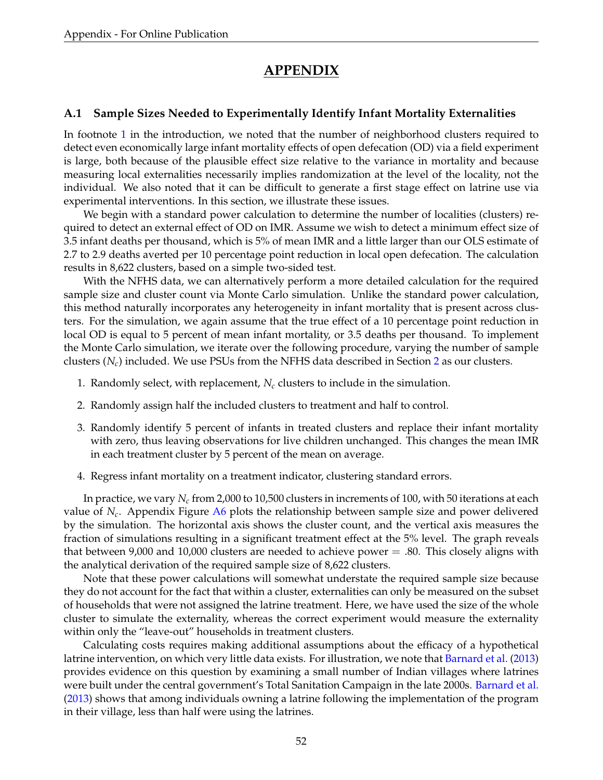# **APPENDIX**

### <span id="page-53-0"></span>**A.1 Sample Sizes Needed to Experimentally Identify Infant Mortality Externalities**

In footnote [1](#page-2-0) in the introduction, we noted that the number of neighborhood clusters required to detect even economically large infant mortality effects of open defecation (OD) via a field experiment is large, both because of the plausible effect size relative to the variance in mortality and because measuring local externalities necessarily implies randomization at the level of the locality, not the individual. We also noted that it can be difficult to generate a first stage effect on latrine use via experimental interventions. In this section, we illustrate these issues.

We begin with a standard power calculation to determine the number of localities (clusters) required to detect an external effect of OD on IMR. Assume we wish to detect a minimum effect size of 3.5 infant deaths per thousand, which is 5% of mean IMR and a little larger than our OLS estimate of 2.7 to 2.9 deaths averted per 10 percentage point reduction in local open defecation. The calculation results in 8,622 clusters, based on a simple two-sided test.

With the NFHS data, we can alternatively perform a more detailed calculation for the required sample size and cluster count via Monte Carlo simulation. Unlike the standard power calculation, this method naturally incorporates any heterogeneity in infant mortality that is present across clusters. For the simulation, we again assume that the true effect of a 10 percentage point reduction in local OD is equal to 5 percent of mean infant mortality, or 3.5 deaths per thousand. To implement the Monte Carlo simulation, we iterate over the following procedure, varying the number of sample clusters (*Nc*) included. We use PSUs from the NFHS data described in Section [2](#page-6-0) as our clusters.

- 1. Randomly select, with replacement,  $N_c$  clusters to include in the simulation.
- 2. Randomly assign half the included clusters to treatment and half to control.
- 3. Randomly identify 5 percent of infants in treated clusters and replace their infant mortality with zero, thus leaving observations for live children unchanged. This changes the mean IMR in each treatment cluster by 5 percent of the mean on average.
- 4. Regress infant mortality on a treatment indicator, clustering standard errors.

In practice, we vary *Nc* from 2,000 to 10,500 clusters in increments of 100, with 50 iterations at each value of *Nc*. Appendix Figure [A6](#page-62-0) plots the relationship between sample size and power delivered by the simulation. The horizontal axis shows the cluster count, and the vertical axis measures the fraction of simulations resulting in a significant treatment effect at the 5% level. The graph reveals that between 9,000 and 10,000 clusters are needed to achieve power  $=$  .80. This closely aligns with the analytical derivation of the required sample size of 8,622 clusters.

Note that these power calculations will somewhat understate the required sample size because they do not account for the fact that within a cluster, externalities can only be measured on the subset of households that were not assigned the latrine treatment. Here, we have used the size of the whole cluster to simulate the externality, whereas the correct experiment would measure the externality within only the "leave-out" households in treatment clusters.

Calculating costs requires making additional assumptions about the efficacy of a hypothetical latrine intervention, on which very little data exists. For illustration, we note that [Barnard et al.](#page-34-0) [\(2013\)](#page-34-0) provides evidence on this question by examining a small number of Indian villages where latrines were built under the central government's Total Sanitation Campaign in the late 2000s. [Barnard et al.](#page-34-0) [\(2013\)](#page-34-0) shows that among individuals owning a latrine following the implementation of the program in their village, less than half were using the latrines.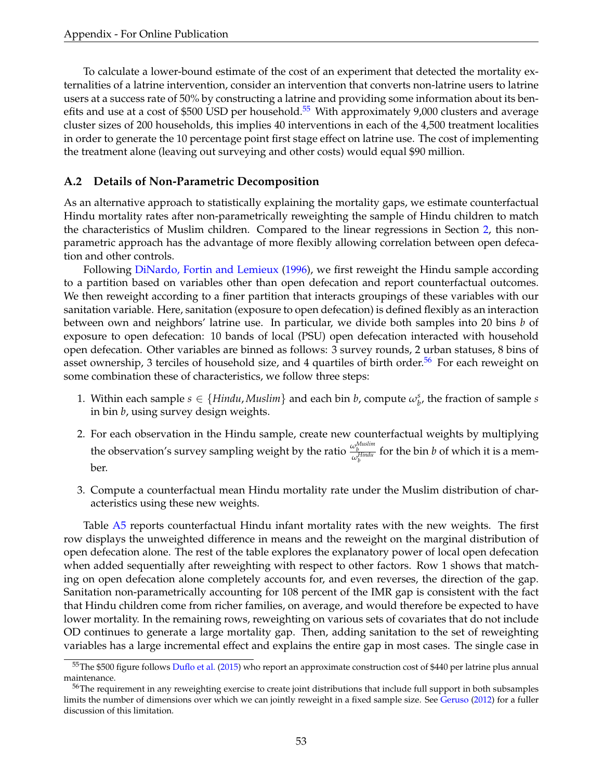To calculate a lower-bound estimate of the cost of an experiment that detected the mortality externalities of a latrine intervention, consider an intervention that converts non-latrine users to latrine users at a success rate of 50% by constructing a latrine and providing some information about its benefits and use at a cost of \$500 USD per household.<sup>55</sup> With approximately 9,000 clusters and average cluster sizes of 200 households, this implies 40 interventions in each of the 4,500 treatment localities in order to generate the 10 percentage point first stage effect on latrine use. The cost of implementing the treatment alone (leaving out surveying and other costs) would equal \$90 million.

### **A.2 Details of Non-Parametric Decomposition**

As an alternative approach to statistically explaining the mortality gaps, we estimate counterfactual Hindu mortality rates after non-parametrically reweighting the sample of Hindu children to match the characteristics of Muslim children. Compared to the linear regressions in Section [2,](#page-6-0) this nonparametric approach has the advantage of more flexibly allowing correlation between open defecation and other controls.

Following [DiNardo, Fortin and Lemieux](#page-35-0) [\(1996\)](#page-35-0), we first reweight the Hindu sample according to a partition based on variables other than open defecation and report counterfactual outcomes. We then reweight according to a finer partition that interacts groupings of these variables with our sanitation variable. Here, sanitation (exposure to open defecation) is defined flexibly as an interaction between own and neighbors' latrine use. In particular, we divide both samples into 20 bins *b* of exposure to open defecation: 10 bands of local (PSU) open defecation interacted with household open defecation. Other variables are binned as follows: 3 survey rounds, 2 urban statuses, 8 bins of asset ownership, 3 terciles of household size, and 4 quartiles of birth order.<sup>56</sup> For each reweight on some combination these of characteristics, we follow three steps:

- 1. Within each sample  $s \in \{Hindu, Muslim\}$  and each bin *b*, compute  $\omega_b^s$ , the fraction of sample *s* in bin *b*, using survey design weights.
- 2. For each observation in the Hindu sample, create new counterfactual weights by multiplying the observation's survey sampling weight by the ratio  $\frac{\omega_b^{Muslim}}{\omega_b^{Hindu}}$  for the bin *b* of which it is a member.
- 3. Compute a counterfactual mean Hindu mortality rate under the Muslim distribution of characteristics using these new weights.

Table [A5](#page-67-0) reports counterfactual Hindu infant mortality rates with the new weights. The first row displays the unweighted difference in means and the reweight on the marginal distribution of open defecation alone. The rest of the table explores the explanatory power of local open defecation when added sequentially after reweighting with respect to other factors. Row 1 shows that matching on open defecation alone completely accounts for, and even reverses, the direction of the gap. Sanitation non-parametrically accounting for 108 percent of the IMR gap is consistent with the fact that Hindu children come from richer families, on average, and would therefore be expected to have lower mortality. In the remaining rows, reweighting on various sets of covariates that do not include OD continues to generate a large mortality gap. Then, adding sanitation to the set of reweighting variables has a large incremental effect and explains the entire gap in most cases. The single case in

<span id="page-54-0"></span><sup>&</sup>lt;sup>55</sup>The \$500 figure follows [Duflo et al.](#page-35-1) [\(2015\)](#page-35-1) who report an approximate construction cost of \$440 per latrine plus annual maintenance.

<span id="page-54-1"></span><sup>&</sup>lt;sup>56</sup>The requirement in any reweighting exercise to create joint distributions that include full support in both subsamples limits the number of dimensions over which we can jointly reweight in a fixed sample size. See [Geruso](#page-35-2) [\(2012\)](#page-35-2) for a fuller discussion of this limitation.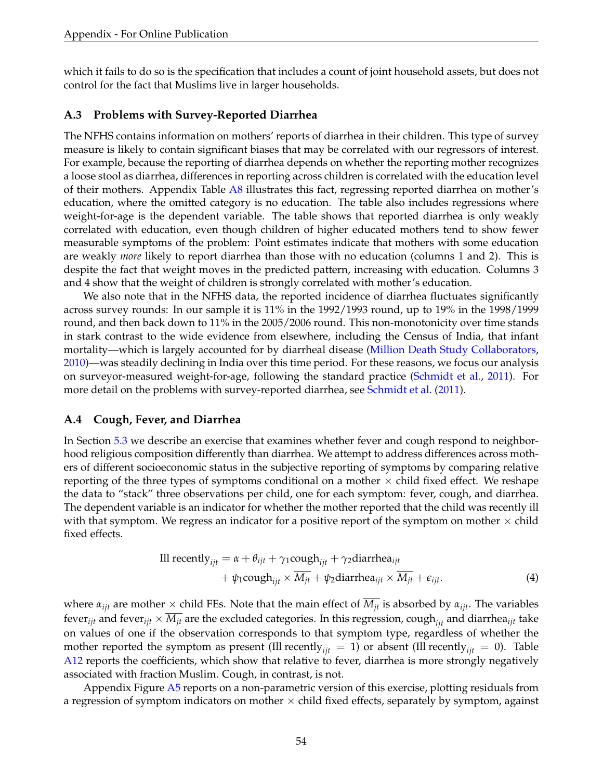which it fails to do so is the specification that includes a count of joint household assets, but does not control for the fact that Muslims live in larger households.

### **A.3 Problems with Survey-Reported Diarrhea**

The NFHS contains information on mothers' reports of diarrhea in their children. This type of survey measure is likely to contain significant biases that may be correlated with our regressors of interest. For example, because the reporting of diarrhea depends on whether the reporting mother recognizes a loose stool as diarrhea, differences in reporting across children is correlated with the education level of their mothers. Appendix Table [A8](#page-70-0) illustrates this fact, regressing reported diarrhea on mother's education, where the omitted category is no education. The table also includes regressions where weight-for-age is the dependent variable. The table shows that reported diarrhea is only weakly correlated with education, even though children of higher educated mothers tend to show fewer measurable symptoms of the problem: Point estimates indicate that mothers with some education are weakly *more* likely to report diarrhea than those with no education (columns 1 and 2). This is despite the fact that weight moves in the predicted pattern, increasing with education. Columns 3 and 4 show that the weight of children is strongly correlated with mother's education.

We also note that in the NFHS data, the reported incidence of diarrhea fluctuates significantly across survey rounds: In our sample it is 11% in the 1992/1993 round, up to 19% in the 1998/1999 round, and then back down to 11% in the 2005/2006 round. This non-monotonicity over time stands in stark contrast to the wide evidence from elsewhere, including the Census of India, that infant mortality—which is largely accounted for by diarrheal disease [\(Million Death Study Collaborators,](#page-36-0) [2010\)](#page-36-0)—was steadily declining in India over this time period. For these reasons, we focus our analysis on surveyor-measured weight-for-age, following the standard practice [\(Schmidt et al.,](#page-36-1) [2011\)](#page-36-1). For more detail on the problems with survey-reported diarrhea, see [Schmidt et al.](#page-36-1) [\(2011\)](#page-36-1).

### <span id="page-55-0"></span>**A.4 Cough, Fever, and Diarrhea**

In Section [5.3](#page-24-0) we describe an exercise that examines whether fever and cough respond to neighborhood religious composition differently than diarrhea. We attempt to address differences across mothers of different socioeconomic status in the subjective reporting of symptoms by comparing relative reporting of the three types of symptoms conditional on a mother  $\times$  child fixed effect. We reshape the data to "stack" three observations per child, one for each symptom: fever, cough, and diarrhea. The dependent variable is an indicator for whether the mother reported that the child was recently ill with that symptom. We regress an indicator for a positive report of the symptom on mother  $\times$  child fixed effects.

$$
\begin{aligned} \text{III recently}_{ijt} &= \alpha + \theta_{ijt} + \gamma_1 \text{cough}_{ijt} + \gamma_2 \text{diarrhea}_{ijt} \\ &+ \psi_1 \text{cough}_{ijt} \times \overline{M_{jt}} + \psi_2 \text{diarrhea}_{ijt} \times \overline{M_{jt}} + \epsilon_{ijt}. \end{aligned} \tag{4}
$$

where  $\alpha_{ijt}$  are mother  $\times$  child FEs. Note that the main effect of  $\overline{M}_{jt}$  is absorbed by  $\alpha_{ijt}$ . The variables fever<sub>*ijt*</sub> and fever<sub>*ijt*</sub>  $\times \overline{M_{jt}}$  are the excluded categories. In this regression, cough<sub>*ijt*</sub> and diarrhea<sub>*ijt*</sub> take on values of one if the observation corresponds to that symptom type, regardless of whether the mother reported the symptom as present (Ill recently<sub>*ijt*</sub> = 1) or absent (Ill recently<sub>*ijt*</sub> = 0). Table [A12](#page-74-0) reports the coefficients, which show that relative to fever, diarrhea is more strongly negatively associated with fraction Muslim. Cough, in contrast, is not.

Appendix Figure [A5](#page-61-0) reports on a non-parametric version of this exercise, plotting residuals from a regression of symptom indicators on mother  $\times$  child fixed effects, separately by symptom, against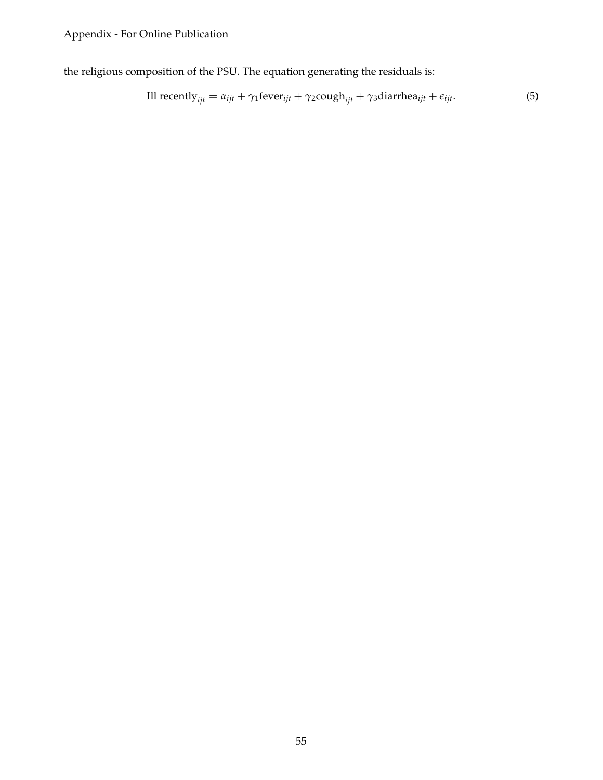the religious composition of the PSU. The equation generating the residuals is:

$$
\text{III recently}_{ijt} = \alpha_{ijt} + \gamma_1 \text{fever}_{ijt} + \gamma_2 \text{cough}_{ijt} + \gamma_3 \text{diarrhea}_{ijt} + \epsilon_{ijt}.\tag{5}
$$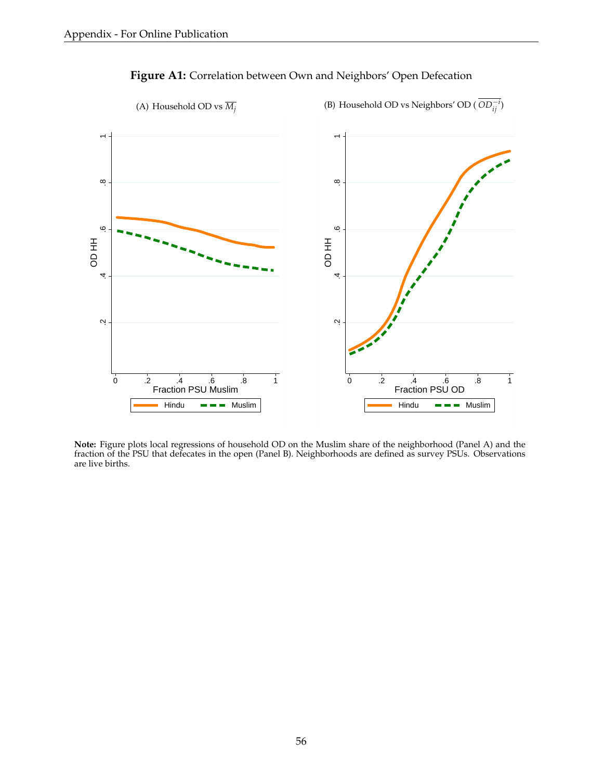

**Figure A1:** Correlation between Own and Neighbors' Open Defecation

**Note:** Figure plots local regressions of household OD on the Muslim share of the neighborhood (Panel A) and the fraction of the PSU that defecates in the open (Panel B). Neighborhoods are defined as survey PSUs. Observations are live births.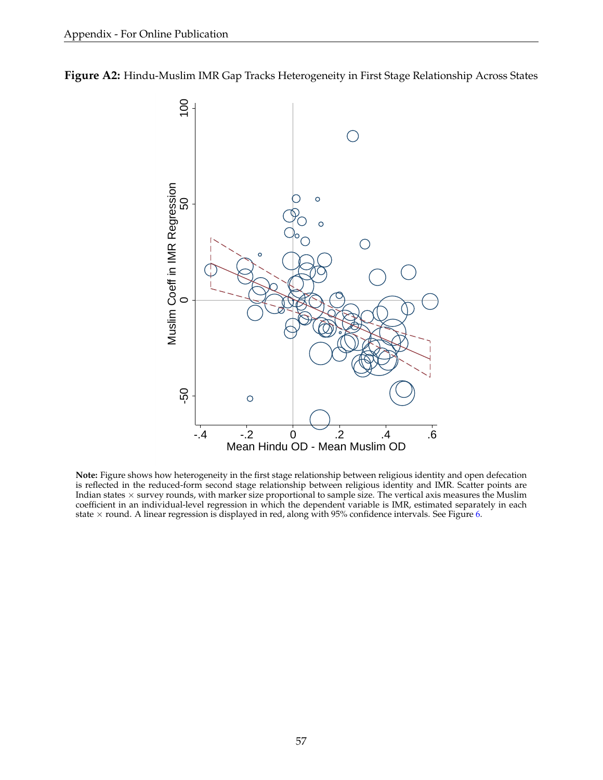



**Note:** Figure shows how heterogeneity in the first stage relationship between religious identity and open defecation is reflected in the reduced-form second stage relationship between religious identity and IMR. Scatter points are Indian states  $\times$  survey rounds, with marker size proportional to sample size. The vertical axis measures the Muslim coefficient in an individual-level regression in which the dependent variable is IMR, estimated separately in each state  $\times$  round. A linear regression is displayed in red, along with 95% confidence intervals. See Figure [6.](#page-43-0)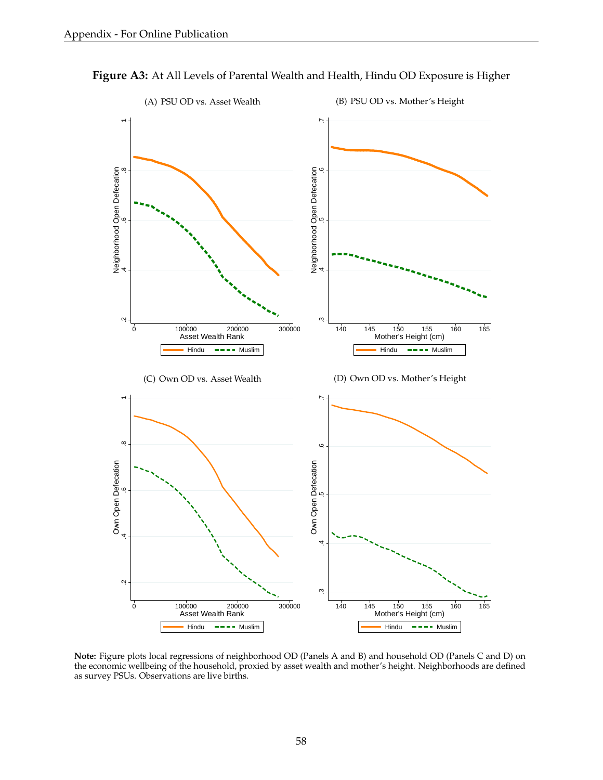

**Figure A3:** At All Levels of Parental Wealth and Health, Hindu OD Exposure is Higher

**Note:** Figure plots local regressions of neighborhood OD (Panels A and B) and household OD (Panels C and D) on the economic wellbeing of the household, proxied by asset wealth and mother's height. Neighborhoods are defined as survey PSUs. Observations are live births.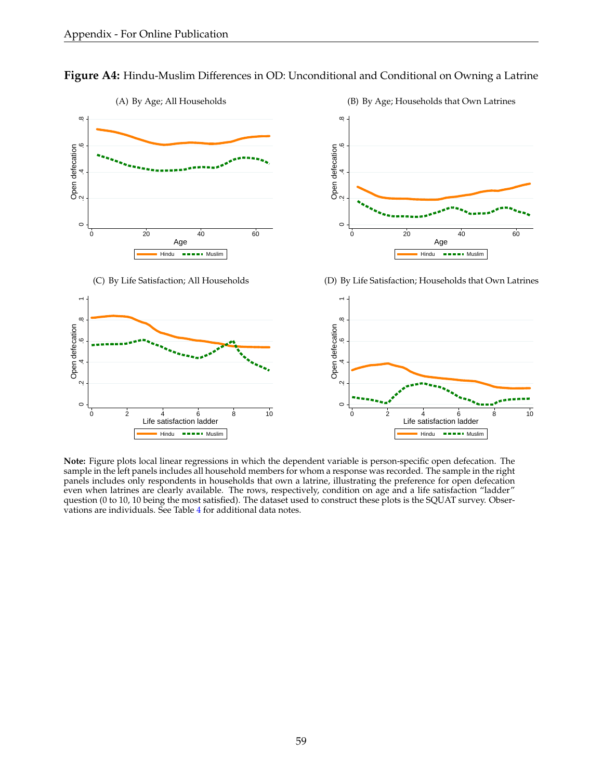**Figure A4:** Hindu-Muslim Differences in OD: Unconditional and Conditional on Owning a Latrine



(C) By Life Satisfaction; All Households



(D) By Life Satisfaction; Households that Own Latrines



**Note:** Figure plots local linear regressions in which the dependent variable is person-specific open defecation. The sample in the left panels includes all household members for whom a response was recorded. The sample in the right panels includes only respondents in households that own a latrine, illustrating the preference for open defecation even when latrines are clearly available. The rows, respectively, condition on age and a life satisfaction "ladder" question (0 to 10, 10 being the most satisfied). The dataset used to construct these plots is the SQUAT survey. Observations are individuals. See Table [4](#page-47-0) for additional data notes.

(B) By Age; Households that Own Latrines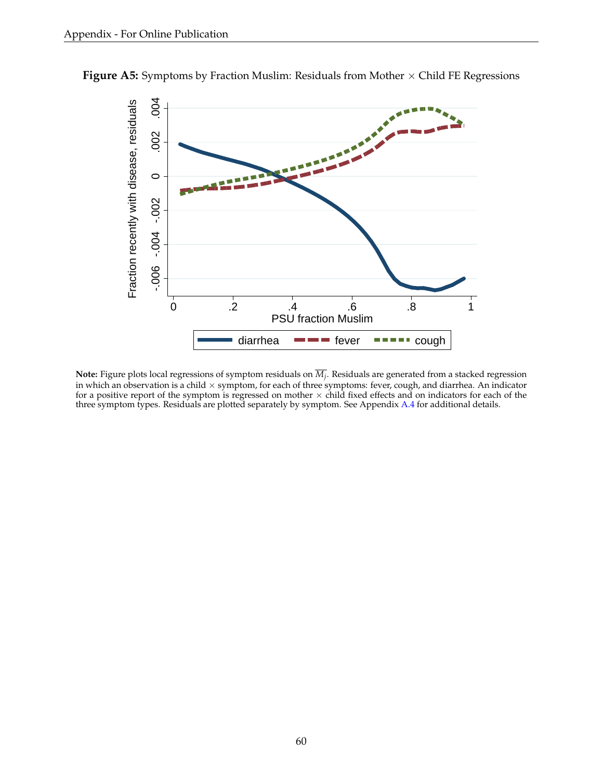

<span id="page-61-0"></span>**Figure A5:** Symptoms by Fraction Muslim: Residuals from Mother  $\times$  Child FE Regressions

**Note:** Figure plots local regressions of symptom residuals on  $\overline{M}_i$ . Residuals are generated from a stacked regression in which an observation is a child  $\times$  symptom, for each of three symptoms: fever, cough, and diarrhea. An indicator for a positive report of the symptom is regressed on mother  $\times$  child fixed effects and on indicators for each of the three symptom types. Residuals are plotted separately by symptom. See Appendix [A.4](#page-55-0) for additional details.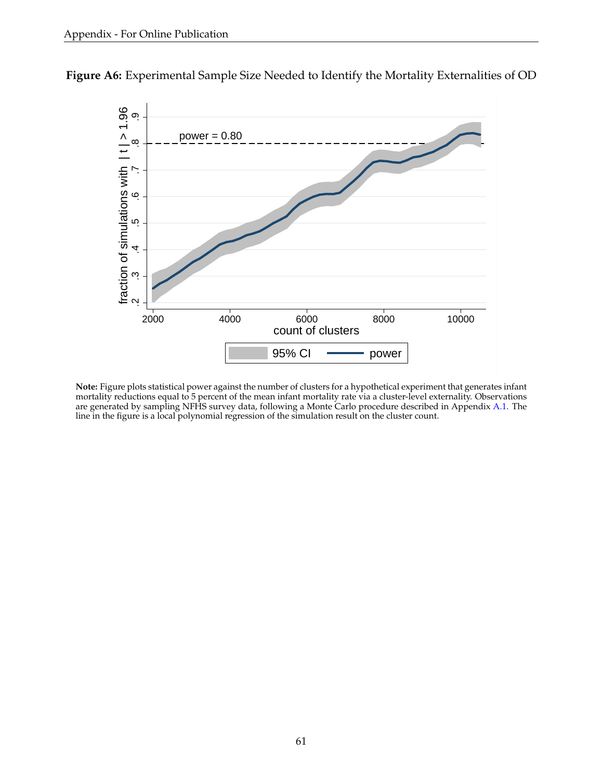

<span id="page-62-0"></span>**Figure A6:** Experimental Sample Size Needed to Identify the Mortality Externalities of OD

**Note:** Figure plots statistical power against the number of clusters for a hypothetical experiment that generates infant mortality reductions equal to 5 percent of the mean infant mortality rate via a cluster-level externality. Observations are generated by sampling NFHS survey data, following a Monte Carlo procedure described in Appendix [A.1.](#page-53-0) The line in the figure is a local polynomial regression of the simulation result on the cluster count.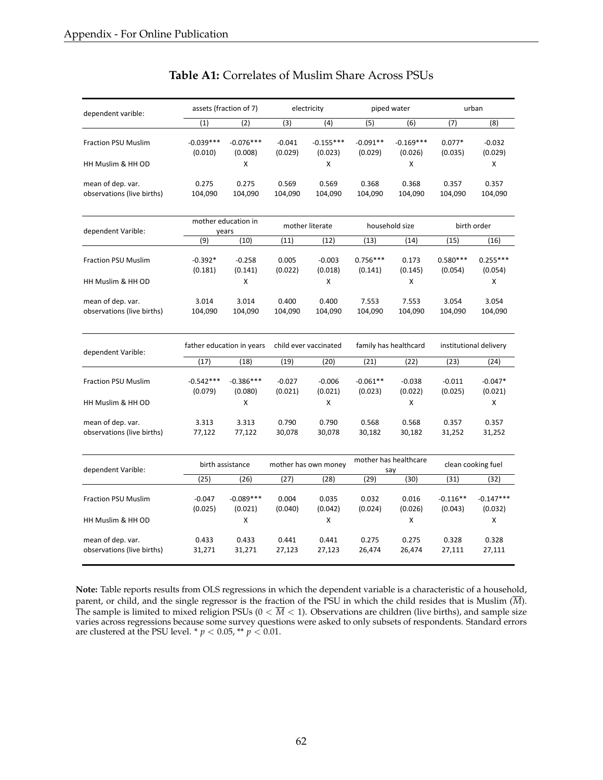<span id="page-63-0"></span>

| dependent varible:                              |                           | assets (fraction of 7)       |                     | electricity            |                       | piped water                  |                       | urban                  |  |
|-------------------------------------------------|---------------------------|------------------------------|---------------------|------------------------|-----------------------|------------------------------|-----------------------|------------------------|--|
|                                                 | (1)                       | (2)                          | (3)                 | (4)                    | (5)                   | (6)                          | (7)                   | (8)                    |  |
| <b>Fraction PSU Muslim</b>                      | $-0.039***$<br>(0.010)    | $-0.076***$<br>(0.008)       | $-0.041$<br>(0.029) | $-0.155***$<br>(0.023) | $-0.091**$<br>(0.029) | $-0.169***$<br>(0.026)       | $0.077*$<br>(0.035)   | $-0.032$<br>(0.029)    |  |
| HH Muslim & HH OD                               |                           | X                            |                     | x                      |                       | x                            |                       | X                      |  |
| mean of dep. var.<br>observations (live births) | 0.275<br>104,090          | 0.275<br>104,090             | 0.569<br>104,090    | 0.569<br>104,090       | 0.368<br>104,090      | 0.368<br>104,090             | 0.357<br>104,090      | 0.357<br>104,090       |  |
| dependent Varible:                              |                           | mother education in<br>years |                     | mother literate        |                       | household size               |                       | birth order            |  |
|                                                 | (9)                       | (10)                         | (11)                | (12)                   | (13)                  | (14)                         | (15)                  | (16)                   |  |
| <b>Fraction PSU Muslim</b>                      | $-0.392*$<br>(0.181)      | $-0.258$<br>(0.141)          | 0.005<br>(0.022)    | $-0.003$<br>(0.018)    | $0.756***$<br>(0.141) | 0.173<br>(0.145)             | $0.580***$<br>(0.054) | $0.255***$<br>(0.054)  |  |
| HH Muslim & HH OD                               |                           | X                            |                     | х                      |                       | X                            |                       | X                      |  |
| mean of dep. var.<br>observations (live births) | 3.014<br>104,090          | 3.014<br>104,090             | 0.400<br>104,090    | 0.400<br>104,090       | 7.553<br>104,090      | 7.553<br>104,090             | 3.054<br>104,090      | 3.054<br>104,090       |  |
| dependent Varible:                              | father education in years |                              |                     | child ever vaccinated  |                       | family has healthcard        |                       | institutional delivery |  |
|                                                 | (17)                      | (18)                         | (19)                | (20)                   | (21)                  | (22)                         | (23)                  | (24)                   |  |
| <b>Fraction PSU Muslim</b>                      | $-0.542***$<br>(0.079)    | $-0.386***$<br>(0.080)       | $-0.027$<br>(0.021) | $-0.006$<br>(0.021)    | $-0.061**$<br>(0.023) | $-0.038$<br>(0.022)          | $-0.011$<br>(0.025)   | $-0.047*$<br>(0.021)   |  |
| HH Muslim & HH OD                               |                           | X                            |                     | x                      |                       | x                            |                       | x                      |  |
| mean of dep. var.<br>observations (live births) | 3.313<br>77,122           | 3.313<br>77,122              | 0.790<br>30,078     | 0.790<br>30,078        | 0.568<br>30,182       | 0.568<br>30,182              | 0.357<br>31,252       | 0.357<br>31,252        |  |
| dependent Varible:                              |                           | birth assistance             |                     | mother has own money   |                       | mother has healthcare<br>say | clean cooking fuel    |                        |  |
|                                                 | (25)                      | (26)                         | (27)                | (28)                   | (29)                  | (30)                         | (31)                  | (32)                   |  |
| <b>Fraction PSU Muslim</b>                      | $-0.047$<br>(0.025)       | $-0.089***$<br>(0.021)       | 0.004<br>(0.040)    | 0.035<br>(0.042)       | 0.032<br>(0.024)      | 0.016<br>(0.026)             | $-0.116**$<br>(0.043) | $-0.147***$<br>(0.032) |  |
| HH Muslim & HH OD                               |                           | X                            |                     | x                      |                       | x                            |                       | x                      |  |
| mean of dep. var.<br>observations (live births) | 0.433<br>31,271           | 0.433<br>31,271              | 0.441<br>27,123     | 0.441<br>27,123        | 0.275<br>26,474       | 0.275<br>26,474              | 0.328<br>27,111       | 0.328<br>27,111        |  |

### **Table A1:** Correlates of Muslim Share Across PSUs

**Note:** Table reports results from OLS regressions in which the dependent variable is a characteristic of a household, parent, or child, and the single regressor is the fraction of the PSU in which the child resides that is Muslim (*M*). The sample is limited to mixed religion PSUs ( $0 < \overline{M} < 1$ ). Observations are children (live births), and sample size varies across regressions because some survey questions were asked to only subsets of respondents. Standard errors are clustered at the PSU level. \*  $p < 0.05$ , \*\*  $p < 0.01$ .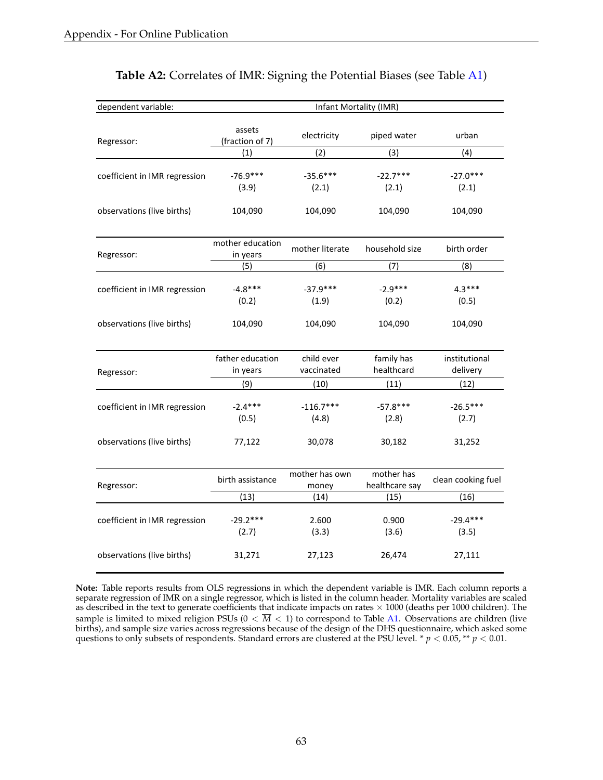<span id="page-64-0"></span>

| dependent variable:<br>Infant Mortality (IMR) |                              |                          |                              |                           |  |
|-----------------------------------------------|------------------------------|--------------------------|------------------------------|---------------------------|--|
| Regressor:                                    | assets<br>(fraction of 7)    | electricity              | piped water                  | urban                     |  |
|                                               | (1)                          | (2)                      | (3)                          | (4)                       |  |
| coefficient in IMR regression                 | $-76.9***$<br>(3.9)          | $-35.6***$<br>(2.1)      | $-22.7***$<br>(2.1)          | $-27.0***$<br>(2.1)       |  |
| observations (live births)                    | 104,090                      | 104,090                  | 104,090                      | 104,090                   |  |
| Regressor:                                    | mother education<br>in years | mother literate          | household size               | birth order               |  |
|                                               | (5)                          | (6)                      | (7)                          | (8)                       |  |
| coefficient in IMR regression                 | $-4.8***$<br>(0.2)           | $-37.9***$<br>(1.9)      | $-2.9***$<br>(0.2)           | $4.3***$<br>(0.5)         |  |
| observations (live births)                    | 104,090                      | 104,090                  | 104,090                      | 104,090                   |  |
| Regressor:                                    | father education<br>in years | child ever<br>vaccinated | family has<br>healthcard     | institutional<br>delivery |  |
|                                               | (9)                          | (10)                     | (11)                         | (12)                      |  |
| coefficient in IMR regression                 | $-2.4***$<br>(0.5)           | $-116.7***$<br>(4.8)     | $-57.8***$<br>(2.8)          | $-26.5***$<br>(2.7)       |  |
| observations (live births)                    | 77,122                       | 30,078                   | 30,182                       | 31,252                    |  |
| Regressor:                                    | birth assistance             | mother has own<br>money  | mother has<br>healthcare say | clean cooking fuel        |  |
|                                               | (13)                         | (14)                     | (15)                         | (16)                      |  |
| coefficient in IMR regression                 | $-29.2***$<br>(2.7)          | 2.600<br>(3.3)           | 0.900<br>(3.6)               | $-29.4***$<br>(3.5)       |  |
| observations (live births)                    | 31,271                       | 27,123                   | 26,474                       | 27,111                    |  |

### **Table A2:** Correlates of IMR: Signing the Potential Biases (see Table [A1\)](#page-63-0)

**Note:** Table reports results from OLS regressions in which the dependent variable is IMR. Each column reports a separate regression of IMR on a single regressor, which is listed in the column header. Mortality variables are scaled as described in the text to generate coefficients that indicate impacts on rates  $\times$  1000 (deaths per 1000 children). The sample is limited to mixed religion PSUs ( $0 < \overline{M} < 1$ ) to correspond to Table [A1.](#page-63-0) Observations are children (live births), and sample size varies across regressions because of the design of the DHS questionnaire, which asked some questions to only subsets of respondents. Standard errors are clustered at the PSU level. \* *p <* 0.05, \*\* *p <* 0.01.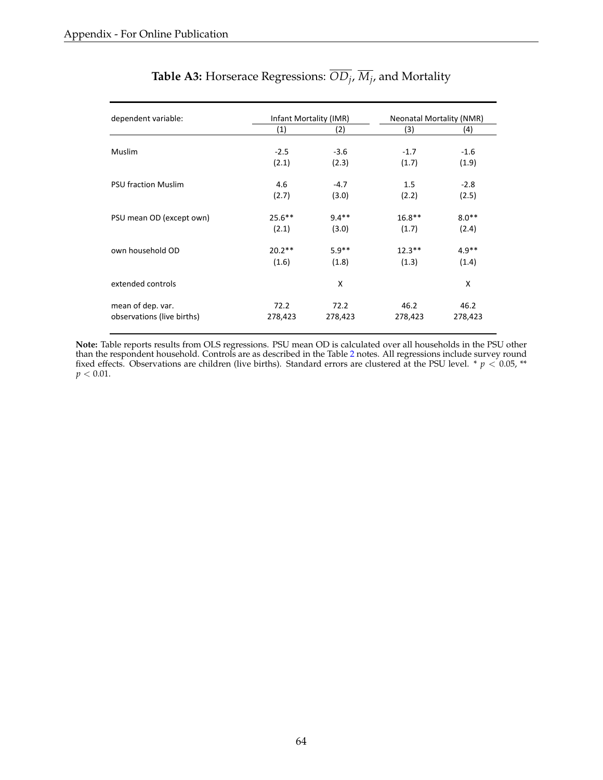<span id="page-65-0"></span>

| dependent variable:        |           | Infant Mortality (IMR) |           | <b>Neonatal Mortality (NMR)</b> |  |  |
|----------------------------|-----------|------------------------|-----------|---------------------------------|--|--|
|                            | (1)       | (2)                    | (3)       | (4)                             |  |  |
| <b>Muslim</b>              | $-2.5$    | $-3.6$                 | $-1.7$    | $-1.6$                          |  |  |
|                            | (2.1)     | (2.3)                  | (1.7)     | (1.9)                           |  |  |
| <b>PSU fraction Muslim</b> | 4.6       | $-4.7$                 | 1.5       | $-2.8$                          |  |  |
|                            | (2.7)     | (3.0)                  | (2.2)     | (2.5)                           |  |  |
| PSU mean OD (except own)   | $25.6***$ | $9.4**$                | $16.8***$ | $8.0**$                         |  |  |
|                            | (2.1)     | (3.0)                  | (1.7)     | (2.4)                           |  |  |
| own household OD           | $20.2**$  | $5.9**$                | $12.3***$ | $4.9**$                         |  |  |
|                            | (1.6)     | (1.8)                  | (1.3)     | (1.4)                           |  |  |
| extended controls          |           | X                      |           | X                               |  |  |
| mean of dep. var.          | 72.2      | 72.2                   | 46.2      | 46.2                            |  |  |
| observations (live births) | 278,423   | 278,423                | 278,423   | 278,423                         |  |  |

# **Table A3:** Horserace Regressions:  $\overline{OD}_j$ ,  $\overline{M}_j$ , and Mortality

**Note:** Table reports results from OLS regressions. PSU mean OD is calculated over all households in the PSU other than the respondent household. Controls are as described in the Table [2](#page-45-0) notes. All regressions include survey round fixed effects. Observations are children (live births). Standard errors are clustered at the PSU level. \* *p <* 0.05, \*\*  $p < 0.01$ .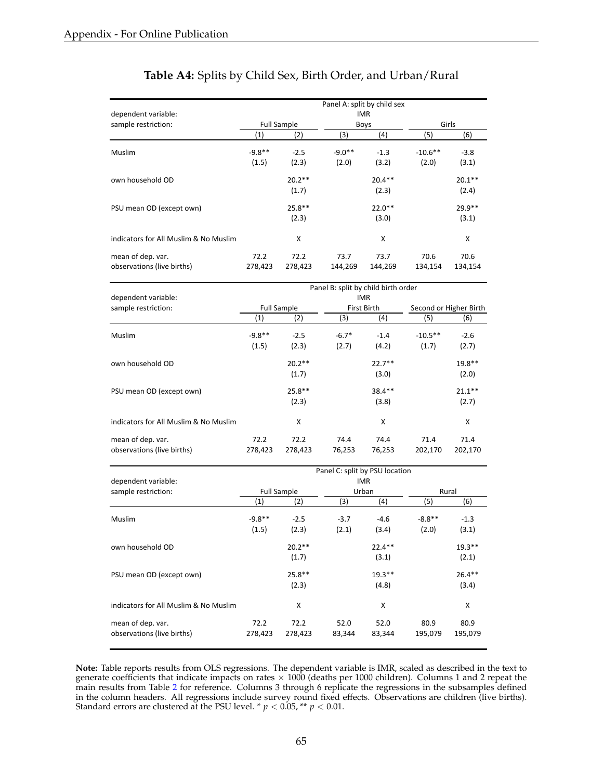|                                       |          |                    | Panel A: split by child sex |             |           |          |  |  |  |
|---------------------------------------|----------|--------------------|-----------------------------|-------------|-----------|----------|--|--|--|
| dependent variable:                   |          | <b>IMR</b>         |                             |             |           |          |  |  |  |
| sample restriction:                   |          | <b>Full Sample</b> |                             | <b>Boys</b> |           | Girls    |  |  |  |
|                                       | (1)      | (2)                | (3)                         | (4)         | (5)       | (6)      |  |  |  |
| Muslim                                | $-9.8**$ | $-2.5$             | $-9.0**$                    | $-1.3$      | $-10.6**$ | $-3.8$   |  |  |  |
|                                       | (1.5)    | (2.3)              | (2.0)                       | (3.2)       | (2.0)     | (3.1)    |  |  |  |
| own household OD                      |          | $20.2**$           |                             | $20.4***$   |           | $20.1**$ |  |  |  |
|                                       |          | (1.7)              |                             | (2.3)       |           | (2.4)    |  |  |  |
| PSU mean OD (except own)              |          | $25.8**$           |                             | $22.0**$    |           | $29.9**$ |  |  |  |
|                                       |          | (2.3)              |                             | (3.0)       |           | (3.1)    |  |  |  |
| indicators for All Muslim & No Muslim |          | X                  |                             | x           |           | X        |  |  |  |
| mean of dep. var.                     | 72.2     | 72.2               | 73.7                        | 73.7        | 70.6      | 70.6     |  |  |  |
| observations (live births)            | 278,423  | 278,423            | 144,269                     | 144,269     | 134,154   | 134,154  |  |  |  |

### **Table A4:** Splits by Child Sex, Birth Order, and Urban/Rural

|                                       |                    |           | Panel B: split by child birth order |           |                        |           |  |  |  |
|---------------------------------------|--------------------|-----------|-------------------------------------|-----------|------------------------|-----------|--|--|--|
| dependent variable:                   | IMR.               |           |                                     |           |                        |           |  |  |  |
| sample restriction:                   | <b>Full Sample</b> |           | First Birth                         |           | Second or Higher Birth |           |  |  |  |
|                                       | (1)                | (2)       | (3)                                 | (4)       | (5)                    | (6)       |  |  |  |
| <b>Muslim</b>                         | $-9.8**$           | $-2.5$    | $-6.7*$                             | $-1.4$    | $-10.5**$              | $-2.6$    |  |  |  |
|                                       | (1.5)              | (2.3)     | (2.7)                               | (4.2)     | (1.7)                  | (2.7)     |  |  |  |
| own household OD                      |                    | $20.2**$  |                                     | $22.7**$  |                        | $19.8**$  |  |  |  |
|                                       |                    | (1.7)     |                                     | (3.0)     |                        | (2.0)     |  |  |  |
| PSU mean OD (except own)              |                    | $25.8***$ |                                     | $38.4***$ |                        | $21.1***$ |  |  |  |
|                                       |                    | (2.3)     |                                     | (3.8)     |                        | (2.7)     |  |  |  |
| indicators for All Muslim & No Muslim |                    | x         |                                     | x         |                        | X         |  |  |  |
| mean of dep. var.                     | 72.2               | 72.2      | 74.4                                | 74.4      | 71.4                   | 71.4      |  |  |  |
| observations (live births)            | 278,423            | 278,423   | 76,253                              | 76,253    | 202,170                | 202,170   |  |  |  |

|                                                 | Panel C: split by PSU location |                    |                |                |                 |                 |  |  |
|-------------------------------------------------|--------------------------------|--------------------|----------------|----------------|-----------------|-----------------|--|--|
| dependent variable:                             | <b>IMR</b>                     |                    |                |                |                 |                 |  |  |
| sample restriction:                             |                                | <b>Full Sample</b> |                | Urban          |                 | Rural           |  |  |
|                                                 | $\left( 1\right)$              | (2)                | (3)            | (4)            | (5)             | (6)             |  |  |
| Muslim                                          | $-9.8**$                       | $-2.5$             | $-3.7$         | $-4.6$         | $-8.8**$        | $-1.3$          |  |  |
|                                                 | (1.5)                          | (2.3)              | (2.1)          | (3.4)          | (2.0)           | (3.1)           |  |  |
| own household OD                                |                                | $20.2**$           |                | $22.4***$      |                 | $19.3***$       |  |  |
|                                                 |                                | (1.7)              |                | (3.1)          |                 | (2.1)           |  |  |
| PSU mean OD (except own)                        |                                | $25.8**$           |                | $19.3***$      |                 | $26.4***$       |  |  |
|                                                 |                                | (2.3)              |                | (4.8)          |                 | (3.4)           |  |  |
| indicators for All Muslim & No Muslim           |                                | X                  |                | X              |                 | X               |  |  |
| mean of dep. var.<br>observations (live births) | 72.2<br>278,423                | 72.2<br>278,423    | 52.0<br>83,344 | 52.0<br>83,344 | 80.9<br>195,079 | 80.9<br>195,079 |  |  |

**Note:** Table reports results from OLS regressions. The dependent variable is IMR, scaled as described in the text to generate coefficients that indicate impacts on rates  $\times$  1000 (deaths per 1000 children). Columns 1 and 2 repeat the main results from Table [2](#page-45-0) for reference. Columns 3 through 6 replicate the regressions in the subsamples defined in the column headers. All regressions include survey round fixed effects. Observations are children (live births). Standard errors are clustered at the PSU level. \* *p <* 0.05, \*\* *p <* 0.01.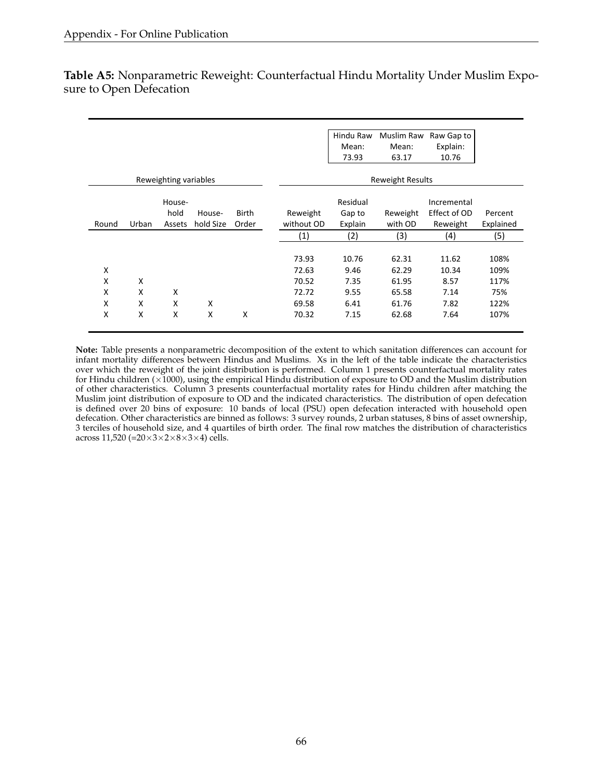|       |       |                       |           |              |                         | Hindu Raw | Muslim Raw              | Raw Gap to   |           |
|-------|-------|-----------------------|-----------|--------------|-------------------------|-----------|-------------------------|--------------|-----------|
|       |       |                       |           |              |                         | Mean:     | Mean:                   | Explain:     |           |
|       |       |                       |           |              |                         | 73.93     | 63.17                   | 10.76        |           |
|       |       | Reweighting variables |           |              |                         |           | <b>Reweight Results</b> |              |           |
|       |       | House-                |           |              | Residual<br>Incremental |           |                         |              |           |
|       |       | hold                  | House-    | <b>Birth</b> | Reweight                | Gap to    | Reweight                | Effect of OD | Percent   |
| Round | Urban | Assets                | hold Size | Order        | without OD              | Explain   | with OD                 | Reweight     | Explained |
|       |       |                       |           |              | (1)                     | (2)       | (3)                     | (4)          | (5)       |
|       |       |                       |           |              |                         |           |                         |              |           |
|       |       |                       |           |              | 73.93                   | 10.76     | 62.31                   | 11.62        | 108%      |
| X     |       |                       |           |              | 72.63                   | 9.46      | 62.29                   | 10.34        | 109%      |
| X     | X     |                       |           |              | 70.52                   | 7.35      | 61.95                   | 8.57         | 117%      |
| X     | X     | X                     |           |              | 72.72                   | 9.55      | 65.58                   | 7.14         | 75%       |
| X     | X     | X                     | X         |              | 69.58                   | 6.41      | 61.76                   | 7.82         | 122%      |
| X     | X     | X                     | X         | X            | 70.32                   | 7.15      | 62.68                   | 7.64         | 107%      |
|       |       |                       |           |              |                         |           |                         |              |           |

<span id="page-67-0"></span>**Table A5:** Nonparametric Reweight: Counterfactual Hindu Mortality Under Muslim Exposure to Open Defecation

**Note:** Table presents a nonparametric decomposition of the extent to which sanitation differences can account for infant mortality differences between Hindus and Muslims. Xs in the left of the table indicate the characteristics over which the reweight of the joint distribution is performed. Column 1 presents counterfactual mortality rates for Hindu children ( $\times$ 1000), using the empirical Hindu distribution of exposure to OD and the Muslim distribution of other characteristics. Column 3 presents counterfactual mortality rates for Hindu children after matching the Muslim joint distribution of exposure to OD and the indicated characteristics. The distribution of open defecation is defined over 20 bins of exposure: 10 bands of local (PSU) open defecation interacted with household open defecation. Other characteristics are binned as follows: 3 survey rounds, 2 urban statuses, 8 bins of asset ownership, 3 terciles of household size, and 4 quartiles of birth order. The final row matches the distribution of characteristics across 11,520 (= $20 \times 3 \times 2 \times 8 \times 3 \times 4$ ) cells.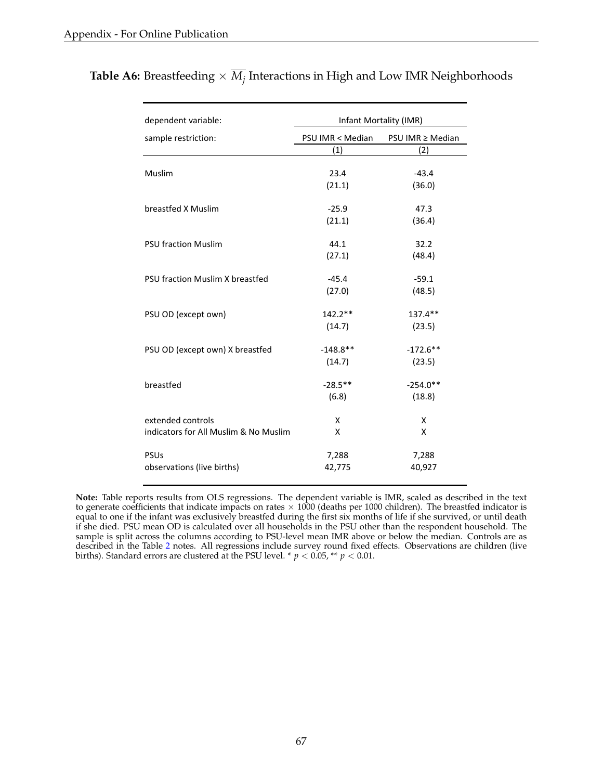| dependent variable:                   | Infant Mortality (IMR) |                  |  |  |  |
|---------------------------------------|------------------------|------------------|--|--|--|
| sample restriction:                   | PSU IMR < Median       | PSU IMR ≥ Median |  |  |  |
|                                       | (1)                    | (2)              |  |  |  |
|                                       |                        |                  |  |  |  |
| Muslim                                | 23.4                   | $-43.4$          |  |  |  |
|                                       | (21.1)                 | (36.0)           |  |  |  |
| breastfed X Muslim                    | $-25.9$                | 47.3             |  |  |  |
|                                       | (21.1)                 | (36.4)           |  |  |  |
|                                       |                        |                  |  |  |  |
| <b>PSU fraction Muslim</b>            | 44.1                   | 32.2             |  |  |  |
|                                       | (27.1)                 | (48.4)           |  |  |  |
|                                       |                        |                  |  |  |  |
| PSU fraction Muslim X breastfed       | $-45.4$                | $-59.1$          |  |  |  |
|                                       | (27.0)                 | (48.5)           |  |  |  |
|                                       |                        |                  |  |  |  |
| PSU OD (except own)                   | 142.2**                | 137.4**          |  |  |  |
|                                       | (14.7)                 | (23.5)           |  |  |  |
| PSU OD (except own) X breastfed       | $-148.8**$             | $-172.6**$       |  |  |  |
|                                       | (14.7)                 | (23.5)           |  |  |  |
|                                       |                        |                  |  |  |  |
| breastfed                             | $-28.5**$              | $-254.0**$       |  |  |  |
|                                       | (6.8)                  | (18.8)           |  |  |  |
|                                       |                        |                  |  |  |  |
| extended controls                     | x                      | X                |  |  |  |
| indicators for All Muslim & No Muslim | x                      | x                |  |  |  |
| <b>PSUs</b>                           | 7,288                  | 7,288            |  |  |  |
| observations (live births)            | 42,775                 | 40,927           |  |  |  |
|                                       |                        |                  |  |  |  |

**Table A6:** Breastfeeding  $\times \overline{M}_i$  Interactions in High and Low IMR Neighborhoods

**Note:** Table reports results from OLS regressions. The dependent variable is IMR, scaled as described in the text to generate coefficients that indicate impacts on rates  $\times$  1000 (deaths per 1000 children). The breastfed indicator is equal to one if the infant was exclusively breastfed during the first six months of life if she survived, or until death if she died. PSU mean OD is calculated over all households in the PSU other than the respondent household. The sample is split across the columns according to PSU-level mean IMR above or below the median. Controls are as described in the Table [2](#page-45-0) notes. All regressions include survey round fixed effects. Observations are children (live births). Standard errors are clustered at the PSU level. \* *p <* 0.05, \*\* *p <* 0.01.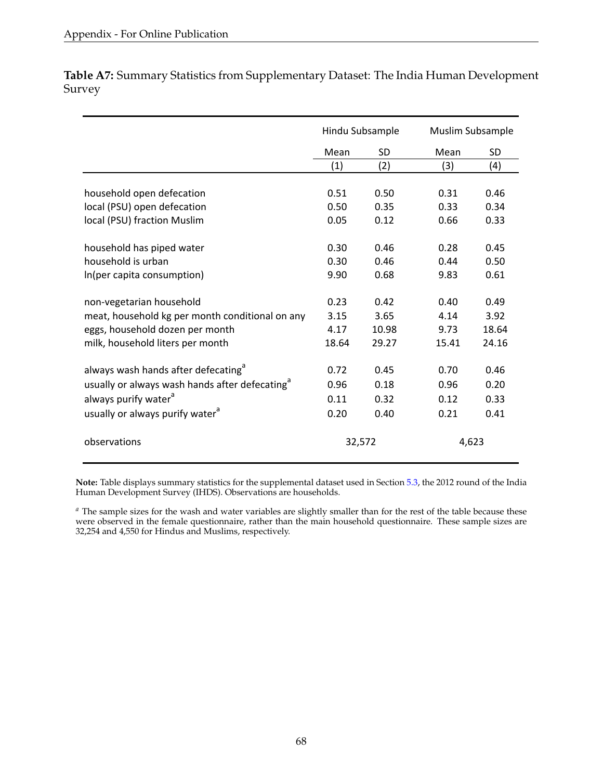**Table A7:** Summary Statistics from Supplementary Dataset: The India Human Development Survey

|                                                                                                                | Hindu Subsample      |                       | Muslim Subsample     |                       |
|----------------------------------------------------------------------------------------------------------------|----------------------|-----------------------|----------------------|-----------------------|
|                                                                                                                | Mean                 | SD                    | Mean                 | <b>SD</b>             |
|                                                                                                                | (1)                  | (2)                   | (3)                  | (4)                   |
| household open defecation                                                                                      | 0.51                 | 0.50                  | 0.31                 | 0.46                  |
| local (PSU) open defecation                                                                                    | 0.50                 | 0.35                  | 0.33                 | 0.34                  |
| local (PSU) fraction Muslim                                                                                    | 0.05                 | 0.12                  | 0.66                 | 0.33                  |
| household has piped water                                                                                      | 0.30                 | 0.46                  | 0.28                 | 0.45                  |
| household is urban                                                                                             | 0.30                 | 0.46                  | 0.44                 | 0.50                  |
| In(per capita consumption)                                                                                     | 9.90                 | 0.68                  | 9.83                 | 0.61                  |
| non-vegetarian household<br>meat, household kg per month conditional on any<br>eggs, household dozen per month | 0.23<br>3.15<br>4.17 | 0.42<br>3.65<br>10.98 | 0.40<br>4.14<br>9.73 | 0.49<br>3.92<br>18.64 |
| milk, household liters per month                                                                               | 18.64                | 29.27                 | 15.41                | 24.16                 |
| always wash hands after defecating <sup>a</sup><br>usually or always wash hands after defecating <sup>d</sup>  | 0.72<br>0.96         | 0.45<br>0.18          | 0.70<br>0.96         | 0.46<br>0.20          |
| always purify water <sup>a</sup>                                                                               | 0.11                 | 0.32                  | 0.12                 | 0.33                  |
| usually or always purify water <sup>a</sup>                                                                    | 0.20                 | 0.40                  | 0.21                 | 0.41                  |
| observations                                                                                                   | 32,572               |                       | 4,623                |                       |

**Note:** Table displays summary statistics for the supplemental dataset used in Section [5.3,](#page-24-0) the 2012 round of the India Human Development Survey (IHDS). Observations are households.

*<sup>a</sup>* The sample sizes for the wash and water variables are slightly smaller than for the rest of the table because these were observed in the female questionnaire, rather than the main household questionnaire. These sample sizes are 32,254 and 4,550 for Hindus and Muslims, respectively.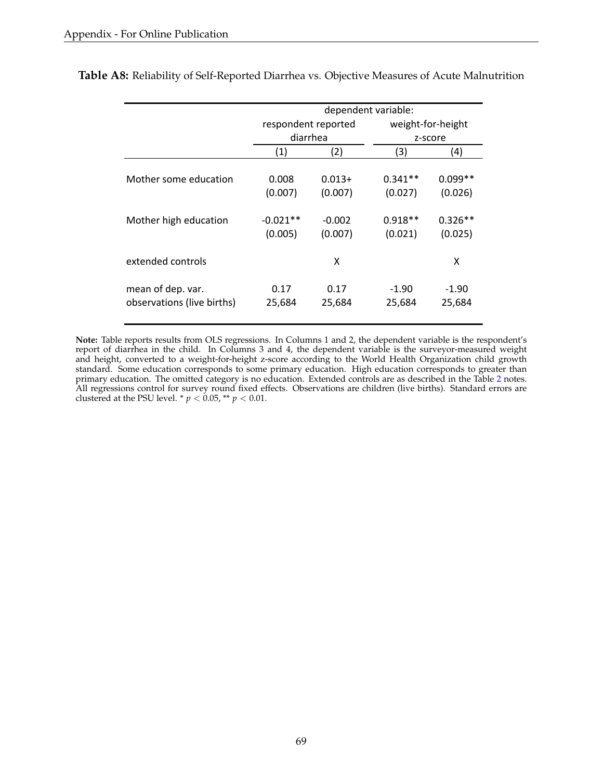|                                                 |                       | dependent variable: |                      |                      |  |  |  |  |
|-------------------------------------------------|-----------------------|---------------------|----------------------|----------------------|--|--|--|--|
|                                                 | respondent reported   |                     |                      | weight-for-height    |  |  |  |  |
|                                                 | diarrhea              |                     |                      | z-score              |  |  |  |  |
|                                                 | (1)                   | (2)                 | (3)                  | (4)                  |  |  |  |  |
| Mother some education                           | 0.008<br>(0.007)      | $0.013+$<br>(0.007) | $0.341**$<br>(0.027) | $0.099**$<br>(0.026) |  |  |  |  |
| Mother high education                           | $-0.021**$<br>(0.005) | $-0.002$<br>(0.007) | $0.918**$<br>(0.021) | $0.326**$<br>(0.025) |  |  |  |  |
| extended controls                               |                       | x                   |                      | X                    |  |  |  |  |
| mean of dep. var.<br>observations (live births) | 0.17<br>25,684        | 0.17<br>25,684      | $-1.90$<br>25,684    | $-1.90$<br>25,684    |  |  |  |  |

<span id="page-70-0"></span>**Table A8:** Reliability of Self-Reported Diarrhea vs. Objective Measures of Acute Malnutrition

**Note:** Table reports results from OLS regressions. In Columns 1 and 2, the dependent variable is the respondent's report of diarrhea in the child. In Columns 3 and 4, the dependent variable is the surveyor-measured weight and height, converted to a weight-for-height z-score according to the World Health Organization child growth standard. Some education corresponds to some primary education. High education corresponds to greater than primary education. The omitted category is no education. Extended controls are as described in the Table [2](#page-45-0) notes. All regressions control for survey round fixed effects. Observations are children (live births). Standard errors are clustered at the PSU level. \*  $p < 0.05$ , \*\*  $p < 0.01$ .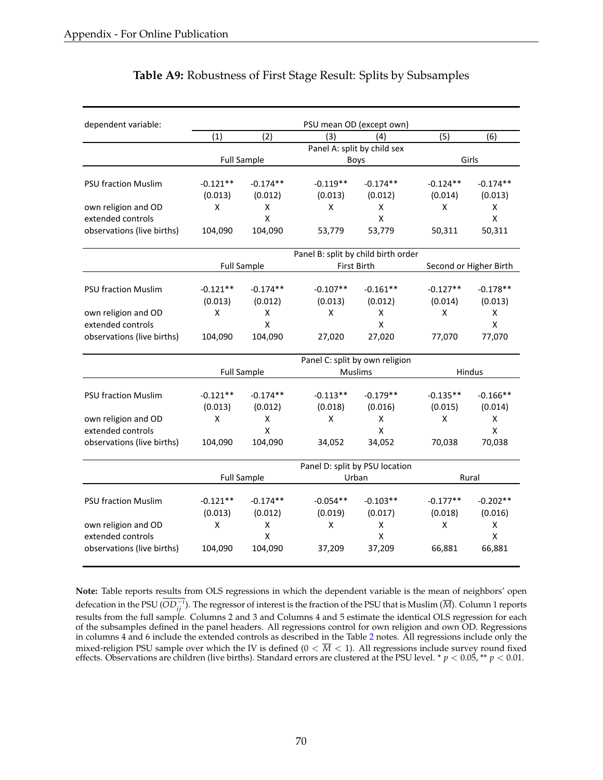| (1)<br>(2)<br>(5)<br>(6)<br>(3)<br>(4)<br>Panel A: split by child sex<br><b>Full Sample</b><br>Girls<br><b>Boys</b><br>$-0.121**$<br>$-0.174**$<br>$-0.119**$<br>$-0.174**$<br>$-0.124**$<br>$-0.174**$<br><b>PSU fraction Muslim</b><br>(0.013)<br>(0.013)<br>(0.012)<br>(0.014)<br>(0.013)<br>(0.012)<br>X<br>X<br>X<br>X<br>X<br>own religion and OD<br>X<br>$\pmb{\mathsf{X}}$<br>X<br>$\pmb{\mathsf{X}}$<br>extended controls<br>observations (live births)<br>104,090<br>104,090<br>53,779<br>53,779<br>50,311<br>50,311<br>Panel B: split by child birth order<br><b>Full Sample</b><br>First Birth<br>Second or Higher Birth<br><b>PSU fraction Muslim</b><br>$-0.121**$<br>$-0.174**$<br>$-0.107**$<br>$-0.127**$<br>$-0.178**$<br>$-0.161**$<br>(0.013)<br>(0.013)<br>(0.013)<br>(0.012)<br>(0.012)<br>(0.014)<br>own religion and OD<br>X<br>X<br>X<br>X<br>X<br>X<br>extended controls<br>X<br>X<br>X<br>observations (live births)<br>104,090<br>27,020<br>77,070<br>104,090<br>27,020<br>77,070<br>Panel C: split by own religion<br><b>Muslims</b><br><b>Full Sample</b><br>Hindus<br>$-0.121**$<br>$-0.174**$<br>$-0.113**$<br>$-0.179**$<br><b>PSU fraction Muslim</b><br>$-0.135**$<br>$-0.166**$<br>(0.013)<br>(0.012)<br>(0.018)<br>(0.016)<br>(0.015)<br>(0.014)<br>X<br>X<br>own religion and OD<br>X<br>X<br>X<br>X<br>$\mathsf{x}$<br>$\mathsf{x}$<br>extended controls<br>$\mathsf{x}$<br>104,090<br>observations (live births)<br>104,090<br>34,052<br>70,038<br>34,052<br>70,038<br>Panel D: split by PSU location<br><b>Full Sample</b><br>Urban<br>Rural<br>$-0.174**$<br>$-0.103**$<br><b>PSU fraction Muslim</b><br>$-0.121**$<br>$-0.054**$<br>$-0.177**$<br>$-0.202**$<br>(0.013)<br>(0.012)<br>(0.019)<br>(0.017)<br>(0.018)<br>(0.016)<br>X<br>own religion and OD<br>X<br>X<br>X<br>X<br>X | dependent variable: |  | PSU mean OD (except own) |  |  |  |
|--------------------------------------------------------------------------------------------------------------------------------------------------------------------------------------------------------------------------------------------------------------------------------------------------------------------------------------------------------------------------------------------------------------------------------------------------------------------------------------------------------------------------------------------------------------------------------------------------------------------------------------------------------------------------------------------------------------------------------------------------------------------------------------------------------------------------------------------------------------------------------------------------------------------------------------------------------------------------------------------------------------------------------------------------------------------------------------------------------------------------------------------------------------------------------------------------------------------------------------------------------------------------------------------------------------------------------------------------------------------------------------------------------------------------------------------------------------------------------------------------------------------------------------------------------------------------------------------------------------------------------------------------------------------------------------------------------------------------------------------------------------------------------------------------------------------------------|---------------------|--|--------------------------|--|--|--|
|                                                                                                                                                                                                                                                                                                                                                                                                                                                                                                                                                                                                                                                                                                                                                                                                                                                                                                                                                                                                                                                                                                                                                                                                                                                                                                                                                                                                                                                                                                                                                                                                                                                                                                                                                                                                                                |                     |  |                          |  |  |  |
|                                                                                                                                                                                                                                                                                                                                                                                                                                                                                                                                                                                                                                                                                                                                                                                                                                                                                                                                                                                                                                                                                                                                                                                                                                                                                                                                                                                                                                                                                                                                                                                                                                                                                                                                                                                                                                |                     |  |                          |  |  |  |
|                                                                                                                                                                                                                                                                                                                                                                                                                                                                                                                                                                                                                                                                                                                                                                                                                                                                                                                                                                                                                                                                                                                                                                                                                                                                                                                                                                                                                                                                                                                                                                                                                                                                                                                                                                                                                                |                     |  |                          |  |  |  |
|                                                                                                                                                                                                                                                                                                                                                                                                                                                                                                                                                                                                                                                                                                                                                                                                                                                                                                                                                                                                                                                                                                                                                                                                                                                                                                                                                                                                                                                                                                                                                                                                                                                                                                                                                                                                                                |                     |  |                          |  |  |  |
|                                                                                                                                                                                                                                                                                                                                                                                                                                                                                                                                                                                                                                                                                                                                                                                                                                                                                                                                                                                                                                                                                                                                                                                                                                                                                                                                                                                                                                                                                                                                                                                                                                                                                                                                                                                                                                |                     |  |                          |  |  |  |
|                                                                                                                                                                                                                                                                                                                                                                                                                                                                                                                                                                                                                                                                                                                                                                                                                                                                                                                                                                                                                                                                                                                                                                                                                                                                                                                                                                                                                                                                                                                                                                                                                                                                                                                                                                                                                                |                     |  |                          |  |  |  |
|                                                                                                                                                                                                                                                                                                                                                                                                                                                                                                                                                                                                                                                                                                                                                                                                                                                                                                                                                                                                                                                                                                                                                                                                                                                                                                                                                                                                                                                                                                                                                                                                                                                                                                                                                                                                                                |                     |  |                          |  |  |  |
|                                                                                                                                                                                                                                                                                                                                                                                                                                                                                                                                                                                                                                                                                                                                                                                                                                                                                                                                                                                                                                                                                                                                                                                                                                                                                                                                                                                                                                                                                                                                                                                                                                                                                                                                                                                                                                |                     |  |                          |  |  |  |
|                                                                                                                                                                                                                                                                                                                                                                                                                                                                                                                                                                                                                                                                                                                                                                                                                                                                                                                                                                                                                                                                                                                                                                                                                                                                                                                                                                                                                                                                                                                                                                                                                                                                                                                                                                                                                                |                     |  |                          |  |  |  |
|                                                                                                                                                                                                                                                                                                                                                                                                                                                                                                                                                                                                                                                                                                                                                                                                                                                                                                                                                                                                                                                                                                                                                                                                                                                                                                                                                                                                                                                                                                                                                                                                                                                                                                                                                                                                                                |                     |  |                          |  |  |  |
|                                                                                                                                                                                                                                                                                                                                                                                                                                                                                                                                                                                                                                                                                                                                                                                                                                                                                                                                                                                                                                                                                                                                                                                                                                                                                                                                                                                                                                                                                                                                                                                                                                                                                                                                                                                                                                |                     |  |                          |  |  |  |
|                                                                                                                                                                                                                                                                                                                                                                                                                                                                                                                                                                                                                                                                                                                                                                                                                                                                                                                                                                                                                                                                                                                                                                                                                                                                                                                                                                                                                                                                                                                                                                                                                                                                                                                                                                                                                                |                     |  |                          |  |  |  |
|                                                                                                                                                                                                                                                                                                                                                                                                                                                                                                                                                                                                                                                                                                                                                                                                                                                                                                                                                                                                                                                                                                                                                                                                                                                                                                                                                                                                                                                                                                                                                                                                                                                                                                                                                                                                                                |                     |  |                          |  |  |  |
|                                                                                                                                                                                                                                                                                                                                                                                                                                                                                                                                                                                                                                                                                                                                                                                                                                                                                                                                                                                                                                                                                                                                                                                                                                                                                                                                                                                                                                                                                                                                                                                                                                                                                                                                                                                                                                |                     |  |                          |  |  |  |
|                                                                                                                                                                                                                                                                                                                                                                                                                                                                                                                                                                                                                                                                                                                                                                                                                                                                                                                                                                                                                                                                                                                                                                                                                                                                                                                                                                                                                                                                                                                                                                                                                                                                                                                                                                                                                                |                     |  |                          |  |  |  |
|                                                                                                                                                                                                                                                                                                                                                                                                                                                                                                                                                                                                                                                                                                                                                                                                                                                                                                                                                                                                                                                                                                                                                                                                                                                                                                                                                                                                                                                                                                                                                                                                                                                                                                                                                                                                                                |                     |  |                          |  |  |  |
|                                                                                                                                                                                                                                                                                                                                                                                                                                                                                                                                                                                                                                                                                                                                                                                                                                                                                                                                                                                                                                                                                                                                                                                                                                                                                                                                                                                                                                                                                                                                                                                                                                                                                                                                                                                                                                |                     |  |                          |  |  |  |
|                                                                                                                                                                                                                                                                                                                                                                                                                                                                                                                                                                                                                                                                                                                                                                                                                                                                                                                                                                                                                                                                                                                                                                                                                                                                                                                                                                                                                                                                                                                                                                                                                                                                                                                                                                                                                                |                     |  |                          |  |  |  |
|                                                                                                                                                                                                                                                                                                                                                                                                                                                                                                                                                                                                                                                                                                                                                                                                                                                                                                                                                                                                                                                                                                                                                                                                                                                                                                                                                                                                                                                                                                                                                                                                                                                                                                                                                                                                                                |                     |  |                          |  |  |  |
|                                                                                                                                                                                                                                                                                                                                                                                                                                                                                                                                                                                                                                                                                                                                                                                                                                                                                                                                                                                                                                                                                                                                                                                                                                                                                                                                                                                                                                                                                                                                                                                                                                                                                                                                                                                                                                |                     |  |                          |  |  |  |
|                                                                                                                                                                                                                                                                                                                                                                                                                                                                                                                                                                                                                                                                                                                                                                                                                                                                                                                                                                                                                                                                                                                                                                                                                                                                                                                                                                                                                                                                                                                                                                                                                                                                                                                                                                                                                                |                     |  |                          |  |  |  |
|                                                                                                                                                                                                                                                                                                                                                                                                                                                                                                                                                                                                                                                                                                                                                                                                                                                                                                                                                                                                                                                                                                                                                                                                                                                                                                                                                                                                                                                                                                                                                                                                                                                                                                                                                                                                                                |                     |  |                          |  |  |  |
|                                                                                                                                                                                                                                                                                                                                                                                                                                                                                                                                                                                                                                                                                                                                                                                                                                                                                                                                                                                                                                                                                                                                                                                                                                                                                                                                                                                                                                                                                                                                                                                                                                                                                                                                                                                                                                |                     |  |                          |  |  |  |
|                                                                                                                                                                                                                                                                                                                                                                                                                                                                                                                                                                                                                                                                                                                                                                                                                                                                                                                                                                                                                                                                                                                                                                                                                                                                                                                                                                                                                                                                                                                                                                                                                                                                                                                                                                                                                                |                     |  |                          |  |  |  |
|                                                                                                                                                                                                                                                                                                                                                                                                                                                                                                                                                                                                                                                                                                                                                                                                                                                                                                                                                                                                                                                                                                                                                                                                                                                                                                                                                                                                                                                                                                                                                                                                                                                                                                                                                                                                                                |                     |  |                          |  |  |  |
|                                                                                                                                                                                                                                                                                                                                                                                                                                                                                                                                                                                                                                                                                                                                                                                                                                                                                                                                                                                                                                                                                                                                                                                                                                                                                                                                                                                                                                                                                                                                                                                                                                                                                                                                                                                                                                |                     |  |                          |  |  |  |
|                                                                                                                                                                                                                                                                                                                                                                                                                                                                                                                                                                                                                                                                                                                                                                                                                                                                                                                                                                                                                                                                                                                                                                                                                                                                                                                                                                                                                                                                                                                                                                                                                                                                                                                                                                                                                                |                     |  |                          |  |  |  |
|                                                                                                                                                                                                                                                                                                                                                                                                                                                                                                                                                                                                                                                                                                                                                                                                                                                                                                                                                                                                                                                                                                                                                                                                                                                                                                                                                                                                                                                                                                                                                                                                                                                                                                                                                                                                                                |                     |  |                          |  |  |  |
|                                                                                                                                                                                                                                                                                                                                                                                                                                                                                                                                                                                                                                                                                                                                                                                                                                                                                                                                                                                                                                                                                                                                                                                                                                                                                                                                                                                                                                                                                                                                                                                                                                                                                                                                                                                                                                |                     |  |                          |  |  |  |
|                                                                                                                                                                                                                                                                                                                                                                                                                                                                                                                                                                                                                                                                                                                                                                                                                                                                                                                                                                                                                                                                                                                                                                                                                                                                                                                                                                                                                                                                                                                                                                                                                                                                                                                                                                                                                                |                     |  |                          |  |  |  |
|                                                                                                                                                                                                                                                                                                                                                                                                                                                                                                                                                                                                                                                                                                                                                                                                                                                                                                                                                                                                                                                                                                                                                                                                                                                                                                                                                                                                                                                                                                                                                                                                                                                                                                                                                                                                                                |                     |  |                          |  |  |  |
| extended controls<br>$\mathsf{x}$<br>X<br>X                                                                                                                                                                                                                                                                                                                                                                                                                                                                                                                                                                                                                                                                                                                                                                                                                                                                                                                                                                                                                                                                                                                                                                                                                                                                                                                                                                                                                                                                                                                                                                                                                                                                                                                                                                                    |                     |  |                          |  |  |  |
| observations (live births)<br>104,090<br>37,209<br>66,881<br>66,881<br>104,090<br>37,209                                                                                                                                                                                                                                                                                                                                                                                                                                                                                                                                                                                                                                                                                                                                                                                                                                                                                                                                                                                                                                                                                                                                                                                                                                                                                                                                                                                                                                                                                                                                                                                                                                                                                                                                       |                     |  |                          |  |  |  |

### **Table A9:** Robustness of First Stage Result: Splits by Subsamples

**Note:** Table reports results from OLS regressions in which the dependent variable is the mean of neighbors' open defecation in the PSU ( $OD_{ij}^{-i}$ ). The regressor of interest is the fraction of the PSU that is Muslim ( $\overline{M}$ ). Column 1 reports results from the full sample. Columns 2 and 3 and Columns 4 and 5 estimate the identical OLS regression for each of the subsamples defined in the panel headers. All regressions control for own religion and own OD. Regressions in columns 4 and 6 include the extended controls as described in the Table [2](#page-45-0) notes. All regressions include only the mixed-religion PSU sample over which the IV is defined  $(0 < \overline{M} < 1)$ . All regressions include survey round fixed effects. Observations are children (live births). Standard errors are clustered at the PSU level. \* *p <* 0.05, \*\* *p <* 0.01.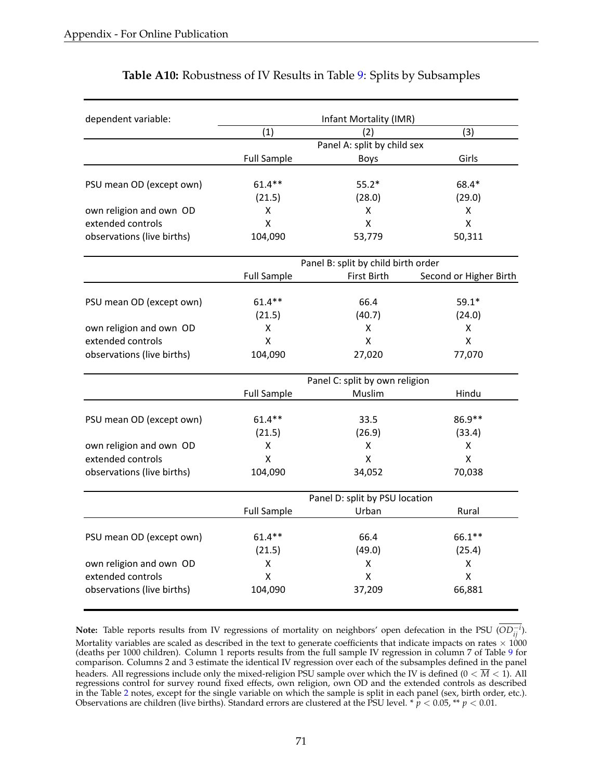| dependent variable:        | Infant Mortality (IMR)         |                                     |                         |  |  |
|----------------------------|--------------------------------|-------------------------------------|-------------------------|--|--|
|                            | (1)                            | (2)                                 | (3)                     |  |  |
|                            | Panel A: split by child sex    |                                     |                         |  |  |
|                            | <b>Full Sample</b>             | <b>Boys</b>                         | Girls                   |  |  |
|                            |                                |                                     |                         |  |  |
| PSU mean OD (except own)   | $61.4**$                       | $55.2*$                             | 68.4*                   |  |  |
|                            | (21.5)                         | (28.0)                              | (29.0)                  |  |  |
| own religion and own OD    | X                              | X                                   | Χ                       |  |  |
| extended controls          | X                              | $\mathsf{\overline{X}}$             | $\overline{\mathsf{X}}$ |  |  |
| observations (live births) | 104,090                        | 53,779                              | 50,311                  |  |  |
|                            |                                | Panel B: split by child birth order |                         |  |  |
|                            | <b>Full Sample</b>             | First Birth                         | Second or Higher Birth  |  |  |
| PSU mean OD (except own)   | $61.4***$                      | 66.4                                | $59.1*$                 |  |  |
|                            | (21.5)                         | (40.7)                              | (24.0)                  |  |  |
| own religion and own OD    | X                              | X                                   | Χ                       |  |  |
| extended controls          | X                              | X                                   | X                       |  |  |
| observations (live births) | 104,090                        | 27,020                              | 77,070                  |  |  |
|                            | Panel C: split by own religion |                                     |                         |  |  |
|                            | <b>Full Sample</b>             | Muslim                              | Hindu                   |  |  |
| PSU mean OD (except own)   | $61.4**$                       | 33.5                                | 86.9**                  |  |  |
|                            | (21.5)                         | (26.9)                              | (33.4)                  |  |  |
| own religion and own OD    | Χ                              | X                                   | Χ                       |  |  |
| extended controls          | x                              | X                                   | Χ                       |  |  |
| observations (live births) | 104,090                        | 34,052                              | 70,038                  |  |  |
|                            | Panel D: split by PSU location |                                     |                         |  |  |
|                            | <b>Full Sample</b>             | Urban                               | Rural                   |  |  |
|                            | $61.4***$                      | 66.4                                | 66.1**                  |  |  |
| PSU mean OD (except own)   | (21.5)                         | (49.0)                              | (25.4)                  |  |  |
| own religion and own OD    | X                              | X                                   | Χ                       |  |  |
| extended controls          | X                              | $\pmb{\mathsf{X}}$                  | X                       |  |  |
|                            |                                |                                     |                         |  |  |
| observations (live births) | 104,090                        | 37,209                              | 66,881                  |  |  |

## **Table A10:** Robustness of IV Results in Table [9:](#page-52-0) Splits by Subsamples

**Note:** Table reports results from IV regressions of mortality on neighbors' open defecation in the PSU ( $OD_{ij}^{-i}$ ). Mortality variables are scaled as described in the text to generate coefficients that indicate impacts on rates  $\times$  1000 (deaths per 1000 children). Column 1 reports results from the full sample IV regression in column 7 of Table [9](#page-52-0) for comparison. Columns 2 and 3 estimate the identical IV regression over each of the subsamples defined in the panel headers. All regressions include only the mixed-religion PSU sample over which the IV is defined ( $0 < \overline{M} < 1$ ). All regressions control for survey round fixed effects, own religion, own OD and the extended controls as described in the Table [2](#page-45-0) notes, except for the single variable on which the sample is split in each panel (sex, birth order, etc.). Observations are children (live births). Standard errors are clustered at the PSU level.  $* p < 0.05, ** p < 0.01$ .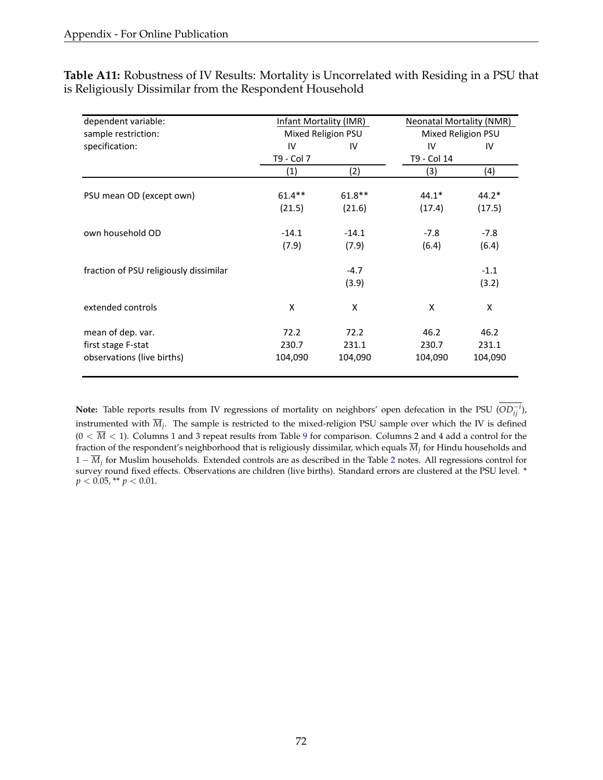**Table A11:** Robustness of IV Results: Mortality is Uncorrelated with Residing in a PSU that is Religiously Dissimilar from the Respondent Household

| dependent variable:                    | Infant Mortality (IMR) |          | Neonatal Mortality (NMR) |         |
|----------------------------------------|------------------------|----------|--------------------------|---------|
| sample restriction:                    | Mixed Religion PSU     |          | Mixed Religion PSU       |         |
| specification:                         | IV                     | IV       | IV                       | IV      |
|                                        | T9 - Col 7             |          | T9 - Col 14              |         |
|                                        | (1)                    | (2)      | (3)                      | (4)     |
| PSU mean OD (except own)               | $61.4***$              | $61.8**$ | $44.1*$                  | $44.2*$ |
|                                        | (21.5)                 | (21.6)   | (17.4)                   | (17.5)  |
| own household OD                       | $-14.1$                | $-14.1$  | $-7.8$                   | $-7.8$  |
|                                        | (7.9)                  | (7.9)    | (6.4)                    | (6.4)   |
| fraction of PSU religiously dissimilar |                        | $-4.7$   |                          | $-1.1$  |
|                                        |                        | (3.9)    |                          | (3.2)   |
| extended controls                      | X                      | X        | X                        | X       |
| mean of dep. var.                      | 72.2                   | 72.2     | 46.2                     | 46.2    |
| first stage F-stat                     | 230.7                  | 231.1    | 230.7                    | 231.1   |
| observations (live births)             | 104,090                | 104,090  | 104,090                  | 104,090 |

**Note:** Table reports results from IV regressions of mortality on neighbors' open defecation in the PSU ( $OD_{ij}^{-i}$ ), instrumented with  $\overline{M}_i$ . The sample is restricted to the mixed-religion PSU sample over which the IV is defined  $(0 < \overline{M} < 1)$ . Columns 1 and 3 repeat results from Table [9](#page-52-0) for comparison. Columns 2 and 4 add a control for the fraction of the respondent's neighborhood that is religiously dissimilar, which equals  $\overline{M}_j$  for Hindu households and  $1 - \overline{M}_i$  for Muslim households. Extended controls are as described in the Table [2](#page-45-0) notes. All regressions control for survey round fixed effects. Observations are children (live births). Standard errors are clustered at the PSU level. \*  $p < 0.05$ , \*\*  $p < 0.01$ .